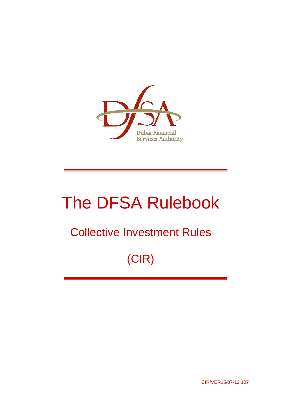

# The DFSA Rulebook

# Collective Investment Rules

# (CIR)

CIR/VER15/07-12 107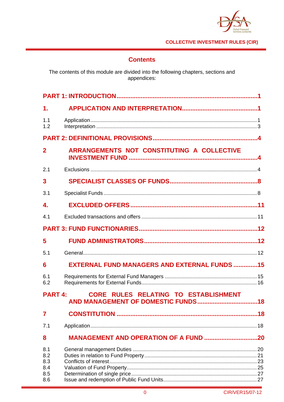

# **Contents**

The contents of this module are divided into the following chapters, sections and<br>appendices:

| 1.                                     |                                                     |  |
|----------------------------------------|-----------------------------------------------------|--|
| 1.1<br>1.2                             |                                                     |  |
|                                        |                                                     |  |
| $\overline{2}$                         | ARRANGEMENTS NOT CONSTITUTING A COLLECTIVE          |  |
| 2.1                                    |                                                     |  |
| 3                                      |                                                     |  |
| 3.1                                    |                                                     |  |
| 4.                                     |                                                     |  |
| 4.1                                    |                                                     |  |
|                                        |                                                     |  |
| 5                                      |                                                     |  |
| 5.1                                    |                                                     |  |
| 6                                      | <b>EXTERNAL FUND MANAGERS AND EXTERNAL FUNDS 15</b> |  |
| 6.1<br>6.2                             |                                                     |  |
| <b>PART 4:</b>                         | CORE RULES RELATING TO ESTABLISHMENT                |  |
| 7                                      |                                                     |  |
| 7.1                                    |                                                     |  |
| 8                                      |                                                     |  |
| 8.1<br>8.2<br>8.3<br>8.4<br>8.5<br>8.6 |                                                     |  |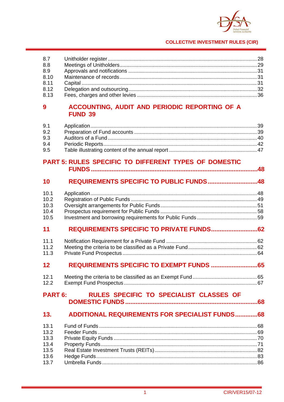

| 8.7<br>8.8<br>8.9<br>8.10<br>8.11<br>8.12<br>8.13    |                                                                 |  |
|------------------------------------------------------|-----------------------------------------------------------------|--|
| 9                                                    | ACCOUNTING, AUDIT AND PERIODIC REPORTING OF A<br><b>FUND 39</b> |  |
| 9.1<br>9.2<br>9.3<br>9.4<br>9.5                      |                                                                 |  |
|                                                      | PART 5: RULES SPECIFIC TO DIFFERENT TYPES OF DOMESTIC           |  |
| 10                                                   | REQUIREMENTS SPECIFIC TO PUBLIC FUNDS48                         |  |
| 10.1<br>10.2<br>10.3<br>10.4<br>10.5                 |                                                                 |  |
| 11                                                   |                                                                 |  |
| 11.1<br>11.2<br>11.3                                 |                                                                 |  |
| 12                                                   | REQUIREMENTS SPECIFIC TO EXEMPT FUNDS  65                       |  |
| 12.1<br>12.2                                         |                                                                 |  |
| <b>PART 6:</b>                                       | RULES SPECIFIC TO SPECIALIST CLASSES OF                         |  |
| 13.                                                  | <b>ADDITIONAL REQUIREMENTS FOR SPECIALIST FUNDS68</b>           |  |
| 13.1<br>13.2<br>13.3<br>13.4<br>13.5<br>13.6<br>13.7 |                                                                 |  |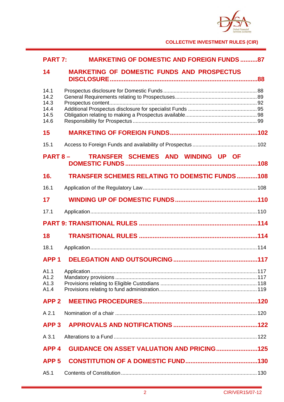

| <b>PART 7:</b>                               | <b>MARKETING OF DOMESTIC AND FOREIGN FUNDS 87</b>     |  |
|----------------------------------------------|-------------------------------------------------------|--|
| 14                                           | <b>MARKETING OF DOMESTIC FUNDS AND PROSPECTUS</b>     |  |
| 14.1<br>14.2<br>14.3<br>14.4<br>14.5<br>14.6 |                                                       |  |
| 15                                           |                                                       |  |
| 15.1                                         |                                                       |  |
|                                              | TRANSFER SCHEMES AND WINDING UP OF<br><b>PART 8 –</b> |  |
| 16.                                          | <b>TRANSFER SCHEMES RELATING TO DOEMSTIC FUNDS108</b> |  |
| 16.1                                         |                                                       |  |
| 17                                           |                                                       |  |
| 17.1                                         |                                                       |  |
|                                              |                                                       |  |
| 18                                           |                                                       |  |
| 18.1                                         |                                                       |  |
| APP <sub>1</sub>                             |                                                       |  |
| A1.1<br>A1.2<br>A1.3<br>A1.4                 |                                                       |  |
| <b>APP2</b>                                  |                                                       |  |
| A 2.1                                        |                                                       |  |
| APP <sub>3</sub>                             |                                                       |  |
| A 3.1                                        |                                                       |  |
| APP <sub>4</sub>                             | <b>GUIDANCE ON ASSET VALUATION AND PRICING125</b>     |  |
| APP <sub>5</sub>                             |                                                       |  |
| A5.1                                         |                                                       |  |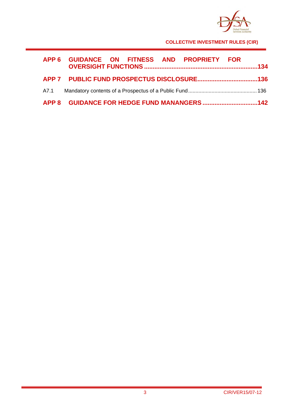

| APP 6 GUIDANCE ON FITNESS AND PROPRIETY FOR |  |
|---------------------------------------------|--|
|                                             |  |
|                                             |  |
|                                             |  |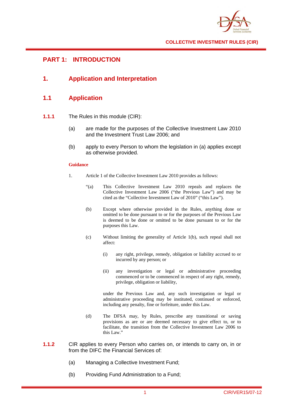

# **PART 1: INTRODUCTION**

**1. Application and Interpretation** 

# **1.1 Application**

- **1.1.1** The Rules in this module (CIR):
	- (a) are made for the purposes of the Collective Investment Law 2010 and the Investment Trust Law 2006; and
	- (b) apply to every Person to whom the legislation in (a) applies except as otherwise provided.

## **Guidance**

- 1. Article 1 of the Collective Investment Law 2010 provides as follows:
	- "(a) This Collective Investment Law 2010 repeals and replaces the Collective Investment Law 2006 ("the Previous Law") and may be cited as the "Collective Investment Law of 2010" ("this Law").
	- (b) Except where otherwise provided in the Rules, anything done or omitted to be done pursuant to or for the purposes of the Previous Law is deemed to be done or omitted to be done pursuant to or for the purposes this Law.
	- (c) Without limiting the generality of Article 1(b), such repeal shall not affect:
		- (i) any right, privilege, remedy, obligation or liability accrued to or incurred by any person; or
		- (ii) any investigation or legal or administrative proceeding commenced or to be commenced in respect of any right, remedy, privilege, obligation or liability,

 under the Previous Law and, any such investigation or legal or administrative proceeding may be instituted, continued or enforced, including any penalty, fine or forfeiture, under this Law.

- (d) The DFSA may, by Rules, prescribe any transitional or saving provisions as are or are deemed necessary to give effect to, or to facilitate, the transition from the Collective Investment Law 2006 to this Law."
- **1.1.2** CIR applies to every Person who carries on, or intends to carry on, in or from the DIFC the Financial Services of:
	- (a) Managing a Collective Investment Fund;
	- (b) Providing Fund Administration to a Fund;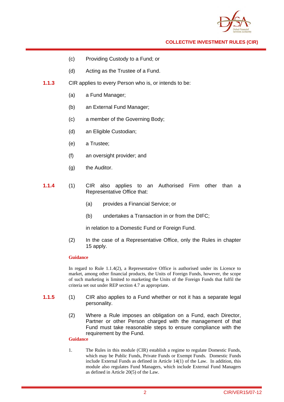

- (c) Providing Custody to a Fund; or
- (d) Acting as the Trustee of a Fund.
- **1.1.3** CIR applies to every Person who is, or intends to be:
	- (a) a Fund Manager;
	- (b) an External Fund Manager;
	- (c) a member of the Governing Body;
	- (d) an Eligible Custodian;
	- (e) a Trustee;
	- (f) an oversight provider; and
	- (g) the Auditor.
- **1.1.4** (1) CIR also applies to an Authorised Firm other than a Representative Office that:
	- (a) provides a Financial Service; or
	- (b) undertakes a Transaction in or from the DIFC;

in relation to a Domestic Fund or Foreign Fund.

(2) In the case of a Representative Office, only the Rules in chapter 15 apply.

#### **Guidance**

In regard to Rule 1.1.4(2), a Representative Office is authorised under its Licence to market, among other financial products, the Units of Foreign Funds, however, the scope of such marketing is limited to marketing the Units of the Foreign Funds that fulfil the criteria set out under REP section 4.7 as appropriate.

- **1.1.5** (1) CIR also applies to a Fund whether or not it has a separate legal personality.
	- (2) Where a Rule imposes an obligation on a Fund, each Director, Partner or other Person charged with the management of that Fund must take reasonable steps to ensure compliance with the requirement by the Fund.

## **Guidance**

1. The Rules in this module (CIR) establish a regime to regulate Domestic Funds, which may be Public Funds, Private Funds or Exempt Funds. Domestic Funds include External Funds as defined in Article 14(1) of the Law. In addition, this module also regulates Fund Managers, which include External Fund Managers as defined in Article 20(5) of the Law.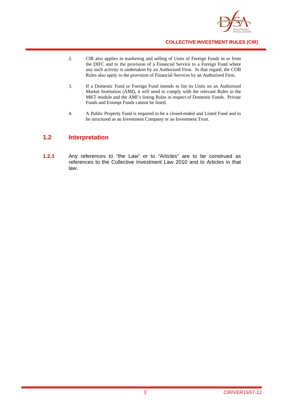

- 2. CIR also applies to marketing and selling of Units of Foreign Funds in or from the DIFC and to the provision of a Financial Service to a Foreign Fund where any such activity is undertaken by an Authorised Firm. In that regard, the COB Rules also apply to the provision of Financial Services by an Authorised Firm.
- 3. If a Domestic Fund or Foreign Fund intends to list its Units on an Authorised Market Institution (AMI), it will need to comply with the relevant Rules in the MKT module and the AMI's listing Rules in respect of Domestic Funds. Private Funds and Exempt Funds cannot be listed.
- 4. A Public Property Fund is required to be a closed-ended and Listed Fund and to be structured as an Investment Company or an Investment Trust.

# **1.2 Interpretation**

**1.2.1** Any references to "the Law" or to "Articles" are to be construed as references to the Collective Investment Law 2010 and to Articles in that law.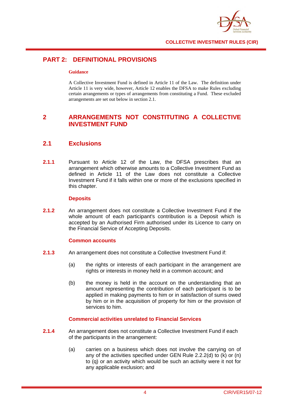

# **PART 2: DEFINITIONAL PROVISIONS**

#### **Guidance**

A Collective Investment Fund is defined in Article 11 of the Law. The definition under Article 11 is very wide, however, Article 12 enables the DFSA to make Rules excluding certain arrangements or types of arrangements from constituting a Fund. These excluded arrangements are set out below in section 2.1.

# **2 ARRANGEMENTS NOT CONSTITUTING A COLLECTIVE INVESTMENT FUND**

# **2.1 Exclusions**

**2.1.1** Pursuant to Article 12 of the Law, the DFSA prescribes that an arrangement which otherwise amounts to a Collective Investment Fund as defined in Article 11 of the Law does not constitute a Collective Investment Fund if it falls within one or more of the exclusions specified in this chapter.

## **Deposits**

**2.1.2** An arrangement does not constitute a Collective Investment Fund if the whole amount of each participant's contribution is a Deposit which is accepted by an Authorised Firm authorised under its Licence to carry on the Financial Service of Accepting Deposits.

## **Common accounts**

- **2.1.3** An arrangement does not constitute a Collective Investment Fund if:
	- (a) the rights or interests of each participant in the arrangement are rights or interests in money held in a common account; and
	- (b) the money is held in the account on the understanding that an amount representing the contribution of each participant is to be applied in making payments to him or in satisfaction of sums owed by him or in the acquisition of property for him or the provision of services to him.

# **Commercial activities unrelated to Financial Services**

- **2.1.4** An arrangement does not constitute a Collective Investment Fund if each of the participants in the arrangement:
	- (a) carries on a business which does not involve the carrying on of any of the activities specified under GEN Rule 2.2.2(d) to (k) or (n) to (q) or an activity which would be such an activity were it not for any applicable exclusion; and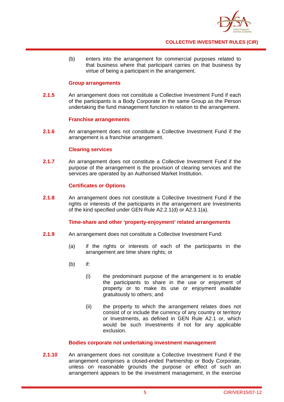

(b) enters into the arrangement for commercial purposes related to that business where that participant carries on that business by virtue of being a participant in the arrangement.

#### **Group arrangements**

**2.1.5** An arrangement does not constitute a Collective Investment Fund if each of the participants is a Body Corporate in the same Group as the Person undertaking the fund management function in relation to the arrangement.

#### **Franchise arrangements**

**2.1.6** An arrangement does not constitute a Collective Investment Fund if the arrangement is a franchise arrangement.

#### **Clearing services**

**2.1.7** An arrangement does not constitute a Collective Investment Fund if the purpose of the arrangement is the provision of clearing services and the services are operated by an Authorised Market Institution.

## **Certificates or Options**

**2.1.8** An arrangement does not constitute a Collective Investment Fund if the rights or interests of the participants in the arrangement are Investments of the kind specified under GEN Rule A2.2.1(d) or A2.3.1(a).

## **Time-share and other 'property-enjoyment' related arrangements**

- **2.1.9** An arrangement does not constitute a Collective Investment Fund:
	- (a) if the rights or interests of each of the participants in the arrangement are time share rights; or
	- $(h)$  if:
		- (i) the predominant purpose of the arrangement is to enable the participants to share in the use or enjoyment of property or to make its use or enjoyment available gratuitously to others; and
		- (ii) the property to which the arrangement relates does not consist of or include the currency of any country or territory or Investments, as defined in GEN Rule A2.1 or, which would be such Investments if not for any applicable exclusion.

#### **Bodies corporate not undertaking investment management**

**2.1.10** An arrangement does not constitute a Collective Investment Fund if the arrangement comprises a closed-ended Partnership or Body Corporate, unless on reasonable grounds the purpose or effect of such an arrangement appears to be the investment management, in the exercise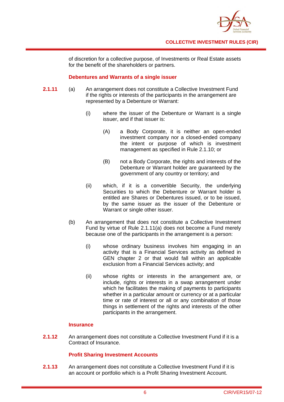

of discretion for a collective purpose, of Investments or Real Estate assets for the benefit of the shareholders or partners.

## **Debentures and Warrants of a single issuer**

- **2.1.11** (a) An arrangement does not constitute a Collective Investment Fund if the rights or interests of the participants in the arrangement are represented by a Debenture or Warrant:
	- (i) where the issuer of the Debenture or Warrant is a single issuer, and if that issuer is:
		- (A) a Body Corporate, it is neither an open-ended investment company nor a closed-ended company the intent or purpose of which is investment management as specified in Rule 2.1.10; or
		- (B) not a Body Corporate, the rights and interests of the Debenture or Warrant holder are guaranteed by the government of any country or territory; and
	- (ii) which, if it is a convertible Security, the underlying Securities to which the Debenture or Warrant holder is entitled are Shares or Debentures issued, or to be issued, by the same issuer as the issuer of the Debenture or Warrant or single other issuer.
	- (b) An arrangement that does not constitute a Collective Investment Fund by virtue of Rule 2.1.11(a) does not become a Fund merely because one of the participants in the arrangement is a person:
		- (i) whose ordinary business involves him engaging in an activity that is a Financial Services activity as defined in GEN chapter 2 or that would fall within an applicable exclusion from a Financial Services activity; and
		- (ii) whose rights or interests in the arrangement are, or include, rights or interests in a swap arrangement under which he facilitates the making of payments to participants whether in a particular amount or currency or at a particular time or rate of interest or all or any combination of those things in settlement of the rights and interests of the other participants in the arrangement.

# **Insurance**

**2.1.12** An arrangement does not constitute a Collective Investment Fund if it is a Contract of Insurance.

# **Profit Sharing Investment Accounts**

**2.1.13** An arrangement does not constitute a Collective Investment Fund if it is an account or portfolio which is a Profit Sharing Investment Account.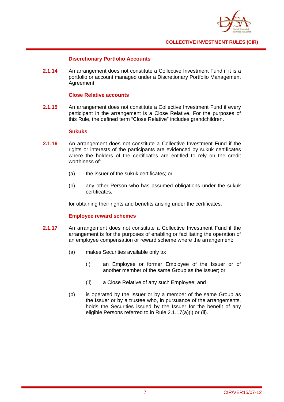

## **Discretionary Portfolio Accounts**

**2.1.14** An arrangement does not constitute a Collective Investment Fund if it is a portfolio or account managed under a Discretionary Portfolio Management Agreement.

## **Close Relative accounts**

**2.1.15** An arrangement does not constitute a Collective Investment Fund if every participant in the arrangement is a Close Relative. For the purposes of this Rule, the defined term "Close Relative" includes grandchildren.

## **Sukuks**

- **2.1.16** An arrangement does not constitute a Collective Investment Fund if the rights or interests of the participants are evidenced by sukuk certificates where the holders of the certificates are entitled to rely on the credit worthiness of:
	- (a) the issuer of the sukuk certificates; or
	- (b) any other Person who has assumed obligations under the sukuk certificates,

for obtaining their rights and benefits arising under the certificates.

## **Employee reward schemes**

- **2.1.17** An arrangement does not constitute a Collective Investment Fund if the arrangement is for the purposes of enabling or facilitating the operation of an employee compensation or reward scheme where the arrangement:
	- (a) makes Securities available only to:
		- (i) an Employee or former Employee of the Issuer or of another member of the same Group as the Issuer; or
		- (ii) a Close Relative of any such Employee; and
	- (b) is operated by the Issuer or by a member of the same Group as the Issuer or by a trustee who, in pursuance of the arrangements, holds the Securities issued by the Issuer for the benefit of any eligible Persons referred to in Rule 2.1.17(a)(i) or (ii).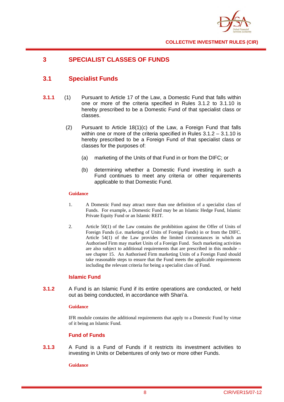

# **3 SPECIALIST CLASSES OF FUNDS**

# **3.1 Specialist Funds**

- **3.1.1** (1) Pursuant to Article 17 of the Law, a Domestic Fund that falls within one or more of the criteria specified in Rules 3.1.2 to 3.1.10 is hereby prescribed to be a Domestic Fund of that specialist class or classes.
	- (2) Pursuant to Article 18(1)(c) of the Law, a Foreign Fund that falls within one or more of the criteria specified in Rules 3.1.2 – 3.1.10 is hereby prescribed to be a Foreign Fund of that specialist class or classes for the purposes of:
		- (a) marketing of the Units of that Fund in or from the DIFC; or
		- (b) determining whether a Domestic Fund investing in such a Fund continues to meet any criteria or other requirements applicable to that Domestic Fund.

#### **Guidance**

- 1. A Domestic Fund may attract more than one definition of a specialist class of Funds. For example, a Domestic Fund may be an Islamic Hedge Fund, Islamic Private Equity Fund or an Islamic REIT.
- 2. Article 50(1) of the Law contains the prohibition against the Offer of Units of Foreign Funds (i.e. marketing of Units of Foreign Funds) in or from the DIFC. Article 54(1) of the Law provides the limited circumstances in which an Authorised Firm may market Units of a Foreign Fund. Such marketing activities are also subject to additional requirements that are prescribed in this module – see chapter 15. An Authorised Firm marketing Units of a Foreign Fund should take reasonable steps to ensure that the Fund meets the applicable requirements including the relevant criteria for being a specialist class of Fund.

## **Islamic Fund**

**3.1.2** A Fund is an Islamic Fund if its entire operations are conducted, or held out as being conducted, in accordance with Shari'a.

## **Guidance**

IFR module contains the additional requirements that apply to a Domestic Fund by virtue of it being an Islamic Fund.

## **Fund of Funds**

**3.1.3** A Fund is a Fund of Funds if it restricts its investment activities to investing in Units or Debentures of only two or more other Funds.

#### **Guidance**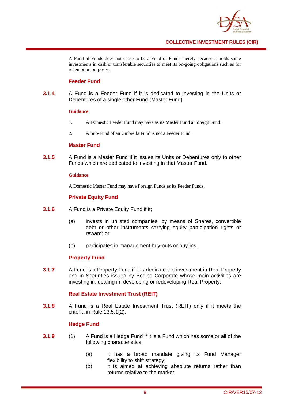

A Fund of Funds does not cease to be a Fund of Funds merely because it holds some investments in cash or transferable securities to meet its on-going obligations such as for redemption purposes.

## **Feeder Fund**

**3.1.4** A Fund is a Feeder Fund if it is dedicated to investing in the Units or Debentures of a single other Fund (Master Fund).

#### **Guidance**

- 1. A Domestic Feeder Fund may have as its Master Fund a Foreign Fund.
- 2. A Sub-Fund of an Umbrella Fund is not a Feeder Fund.

## **Master Fund**

**3.1.5** A Fund is a Master Fund if it issues its Units or Debentures only to other Funds which are dedicated to investing in that Master Fund.

#### **Guidance**

A Domestic Master Fund may have Foreign Funds as its Feeder Funds.

## **Private Equity Fund**

- **3.1.6** A Fund is a Private Equity Fund if it;
	- (a) invests in unlisted companies, by means of Shares, convertible debt or other instruments carrying equity participation rights or reward; or
	- (b) participates in management buy-outs or buy-ins.

## **Property Fund**

**3.1.7** A Fund is a Property Fund if it is dedicated to investment in Real Property and in Securities issued by Bodies Corporate whose main activities are investing in, dealing in, developing or redeveloping Real Property.

## **Real Estate Investment Trust (REIT)**

**3.1.8** A Fund is a Real Estate Investment Trust (REIT) only if it meets the criteria in Rule 13.5.1(2).

# **Hedge Fund**

- **3.1.9** (1) A Fund is a Hedge Fund if it is a Fund which has some or all of the following characteristics:
	- (a) it has a broad mandate giving its Fund Manager flexibility to shift strategy;
	- (b) it is aimed at achieving absolute returns rather than returns relative to the market;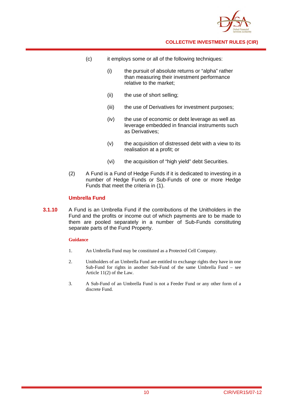

- (c) it employs some or all of the following techniques:
	- (i) the pursuit of absolute returns or "alpha" rather than measuring their investment performance relative to the market;
	- (ii) the use of short selling;
	- (iii) the use of Derivatives for investment purposes;
	- (iv) the use of economic or debt leverage as well as leverage embedded in financial instruments such as Derivatives;
	- (v) the acquisition of distressed debt with a view to its realisation at a profit; or
	- (vi) the acquisition of "high yield" debt Securities.
- (2) A Fund is a Fund of Hedge Funds if it is dedicated to investing in a number of Hedge Funds or Sub-Funds of one or more Hedge Funds that meet the criteria in (1).

# **Umbrella Fund**

**3.1.10** A Fund is an Umbrella Fund if the contributions of the Unitholders in the Fund and the profits or income out of which payments are to be made to them are pooled separately in a number of Sub-Funds constituting separate parts of the Fund Property.

## **Guidance**

- 1. An Umbrella Fund may be constituted as a Protected Cell Company.
- 2. Unitholders of an Umbrella Fund are entitled to exchange rights they have in one Sub-Fund for rights in another Sub-Fund of the same Umbrella Fund – see Article 11(2) of the Law.
- 3. A Sub-Fund of an Umbrella Fund is not a Feeder Fund or any other form of a discrete Fund.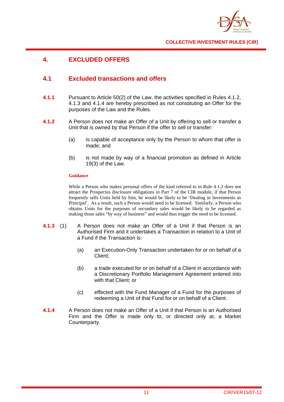

# **4. EXCLUDED OFFERS**

# **4.1 Excluded transactions and offers**

- **4.1.1** Pursuant to Article 50(2) of the Law, the activities specified in Rules 4.1.2, 4.1.3 and 4.1.4 are hereby prescribed as not constituting an Offer for the purposes of the Law and the Rules.
- **4.1.2** A Person does not make an Offer of a Unit by offering to sell or transfer a Unit that is owned by that Person if the offer to sell or transfer:
	- (a) is capable of acceptance only by the Person to whom that offer is made; and
	- (b) is not made by way of a financial promotion as defined in Article 19(3) of the Law.

## **Guidance**

While a Person who makes personal offers of the kind referred to in Rule 4.1.2 does not attract the Prospectus disclosure obligations in Part 7 of the CIR module, if that Person frequently sells Units held by him, he would be likely to be 'Dealing in Investments as Principal'. As a result, such a Person would need to be licensed. Similarly, a Person who obtains Units for the purposes of secondary sales would be likely to be regarded as making those sales "by way of business" and would thus trigger the need to be licensed.

- **4.1.3** (1) A Person does not make an Offer of a Unit if that Person is an Authorised Firm and it undertakes a Transaction in relation to a Unit of a Fund if the Transaction is:
	- (a) an Execution-Only Transaction undertaken for or on behalf of a Client;
	- (b) a trade executed for or on behalf of a Client in accordance with a Discretionary Portfolio Management Agreement entered into with that Client; or
	- (c) effected with the Fund Manager of a Fund for the purposes of redeeming a Unit of that Fund for or on behalf of a Client.
- **4.1.4** A Person does not make an Offer of a Unit if that Person is an Authorised Firm and the Offer is made only to, or directed only at, a Market Counterparty.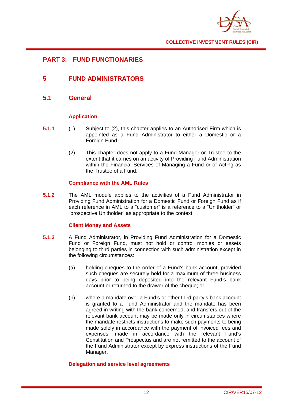

# **PART 3: FUND FUNCTIONARIES**

# **5 FUND ADMINISTRATORS**

**5.1 General** 

# **Application**

- **5.1.1** (1) Subject to (2), this chapter applies to an Authorised Firm which is appointed as a Fund Administrator to either a Domestic or a Foreign Fund.
	- (2) This chapter does not apply to a Fund Manager or Trustee to the extent that it carries on an activity of Providing Fund Administration within the Financial Services of Managing a Fund or of Acting as the Trustee of a Fund.

## **Compliance with the AML Rules**

**5.1.2** The AML module applies to the activities of a Fund Administrator in Providing Fund Administration for a Domestic Fund or Foreign Fund as if each reference in AML to a "customer" is a reference to a "Unitholder" or "prospective Unitholder" as appropriate to the context.

# **Client Money and Assets**

- **5.1.3** A Fund Administrator, in Providing Fund Administration for a Domestic Fund or Foreign Fund, must not hold or control monies or assets belonging to third parties in connection with such administration except in the following circumstances:
	- (a) holding cheques to the order of a Fund's bank account, provided such cheques are securely held for a maximum of three business days prior to being deposited into the relevant Fund's bank account or returned to the drawer of the cheque; or
	- (b) where a mandate over a Fund's or other third party's bank account is granted to a Fund Administrator and the mandate has been agreed in writing with the bank concerned, and transfers out of the relevant bank account may be made only in circumstances where the mandate restricts instructions to make such payments to being made solely in accordance with the payment of invoiced fees and expenses, made in accordance with the relevant Fund's Constitution and Prospectus and are not remitted to the account of the Fund Administrator except by express instructions of the Fund Manager.

## **Delegation and service level agreements**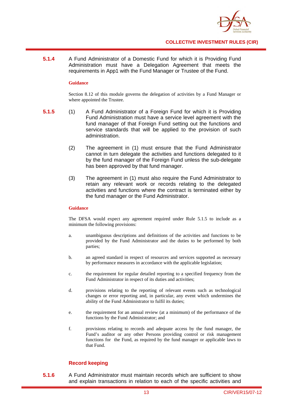

**5.1.4** A Fund Administrator of a Domestic Fund for which it is Providing Fund Administration must have a Delegation Agreement that meets the requirements in App1 with the Fund Manager or Trustee of the Fund.

#### **Guidance**

Section 8.12 of this module governs the delegation of activities by a Fund Manager or where appointed the Trustee.

- **5.1.5** (1) A Fund Administrator of a Foreign Fund for which it is Providing Fund Administration must have a service level agreement with the fund manager of that Foreign Fund setting out the functions and service standards that will be applied to the provision of such administration.
	- (2) The agreement in (1) must ensure that the Fund Administrator cannot in turn delegate the activities and functions delegated to it by the fund manager of the Foreign Fund unless the sub-delegate has been approved by that fund manager.
	- (3) The agreement in (1) must also require the Fund Administrator to retain any relevant work or records relating to the delegated activities and functions where the contract is terminated either by the fund manager or the Fund Administrator.

#### **Guidance**

The DFSA would expect any agreement required under Rule 5.1.5 to include as a minimum the following provisions:

- a. unambiguous descriptions and definitions of the activities and functions to be provided by the Fund Administrator and the duties to be performed by both parties;
- b. an agreed standard in respect of resources and services supported as necessary by performance measures in accordance with the applicable legislation;
- c. the requirement for regular detailed reporting to a specified frequency from the Fund Administrator in respect of its duties and activities;
- d. provisions relating to the reporting of relevant events such as technological changes or error reporting and, in particular, any event which undermines the ability of the Fund Administrator to fulfil its duties;
- e. the requirement for an annual review (at a minimum) of the performance of the functions by the Fund Administrator; and
- f. provisions relating to records and adequate access by the fund manager, the Fund's auditor or any other Persons providing control or risk management functions for the Fund, as required by the fund manager or applicable laws to that Fund.

# **Record keeping**

**5.1.6** A Fund Administrator must maintain records which are sufficient to show and explain transactions in relation to each of the specific activities and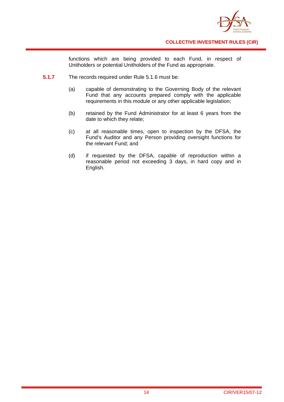

functions which are being provided to each Fund, in respect of Unitholders or potential Unitholders of the Fund as appropriate.

- **5.1.7** The records required under Rule 5.1.6 must be:
	- (a) capable of demonstrating to the Governing Body of the relevant Fund that any accounts prepared comply with the applicable requirements in this module or any other applicable legislation;
	- (b) retained by the Fund Administrator for at least 6 years from the date to which they relate;
	- (c) at all reasonable times, open to inspection by the DFSA, the Fund's Auditor and any Person providing oversight functions for the relevant Fund; and
	- (d) if requested by the DFSA, capable of reproduction within a reasonable period not exceeding 3 days, in hard copy and in English.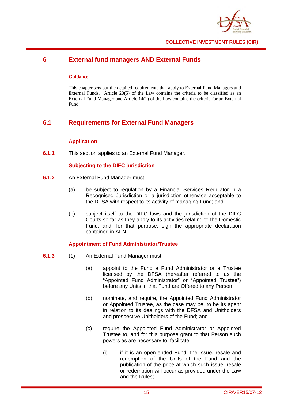

# **6 External fund managers AND External Funds**

#### **Guidance**

This chapter sets out the detailed requirements that apply to External Fund Managers and External Funds. Article 20(5) of the Law contains the criteria to be classified as an External Fund Manager and Article 14(1) of the Law contains the criteria for an External Fund.

# **6.1 Requirements for External Fund Managers**

# **Application**

**6.1.1** This section applies to an External Fund Manager.

## **Subjecting to the DIFC jurisdiction**

- **6.1.2** An External Fund Manager must:
	- (a) be subject to regulation by a Financial Services Regulator in a Recognised Jurisdiction or a jurisdiction otherwise acceptable to the DFSA with respect to its activity of managing Fund; and
	- (b) subject itself to the DIFC laws and the jurisdiction of the DIFC Courts so far as they apply to its activities relating to the Domestic Fund, and, for that purpose, sign the appropriate declaration contained in AFN.

# **Appointment of Fund Administrator/Trustee**

- **6.1.3** (1) An External Fund Manager must:
	- (a) appoint to the Fund a Fund Administrator or a Trustee licensed by the DFSA (hereafter referred to as the "Appointed Fund Administrator" or "Appointed Trustee") before any Units in that Fund are Offered to any Person;
	- (b) nominate, and require, the Appointed Fund Administrator or Appointed Trustee, as the case may be, to be its agent in relation to its dealings with the DFSA and Unitholders and prospective Unitholders of the Fund; and
	- (c) require the Appointed Fund Administrator or Appointed Trustee to, and for this purpose grant to that Person such powers as are necessary to, facilitate:
		- (i) if it is an open-ended Fund, the issue, resale and redemption of the Units of the Fund and the publication of the price at which such issue, resale or redemption will occur as provided under the Law and the Rules;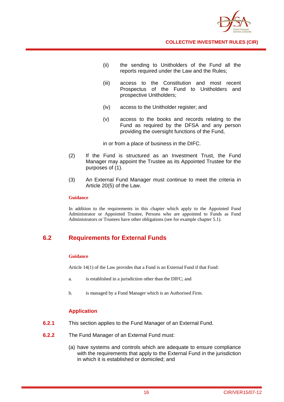

- (ii) the sending to Unitholders of the Fund all the reports required under the Law and the Rules;
- (iii) access to the Constitution and most recent Prospectus of the Fund to Unitholders and prospective Unitholders;
- (iv) access to the Unitholder register; and
- (v) access to the books and records relating to the Fund as required by the DFSA and any person providing the oversight functions of the Fund,

in or from a place of business in the DIFC.

- (2) If the Fund is structured as an Investment Trust, the Fund Manager may appoint the Trustee as its Appointed Trustee for the purposes of (1).
- (3) An External Fund Manager must continue to meet the criteria in Article 20(5) of the Law.

#### **Guidance**

In addition to the requirements in this chapter which apply to the Appointed Fund Administrator or Appointed Trustee, Persons who are appointed to Funds as Fund Administrators or Trustees have other obligations (see for example chapter 5.1).

# **6.2 Requirements for External Funds**

## **Guidance**

Article 14(1) of the Law provides that a Fund is an External Fund if that Fund:

- a. is established in a jurisdiction other than the DIFC; and
- b. is managed by a Fund Manager which is an Authorised Firm.

# **Application**

- **6.2.1** This section applies to the Fund Manager of an External Fund.
- **6.2.2** The Fund Manager of an External Fund must:
	- (a) have systems and controls which are adequate to ensure compliance with the requirements that apply to the External Fund in the jurisdiction in which it is established or domiciled; and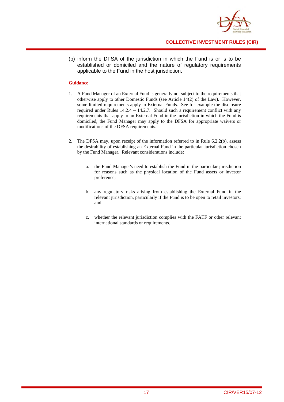

(b) inform the DFSA of the jurisdiction in which the Fund is or is to be established or domiciled and the nature of regulatory requirements applicable to the Fund in the host jurisdiction.

## **Guidance**

- 1. A Fund Manager of an External Fund is generally not subject to the requirements that otherwise apply to other Domestic Funds (see Article 14(2) of the Law). However, some limited requirements apply to External Funds. See for example the disclosure required under Rules  $14.2.4 - 14.2.7$ . Should such a requirement conflict with any requirements that apply to an External Fund in the jurisdiction in which the Fund is domiciled, the Fund Manager may apply to the DFSA for appropriate waivers or modifications of the DFSA requirements.
- 2. The DFSA may, upon receipt of the information referred to in Rule 6.2.2(b), assess the desirability of establishing an External Fund in the particular jurisdiction chosen by the Fund Manager. Relevant considerations include:
	- a. the Fund Manager's need to establish the Fund in the particular jurisdiction for reasons such as the physical location of the Fund assets or investor preference;
	- b. any regulatory risks arising from establishing the External Fund in the relevant jurisdiction, particularly if the Fund is to be open to retail investors; and
	- c. whether the relevant jurisdiction complies with the FATF or other relevant international standards or requirements.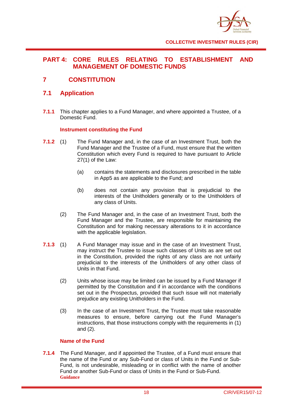

# **PART 4: CORE RULES RELATING TO ESTABLISHMENT AND MANAGEMENT OF DOMESTIC FUNDS**

# **7 CONSTITUTION**

# **7.1 Application**

**7.1.1** This chapter applies to a Fund Manager, and where appointed a Trustee, of a Domestic Fund.

# **Instrument constituting the Fund**

- **7.1.2** (1) The Fund Manager and, in the case of an Investment Trust, both the Fund Manager and the Trustee of a Fund, must ensure that the written Constitution which every Fund is required to have pursuant to Article 27(1) of the Law:
	- (a) contains the statements and disclosures prescribed in the table in App5 as are applicable to the Fund; and
	- (b) does not contain any provision that is prejudicial to the interests of the Unitholders generally or to the Unitholders of any class of Units.
	- (2) The Fund Manager and, in the case of an Investment Trust, both the Fund Manager and the Trustee, are responsible for maintaining the Constitution and for making necessary alterations to it in accordance with the applicable legislation.
- **7.1.3** (1) A Fund Manager may issue and in the case of an Investment Trust, may instruct the Trustee to issue such classes of Units as are set out in the Constitution, provided the rights of any class are not unfairly prejudicial to the interests of the Unitholders of any other class of Units in that Fund.
	- (2) Units whose issue may be limited can be issued by a Fund Manager if permitted by the Constitution and if in accordance with the conditions set out in the Prospectus, provided that such issue will not materially prejudice any existing Unitholders in the Fund.
	- (3) In the case of an Investment Trust, the Trustee must take reasonable measures to ensure, before carrying out the Fund Manager's instructions, that those instructions comply with the requirements in (1) and (2).

# **Name of the Fund**

**7.1.4** The Fund Manager, and if appointed the Trustee, of a Fund must ensure that the name of the Fund or any Sub-Fund or class of Units in the Fund or Sub-Fund, is not undesirable, misleading or in conflict with the name of another Fund or another Sub-Fund or class of Units in the Fund or Sub-Fund. **Guidance**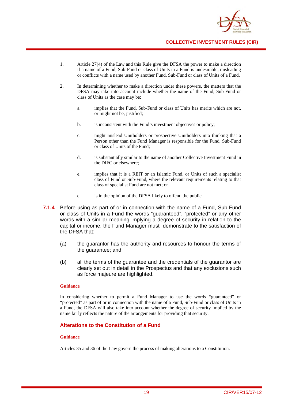

- 1. Article 27(4) of the Law and this Rule give the DFSA the power to make a direction if a name of a Fund, Sub-Fund or class of Units in a Fund is undesirable, misleading or conflicts with a name used by another Fund, Sub-Fund or class of Units of a Fund.
- 2. In determining whether to make a direction under these powers, the matters that the DFSA may take into account include whether the name of the Fund, Sub-Fund or class of Units as the case may be:
	- a. implies that the Fund, Sub-Fund or class of Units has merits which are not, or might not be, justified;
	- b. is inconsistent with the Fund's investment objectives or policy;
	- c. might mislead Unitholders or prospective Unitholders into thinking that a Person other than the Fund Manager is responsible for the Fund, Sub-Fund or class of Units of the Fund;
	- d. is substantially similar to the name of another Collective Investment Fund in the DIFC or elsewhere;
	- e. implies that it is a REIT or an Islamic Fund, or Units of such a specialist class of Fund or Sub-Fund, where the relevant requirements relating to that class of specialist Fund are not met; or
	- e. is in the opinion of the DFSA likely to offend the public.
- **7.1.4** Before using as part of or in connection with the name of a Fund, Sub-Fund or class of Units in a Fund the words "guaranteed", "protected" or any other words with a similar meaning implying a degree of security in relation to the capital or income, the Fund Manager must demonstrate to the satisfaction of the DFSA that:
	- (a) the guarantor has the authority and resources to honour the terms of the guarantee; and
	- (b) all the terms of the guarantee and the credentials of the guarantor are clearly set out in detail in the Prospectus and that any exclusions such as force majeure are highlighted.

#### **Guidance**

In considering whether to permit a Fund Manager to use the words "guaranteed" or "protected" as part of or in connection with the name of a Fund, Sub-Fund or class of Units in a Fund, the DFSA will also take into account whether the degree of security implied by the name fairly reflects the nature of the arrangements for providing that security.

# **Alterations to the Constitution of a Fund**

## **Guidance**

Articles 35 and 36 of the Law govern the process of making alterations to a Constitution.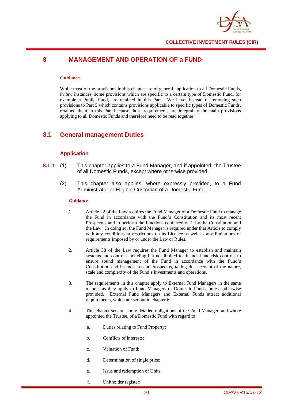

# **8 MANAGEMENT AND OPERATION OF a FUND**

#### **Guidance**

While most of the provisions in this chapter are of general application to all Domestic Funds, in few instances, some provisions which are specific to a certain type of Domestic Fund, for example a Public Fund, are retained in this Part. We have, instead of removing such provisions to Part 5 which contains provisions applicable to specific types of Domestic Funds, retained them in this Part because those requirements are integral to the main provisions applying to all Domestic Funds and therefore need to be read together.

# **8.1 General management Duties**

## **Application**

- **8.1.1** (1) This chapter applies to a Fund Manager, and if appointed, the Trustee of all Domestic Funds, except where otherwise provided.
	- (2) This chapter also applies, where expressly provided, to a Fund Administrator or Eligible Custodian of a Domestic Fund.

#### **Guidance**

- 1. Article 22 of the Law requires the Fund Manager of a Domestic Fund to manage the Fund in accordance with the Fund's Constitution and its most recent Prospectus and to perform the functions conferred on it by the Constitution and the Law. In doing so, the Fund Manager is required under that Article to comply with any conditions or restrictions on its Licence as well as any limitations or requirements imposed by or under the Law or Rules.
- 2. Article 38 of the Law requires the Fund Manager to establish and maintain systems and controls including but not limited to financial and risk controls to ensure sound management of the Fund in accordance with the Fund's Constitution and its most recent Prospectus, taking due account of the nature, scale and complexity of the Fund's investments and operations.
- 3. The requirements in this chapter apply to External Fund Managers in the same manner as they apply to Fund Managers of Domestic Funds, unless otherwise provided. External Fund Managers and External Funds attract additional requirements, which are set out in chapter 6.
- 4. This chapter sets out more detailed obligations of the Fund Manager, and where appointed the Trustee, of a Domestic Fund with regard to:
	- a. Duties relating to Fund Property;
	- b. Conflicts of interests;
	- c. Valuation of Fund;
	- d. Determination of single price;
	- e. Issue and redemption of Units;
	- f. Unitholder register;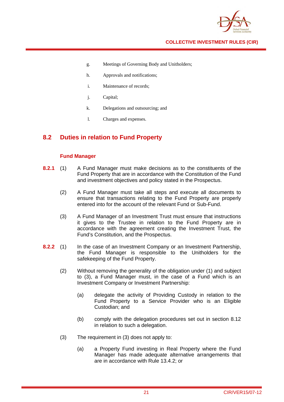

- g. Meetings of Governing Body and Unitholders;
- h. Approvals and notifications;
- i. Maintenance of records;
- j. Capital;
- k. Delegations and outsourcing; and
- l. Charges and expenses.

# **8.2 Duties in relation to Fund Property**

# **Fund Manager**

- **8.2.1** (1) A Fund Manager must make decisions as to the constituents of the Fund Property that are in accordance with the Constitution of the Fund and investment objectives and policy stated in the Prospectus.
	- (2) A Fund Manager must take all steps and execute all documents to ensure that transactions relating to the Fund Property are properly entered into for the account of the relevant Fund or Sub-Fund.
	- (3) A Fund Manager of an Investment Trust must ensure that instructions it gives to the Trustee in relation to the Fund Property are in accordance with the agreement creating the Investment Trust, the Fund's Constitution, and the Prospectus.
- **8.2.2** (1) In the case of an Investment Company or an Investment Partnership, the Fund Manager is responsible to the Unitholders for the safekeeping of the Fund Property.
	- (2) Without removing the generality of the obligation under (1) and subject to (3), a Fund Manager must, in the case of a Fund which is an Investment Company or Investment Partnership:
		- (a) delegate the activity of Providing Custody in relation to the Fund Property to a Service Provider who is an Eligible Custodian; and
		- (b) comply with the delegation procedures set out in section 8.12 in relation to such a delegation.
	- (3) The requirement in (3) does not apply to:
		- (a) a Property Fund investing in Real Property where the Fund Manager has made adequate alternative arrangements that are in accordance with Rule 13.4.2; or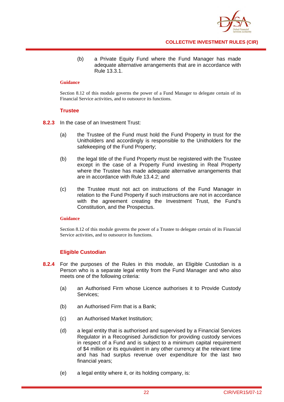

(b) a Private Equity Fund where the Fund Manager has made adequate alternative arrangements that are in accordance with Rule 13.3.1.

#### **Guidance**

Section 8.12 of this module governs the power of a Fund Manager to delegate certain of its Financial Service activities, and to outsource its functions.

## **Trustee**

- **8.2.3** In the case of an Investment Trust:
	- (a) the Trustee of the Fund must hold the Fund Property in trust for the Unitholders and accordingly is responsible to the Unitholders for the safekeeping of the Fund Property;
	- (b) the legal title of the Fund Property must be registered with the Trustee except in the case of a Property Fund investing in Real Property where the Trustee has made adequate alternative arrangements that are in accordance with Rule 13.4.2; and
	- (c) the Trustee must not act on instructions of the Fund Manager in relation to the Fund Property if such instructions are not in accordance with the agreement creating the Investment Trust, the Fund's Constitution, and the Prospectus.

## **Guidance**

Section 8.12 of this module governs the power of a Trustee to delegate certain of its Financial Service activities, and to outsource its functions.

# **Eligible Custodian**

- **8.2.4** For the purposes of the Rules in this module, an Eligible Custodian is a Person who is a separate legal entity from the Fund Manager and who also meets one of the following criteria:
	- (a) an Authorised Firm whose Licence authorises it to Provide Custody Services;
	- (b) an Authorised Firm that is a Bank;
	- (c) an Authorised Market Institution;
	- (d) a legal entity that is authorised and supervised by a Financial Services Regulator in a Recognised Jurisdiction for providing custody services in respect of a Fund and is subject to a minimum capital requirement of \$4 million or its equivalent in any other currency at the relevant time and has had surplus revenue over expenditure for the last two financial years;
	- (e) a legal entity where it, or its holding company, is: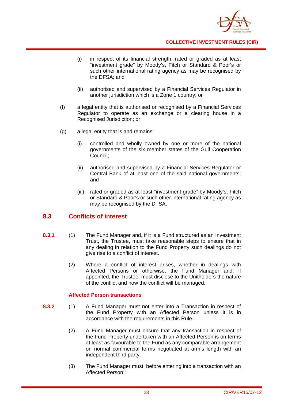

- (i) in respect of its financial strength, rated or graded as at least "investment grade" by Moody's, Fitch or Standard & Poor's or such other international rating agency as may be recognised by the DFSA; and
- (ii) authorised and supervised by a Financial Services Regulator in another jurisdiction which is a Zone 1 country; or
- (f) a legal entity that is authorised or recognised by a Financial Services Regulator to operate as an exchange or a clearing house in a Recognised Jurisdiction; or
- (g) a legal entity that is and remains:
	- (i) controlled and wholly owned by one or more of the national governments of the six member states of the Gulf Cooperation Council;
	- (ii) authorised and supervised by a Financial Services Regulator or Central Bank of at least one of the said national governments; and
	- (iii) rated or graded as at least "investment grade" by Moody's, Fitch or Standard & Poor's or such other international rating agency as may be recognised by the DFSA.

# **8.3 Conflicts of interest**

- **8.3.1** (1) The Fund Manager and, if it is a Fund structured as an Investment Trust, the Trustee, must take reasonable steps to ensure that in any dealing in relation to the Fund Property such dealings do not give rise to a conflict of interest.
	- (2) Where a conflict of interest arises, whether in dealings with Affected Persons or otherwise, the Fund Manager and, if appointed, the Trustee, must disclose to the Unitholders the nature of the conflict and how the conflict will be managed.

# **Affected Person transactions**

- **8.3.2** (1) A Fund Manager must not enter into a Transaction in respect of the Fund Property with an Affected Person unless it is in accordance with the requirements in this Rule.
	- (2) A Fund Manager must ensure that any transaction in respect of the Fund Property undertaken with an Affected Person is on terms at least as favourable to the Fund as any comparable arrangement on normal commercial terms negotiated at arm's length with an independent third party.
	- (3) The Fund Manager must, before entering into a transaction with an Affected Person: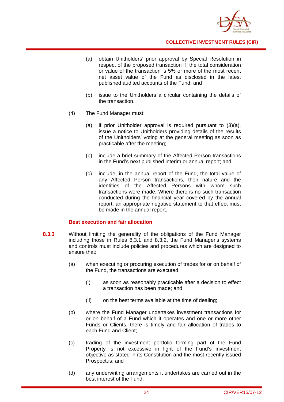

- (a) obtain Unitholders' prior approval by Special Resolution in respect of the proposed transaction if the total consideration or value of the transaction is 5% or more of the most recent net asset value of the Fund as disclosed in the latest published audited accounts of the Fund; and
- (b) issue to the Unitholders a circular containing the details of the transaction.
- (4) The Fund Manager must:
	- (a) if prior Unitholder approval is required pursuant to (3)(a), issue a notice to Unitholders providing details of the results of the Unitholders' voting at the general meeting as soon as practicable after the meeting;
	- (b) include a brief summary of the Affected Person transactions in the Fund's next published interim or annual report; and
	- (c) include, in the annual report of the Fund, the total value of any Affected Person transactions, their nature and the identities of the Affected Persons with whom such transactions were made. Where there is no such transaction conducted during the financial year covered by the annual report, an appropriate negative statement to that effect must be made in the annual report.

## **Best execution and fair allocation**

- **8.3.3** Without limiting the generality of the obligations of the Fund Manager including those in Rules 8.3.1 and 8.3.2, the Fund Manager's systems and controls must include policies and procedures which are designed to ensure that:
	- (a) when executing or procuring execution of trades for or on behalf of the Fund, the transactions are executed:
		- (i) as soon as reasonably practicable after a decision to effect a transaction has been made; and
		- (ii) on the best terms available at the time of dealing;
	- (b) where the Fund Manager undertakes investment transactions for or on behalf of a Fund which it operates and one or more other Funds or Clients, there is timely and fair allocation of trades to each Fund and Client;
	- (c) trading of the investment portfolio forming part of the Fund Property is not excessive in light of the Fund's investment objective as stated in its Constitution and the most recently issued Prospectus; and
	- (d) any underwriting arrangements it undertakes are carried out in the best interest of the Fund.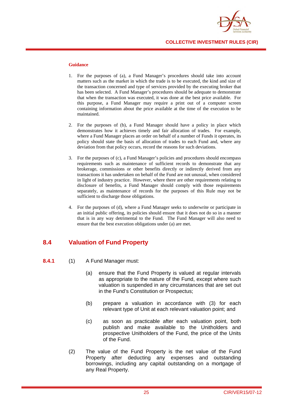

#### **Guidance**

- 1. For the purposes of (a), a Fund Manager's procedures should take into account matters such as the market in which the trade is to be executed, the kind and size of the transaction concerned and type of services provided by the executing broker that has been selected. A Fund Manager's procedures should be adequate to demonstrate that when the transaction was executed, it was done at the best price available. For this purpose, a Fund Manager may require a print out of a computer screen containing information about the price available at the time of the execution to be maintained.
- 2. For the purposes of (b), a Fund Manager should have a policy in place which demonstrates how it achieves timely and fair allocation of trades. For example, where a Fund Manager places an order on behalf of a number of Funds it operates, its policy should state the basis of allocation of trades to each Fund and, where any deviation from that policy occurs, record the reasons for such deviations.
- 3. For the purposes of (c), a Fund Manager's policies and procedures should encompass requirements such as maintenance of sufficient records to demonstrate that any brokerage, commissions or other benefits directly or indirectly derived from any transactions it has undertaken on behalf of the Fund are not unusual, when considered in light of industry practice. However, where there are other requirements relating to disclosure of benefits, a Fund Manager should comply with those requirements separately, as maintenance of records for the purposes of this Rule may not be sufficient to discharge those obligations.
- 4. For the purposes of (d), where a Fund Manager seeks to underwrite or participate in an initial public offering, its policies should ensure that it does not do so in a manner that is in any way detrimental to the Fund. The Fund Manager will also need to ensure that the best execution obligations under (a) are met.

# **8.4 Valuation of Fund Property**

- **8.4.1** (1) A Fund Manager must:
	- (a) ensure that the Fund Property is valued at regular intervals as appropriate to the nature of the Fund, except where such valuation is suspended in any circumstances that are set out in the Fund's Constitution or Prospectus;
	- (b) prepare a valuation in accordance with (3) for each relevant type of Unit at each relevant valuation point; and
	- (c) as soon as practicable after each valuation point, both publish and make available to the Unitholders and prospective Unitholders of the Fund, the price of the Units of the Fund.
	- (2) The value of the Fund Property is the net value of the Fund Property after deducting any expenses and outstanding borrowings, including any capital outstanding on a mortgage of any Real Property.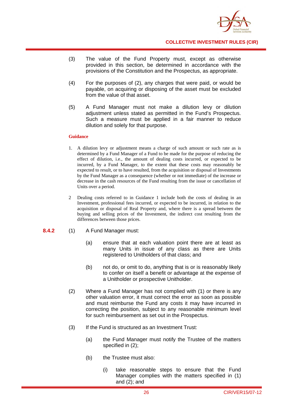

- (3) The value of the Fund Property must, except as otherwise provided in this section, be determined in accordance with the provisions of the Constitution and the Prospectus, as appropriate.
- (4) For the purposes of (2), any charges that were paid, or would be payable, on acquiring or disposing of the asset must be excluded from the value of that asset.
- (5) A Fund Manager must not make a dilution levy or dilution adjustment unless stated as permitted in the Fund's Prospectus. Such a measure must be applied in a fair manner to reduce dilution and solely for that purpose.

#### **Guidance**

- 1. A dilution levy or adjustment means a charge of such amount or such rate as is determined by a Fund Manager of a Fund to be made for the purpose of reducing the effect of dilution, i.e., the amount of dealing costs incurred, or expected to be incurred, by a Fund Manager, to the extent that these costs may reasonably be expected to result, or to have resulted, from the acquisition or disposal of Investments by the Fund Manager as a consequence (whether or not immediate) of the increase or decrease in the cash resources of the Fund resulting from the issue or cancellation of Units over a period.
- 2 Dealing costs referred to in Guidance 1 include both the costs of dealing in an Investment, professional fees incurred, or expected to be incurred, in relation to the acquisition or disposal of Real Property and, where there is a spread between the buying and selling prices of the Investment, the indirect cost resulting from the differences between those prices.

## **8.4.2** (1) A Fund Manager must:

- (a) ensure that at each valuation point there are at least as many Units in issue of any class as there are Units registered to Unitholders of that class; and
- (b) not do, or omit to do, anything that is or is reasonably likely to confer on itself a benefit or advantage at the expense of a Unitholder or prospective Unitholder.
- (2) Where a Fund Manager has not complied with (1) or there is any other valuation error, it must correct the error as soon as possible and must reimburse the Fund any costs it may have incurred in correcting the position, subject to any reasonable minimum level for such reimbursement as set out in the Prospectus.
- (3) If the Fund is structured as an Investment Trust:
	- (a) the Fund Manager must notify the Trustee of the matters specified in (2);
	- (b) the Trustee must also:
		- (i) take reasonable steps to ensure that the Fund Manager complies with the matters specified in (1) and (2); and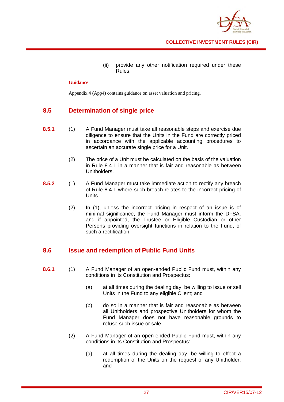

(ii) provide any other notification required under these Rules.

#### **Guidance**

Appendix 4 (App4) contains guidance on asset valuation and pricing.

# **8.5 Determination of single price**

- **8.5.1** (1) A Fund Manager must take all reasonable steps and exercise due diligence to ensure that the Units in the Fund are correctly priced in accordance with the applicable accounting procedures to ascertain an accurate single price for a Unit.
	- (2) The price of a Unit must be calculated on the basis of the valuation in Rule 8.4.1 in a manner that is fair and reasonable as between Unitholders.
- **8.5.2** (1) A Fund Manager must take immediate action to rectify any breach of Rule 8.4.1 where such breach relates to the incorrect pricing of Units.
	- (2) In (1), unless the incorrect pricing in respect of an issue is of minimal significance, the Fund Manager must inform the DFSA, and if appointed, the Trustee or Eligible Custodian or other Persons providing oversight functions in relation to the Fund, of such a rectification.

# **8.6 Issue and redemption of Public Fund Units**

- **8.6.1** (1) A Fund Manager of an open-ended Public Fund must, within any conditions in its Constitution and Prospectus:
	- (a) at all times during the dealing day, be willing to issue or sell Units in the Fund to any eligible Client; and
	- (b) do so in a manner that is fair and reasonable as between all Unitholders and prospective Unitholders for whom the Fund Manager does not have reasonable grounds to refuse such issue or sale.
	- (2) A Fund Manager of an open-ended Public Fund must, within any conditions in its Constitution and Prospectus:
		- (a) at all times during the dealing day, be willing to effect a redemption of the Units on the request of any Unitholder; and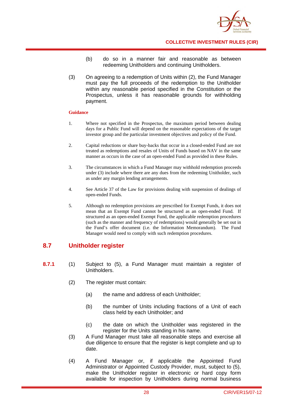

- (b) do so in a manner fair and reasonable as between redeeming Unitholders and continuing Unitholders.
- (3) On agreeing to a redemption of Units within (2), the Fund Manager must pay the full proceeds of the redemption to the Unitholder within any reasonable period specified in the Constitution or the Prospectus, unless it has reasonable grounds for withholding payment.

#### **Guidance**

- 1. Where not specified in the Prospectus, the maximum period between dealing days for a Public Fund will depend on the reasonable expectations of the target investor group and the particular investment objectives and policy of the Fund.
- 2. Capital reductions or share buy-backs that occur in a closed-ended Fund are not treated as redemptions and resales of Units of Funds based on NAV in the same manner as occurs in the case of an open-ended Fund as provided in these Rules.
- 3. The circumstances in which a Fund Manager may withhold redemption proceeds under (3) include where there are any dues from the redeeming Unitholder, such as under any margin lending arrangements.
- 4. See Article 37 of the Law for provisions dealing with suspension of dealings of open-ended Funds.
- 5. Although no redemption provisions are prescribed for Exempt Funds, it does not mean that an Exempt Fund cannot be structured as an open-ended Fund. If structured as an open-ended Exempt Fund, the applicable redemption procedures (such as the manner and frequency of redemptions) would generally be set out in the Fund's offer document (i.e. the Information Memorandum). The Fund Manager would need to comply with such redemption procedures.

# **8.7 Unitholder register**

- **8.7.1** (1) Subject to (5), a Fund Manager must maintain a register of Unitholders.
	- (2) The register must contain:
		- (a) the name and address of each Unitholder;
		- (b) the number of Units including fractions of a Unit of each class held by each Unitholder; and
		- (c) the date on which the Unitholder was registered in the register for the Units standing in his name.
	- (3) A Fund Manager must take all reasonable steps and exercise all due diligence to ensure that the register is kept complete and up to date.
	- (4) A Fund Manager or, if applicable the Appointed Fund Administrator or Appointed Custody Provider, must, subject to (5), make the Unitholder register in electronic or hard copy form available for inspection by Unitholders during normal business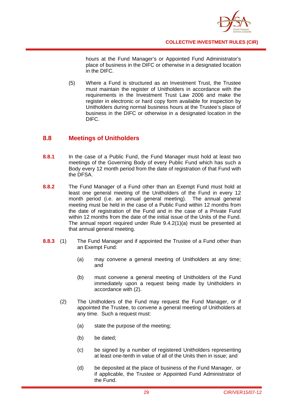

hours at the Fund Manager's or Appointed Fund Administrator's place of business in the DIFC or otherwise in a designated location in the DIFC.

(5) Where a Fund is structured as an Investment Trust, the Trustee must maintain the register of Unitholders in accordance with the requirements in the Investment Trust Law 2006 and make the register in electronic or hard copy form available for inspection by Unitholders during normal business hours at the Trustee's place of business in the DIFC or otherwise in a designated location in the DIFC.

# **8.8 Meetings of Unitholders**

- **8.8.1** In the case of a Public Fund, the Fund Manager must hold at least two meetings of the Governing Body of every Public Fund which has such a Body every 12 month period from the date of registration of that Fund with the DFSA.
- **8.8.2** The Fund Manager of a Fund other than an Exempt Fund must hold at least one general meeting of the Unitholders of the Fund in every 12 month period (i.e. an annual general meeting). The annual general meeting must be held in the case of a Public Fund within 12 months from the date of registration of the Fund and in the case of a Private Fund within 12 months from the date of the initial issue of the Units of the Fund. The annual report required under Rule 9.4.2(1)(a) must be presented at that annual general meeting.
- **8.8.3** (1) The Fund Manager and if appointed the Trustee of a Fund other than an Exempt Fund:
	- (a) may convene a general meeting of Unitholders at any time; and
	- (b) must convene a general meeting of Unitholders of the Fund immediately upon a request being made by Unitholders in accordance with (2).
	- (2) The Unitholders of the Fund may request the Fund Manager, or if appointed the Trustee, to convene a general meeting of Unitholders at any time. Such a request must:
		- (a) state the purpose of the meeting;
		- (b) be dated;
		- (c) be signed by a number of registered Unitholders representing at least one-tenth in value of all of the Units then in issue; and
		- (d) be deposited at the place of business of the Fund Manager, or if applicable, the Trustee or Appointed Fund Administrator of the Fund.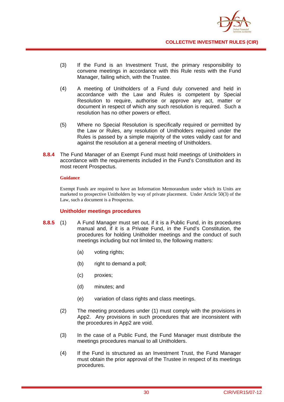

- (3) If the Fund is an Investment Trust, the primary responsibility to convene meetings in accordance with this Rule rests with the Fund Manager, failing which, with the Trustee.
- (4) A meeting of Unitholders of a Fund duly convened and held in accordance with the Law and Rules is competent by Special Resolution to require, authorise or approve any act, matter or document in respect of which any such resolution is required. Such a resolution has no other powers or effect.
- (5) Where no Special Resolution is specifically required or permitted by the Law or Rules, any resolution of Unitholders required under the Rules is passed by a simple majority of the votes validly cast for and against the resolution at a general meeting of Unitholders.
- **8.8.4** The Fund Manager of an Exempt Fund must hold meetings of Unitholders in accordance with the requirements included in the Fund's Constitution and its most recent Prospectus.

#### **Guidance**

Exempt Funds are required to have an Information Memorandum under which its Units are marketed to prospective Unitholders by way of private placement. Under Article 50(3) of the Law, such a document is a Prospectus.

# **Unitholder meetings procedures**

- **8.8.5** (1) A Fund Manager must set out, if it is a Public Fund, in its procedures manual and, if it is a Private Fund, in the Fund's Constitution, the procedures for holding Unitholder meetings and the conduct of such meetings including but not limited to, the following matters:
	- (a) voting rights;
	- (b) right to demand a poll;
	- (c) proxies;
	- (d) minutes; and
	- (e) variation of class rights and class meetings.
	- (2) The meeting procedures under (1) must comply with the provisions in App2. Any provisions in such procedures that are inconsistent with the procedures in App2 are void.
	- (3) In the case of a Public Fund, the Fund Manager must distribute the meetings procedures manual to all Unitholders.
	- (4) If the Fund is structured as an Investment Trust, the Fund Manager must obtain the prior approval of the Trustee in respect of its meetings procedures.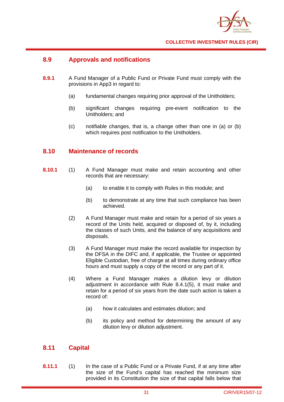

# **8.9 Approvals and notifications**

- **8.9.1** A Fund Manager of a Public Fund or Private Fund must comply with the provisions in App3 in regard to:
	- (a) fundamental changes requiring prior approval of the Unitholders;
	- (b) significant changes requiring pre-event notification to the Unitholders; and
	- (c) notifiable changes, that is, a change other than one in (a) or (b) which requires post notification to the Unitholders.

# **8.10 Maintenance of records**

- **8.10.1** (1) A Fund Manager must make and retain accounting and other records that are necessary:
	- (a) to enable it to comply with Rules in this module; and
	- (b) to demonstrate at any time that such compliance has been achieved.
	- (2) A Fund Manager must make and retain for a period of six years a record of the Units held, acquired or disposed of, by it, including the classes of such Units, and the balance of any acquisitions and disposals.
	- (3) A Fund Manager must make the record available for inspection by the DFSA in the DIFC and, if applicable, the Trustee or appointed Eligible Custodian, free of charge at all times during ordinary office hours and must supply a copy of the record or any part of it.
	- (4) Where a Fund Manager makes a dilution levy or dilution adjustment in accordance with Rule 8.4.1(5), it must make and retain for a period of six years from the date such action is taken a record of:
		- (a) how it calculates and estimates dilution; and
		- (b) its policy and method for determining the amount of any dilution levy or dilution adjustment.

# **8.11 Capital**

**8.11.1** (1) In the case of a Public Fund or a Private Fund, if at any time after the size of the Fund's capital has reached the minimum size provided in its Constitution the size of that capital falls below that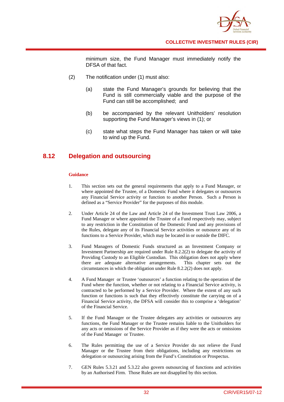

minimum size, the Fund Manager must immediately notify the DFSA of that fact.

- (2) The notification under (1) must also:
	- (a) state the Fund Manager's grounds for believing that the Fund is still commercially viable and the purpose of the Fund can still be accomplished; and
	- (b) be accompanied by the relevant Unitholders' resolution supporting the Fund Manager's views in (1); or
	- (c) state what steps the Fund Manager has taken or will take to wind up the Fund.

## **8.12 Delegation and outsourcing**

#### **Guidance**

- 1. This section sets out the general requirements that apply to a Fund Manager, or where appointed the Trustee, of a Domestic Fund where it delegates or outsources any Financial Service activity or function to another Person. Such a Person is defined as a "Service Provider" for the purposes of this module.
- 2. Under Article 24 of the Law and Article 24 of the Investment Trust Law 2006, a Fund Manager or where appointed the Trustee of a Fund respectively may, subject to any restriction in the Constitution of the Domestic Fund and any provisions of the Rules, delegate any of its Financial Service activities or outsource any of its functions to a Service Provider, which may be located in or outside the DIFC.
- 3. Fund Managers of Domestic Funds structured as an Investment Company or Investment Partnership are required under Rule 8.2.2(2) to delegate the activity of Providing Custody to an Eligible Custodian. This obligation does not apply where there are adequate alternative arrangements. This chapter sets out the circumstances in which the obligation under Rule 8.2.2(2) does not apply.
- 4. A Fund Manager or Trustee 'outsources' a function relating to the operation of the Fund where the function, whether or not relating to a Financial Service activity, is contracted to be performed by a Service Provider. Where the extent of any such function or functions is such that they effectively constitute the carrying on of a Financial Service activity, the DFSA will consider this to comprise a 'delegation' of the Financial Service.
- 5. If the Fund Manager or the Trustee delegates any activities or outsources any functions, the Fund Manager or the Trustee remains liable to the Unitholders for any acts or omissions of the Service Provider as if they were the acts or omissions of the Fund Manager or Trustee.
- 6. The Rules permitting the use of a Service Provider do not relieve the Fund Manager or the Trustee from their obligations, including any restrictions on delegation or outsourcing arising from the Fund's Constitution or Prospectus.
- 7. GEN Rules 5.3.21 and 5.3.22 also govern outsourcing of functions and activities by an Authorised Firm. Those Rules are not disapplied by this section.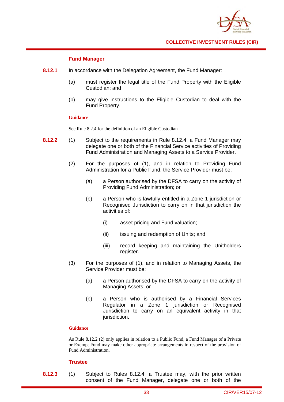

## **Fund Manager**

- **8.12.1** In accordance with the Delegation Agreement, the Fund Manager:
	- (a) must register the legal title of the Fund Property with the Eligible Custodian; and
	- (b) may give instructions to the Eligible Custodian to deal with the Fund Property.

#### **Guidance**

See Rule 8.2.4 for the definition of an Eligible Custodian

- **8.12.2** (1) Subject to the requirements in Rule 8.12.4, a Fund Manager may delegate one or both of the Financial Service activities of Providing Fund Administration and Managing Assets to a Service Provider.
	- (2) For the purposes of (1), and in relation to Providing Fund Administration for a Public Fund, the Service Provider must be:
		- (a) a Person authorised by the DFSA to carry on the activity of Providing Fund Administration; or
		- (b) a Person who is lawfully entitled in a Zone 1 jurisdiction or Recognised Jurisdiction to carry on in that jurisdiction the activities of:
			- (i) asset pricing and Fund valuation;
			- (ii) issuing and redemption of Units; and
			- (iii) record keeping and maintaining the Unitholders register.
	- (3) For the purposes of (1), and in relation to Managing Assets, the Service Provider must be:
		- (a) a Person authorised by the DFSA to carry on the activity of Managing Assets; or
		- (b) a Person who is authorised by a Financial Services Regulator in a Zone 1 jurisdiction or Recognised Jurisdiction to carry on an equivalent activity in that jurisdiction.

#### **Guidance**

As Rule 8.12.2 (2) only applies in relation to a Public Fund, a Fund Manager of a Private or Exempt Fund may make other appropriate arrangements in respect of the provision of Fund Administration.

## **Trustee**

**8.12.3** (1) Subject to Rules 8.12.4, a Trustee may, with the prior written consent of the Fund Manager, delegate one or both of the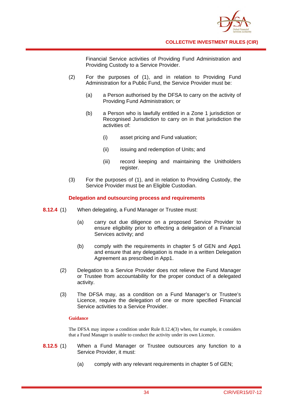

Financial Service activities of Providing Fund Administration and Providing Custody to a Service Provider.

- (2) For the purposes of (1), and in relation to Providing Fund Administration for a Public Fund, the Service Provider must be:
	- (a) a Person authorised by the DFSA to carry on the activity of Providing Fund Administration; or
	- (b) a Person who is lawfully entitled in a Zone 1 jurisdiction or Recognised Jurisdiction to carry on in that jurisdiction the activities of:
		- (i) asset pricing and Fund valuation;
		- (ii) issuing and redemption of Units; and
		- (iii) record keeping and maintaining the Unitholders register.
- (3) For the purposes of (1), and in relation to Providing Custody, the Service Provider must be an Eligible Custodian.

## **Delegation and outsourcing process and requirements**

- **8.12.4** (1) When delegating, a Fund Manager or Trustee must:
	- (a) carry out due diligence on a proposed Service Provider to ensure eligibility prior to effecting a delegation of a Financial Services activity; and
	- (b) comply with the requirements in chapter 5 of GEN and App1 and ensure that any delegation is made in a written Delegation Agreement as prescribed in App1.
	- (2) Delegation to a Service Provider does not relieve the Fund Manager or Trustee from accountability for the proper conduct of a delegated activity.
	- (3) The DFSA may, as a condition on a Fund Manager's or Trustee's Licence, require the delegation of one or more specified Financial Service activities to a Service Provider.

## **Guidance**

The DFSA may impose a condition under Rule 8.12.4(3) when, for example, it considers that a Fund Manager is unable to conduct the activity under its own Licence.

- **8.12.5** (1) When a Fund Manager or Trustee outsources any function to a Service Provider, it must:
	- (a) comply with any relevant requirements in chapter 5 of GEN;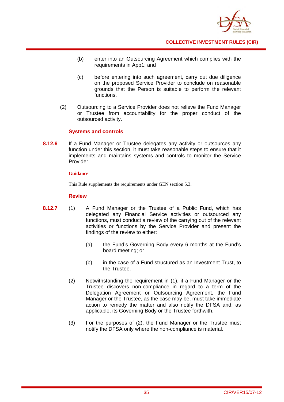

- (b) enter into an Outsourcing Agreement which complies with the requirements in App1; and
- (c) before entering into such agreement, carry out due diligence on the proposed Service Provider to conclude on reasonable grounds that the Person is suitable to perform the relevant functions.
- (2) Outsourcing to a Service Provider does not relieve the Fund Manager or Trustee from accountability for the proper conduct of the outsourced activity.

## **Systems and controls**

**8.12.6** If a Fund Manager or Trustee delegates any activity or outsources any function under this section, it must take reasonable steps to ensure that it implements and maintains systems and controls to monitor the Service Provider.

#### **Guidance**

This Rule supplements the requirements under GEN section 5.3.

## **Review**

- **8.12.7** (1) A Fund Manager or the Trustee of a Public Fund, which has delegated any Financial Service activities or outsourced any functions, must conduct a review of the carrying out of the relevant activities or functions by the Service Provider and present the findings of the review to either:
	- (a) the Fund's Governing Body every 6 months at the Fund's board meeting; or
	- (b) in the case of a Fund structured as an Investment Trust, to the Trustee.
	- (2) Notwithstanding the requirement in (1), if a Fund Manager or the Trustee discovers non-compliance in regard to a term of the Delegation Agreement or Outsourcing Agreement, the Fund Manager or the Trustee, as the case may be, must take immediate action to remedy the matter and also notify the DFSA and, as applicable, its Governing Body or the Trustee forthwith.
	- (3) For the purposes of (2), the Fund Manager or the Trustee must notify the DFSA only where the non-compliance is material.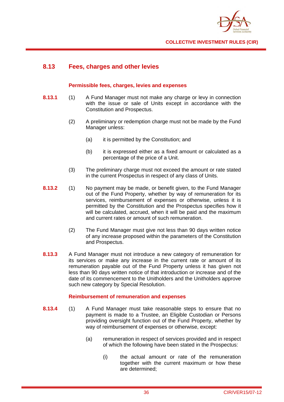

## **8.13 Fees, charges and other levies**

## **Permissible fees, charges, levies and expenses**

- **8.13.1** (1) A Fund Manager must not make any charge or levy in connection with the issue or sale of Units except in accordance with the Constitution and Prospectus.
	- (2) A preliminary or redemption charge must not be made by the Fund Manager unless:
		- (a) it is permitted by the Constitution; and
		- (b) it is expressed either as a fixed amount or calculated as a percentage of the price of a Unit.
	- (3) The preliminary charge must not exceed the amount or rate stated in the current Prospectus in respect of any class of Units.
- **8.13.2** (1) No payment may be made, or benefit given, to the Fund Manager out of the Fund Property, whether by way of remuneration for its services, reimbursement of expenses or otherwise, unless it is permitted by the Constitution and the Prospectus specifies how it will be calculated, accrued, when it will be paid and the maximum and current rates or amount of such remuneration.
	- (2) The Fund Manager must give not less than 90 days written notice of any increase proposed within the parameters of the Constitution and Prospectus.
- **8.13.3** A Fund Manager must not introduce a new category of remuneration for its services or make any increase in the current rate or amount of its remuneration payable out of the Fund Property unless it has given not less than 90 days written notice of that introduction or increase and of the date of its commencement to the Unitholders and the Unitholders approve such new category by Special Resolution.

## **Reimbursement of remuneration and expenses**

- **8.13.4** (1) A Fund Manager must take reasonable steps to ensure that no payment is made to a Trustee, an Eligible Custodian or Persons providing oversight function out of the Fund Property, whether by way of reimbursement of expenses or otherwise, except:
	- (a) remuneration in respect of services provided and in respect of which the following have been stated in the Prospectus:
		- (i) the actual amount or rate of the remuneration together with the current maximum or how these are determined;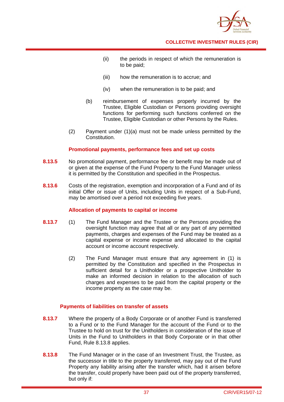

- (ii) the periods in respect of which the remuneration is to be paid;
- (iii) how the remuneration is to accrue; and
- (iv) when the remuneration is to be paid; and
- (b) reimbursement of expenses properly incurred by the Trustee, Eligible Custodian or Persons providing oversight functions for performing such functions conferred on the Trustee, Eligible Custodian or other Persons by the Rules.
- (2) Payment under (1)(a) must not be made unless permitted by the Constitution.

## **Promotional payments, performance fees and set up costs**

- **8.13.5** No promotional payment, performance fee or benefit may be made out of or given at the expense of the Fund Property to the Fund Manager unless it is permitted by the Constitution and specified in the Prospectus.
- **8.13.6** Costs of the registration, exemption and incorporation of a Fund and of its initial Offer or issue of Units, including Units in respect of a Sub-Fund, may be amortised over a period not exceeding five years.

## **Allocation of payments to capital or income**

- **8.13.7** (1) The Fund Manager and the Trustee or the Persons providing the oversight function may agree that all or any part of any permitted payments, charges and expenses of the Fund may be treated as a capital expense or income expense and allocated to the capital account or income account respectively.
	- (2) The Fund Manager must ensure that any agreement in (1) is permitted by the Constitution and specified in the Prospectus in sufficient detail for a Unitholder or a prospective Unitholder to make an informed decision in relation to the allocation of such charges and expenses to be paid from the capital property or the income property as the case may be.

## **Payments of liabilities on transfer of assets**

- **8.13.7** Where the property of a Body Corporate or of another Fund is transferred to a Fund or to the Fund Manager for the account of the Fund or to the Trustee to hold on trust for the Unitholders in consideration of the issue of Units in the Fund to Unitholders in that Body Corporate or in that other Fund, Rule 8.13.8 applies.
- **8.13.8** The Fund Manager or in the case of an Investment Trust, the Trustee, as the successor in title to the property transferred, may pay out of the Fund Property any liability arising after the transfer which, had it arisen before the transfer, could properly have been paid out of the property transferred, but only if: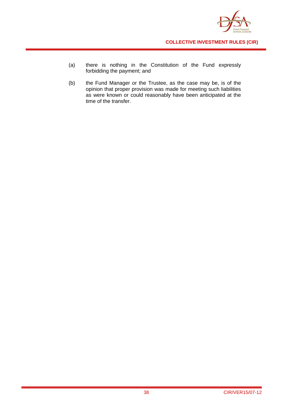

- (a) there is nothing in the Constitution of the Fund expressly forbidding the payment; and
- (b) the Fund Manager or the Trustee, as the case may be, is of the opinion that proper provision was made for meeting such liabilities as were known or could reasonably have been anticipated at the time of the transfer.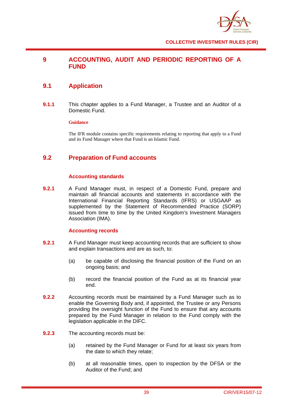

# **9 ACCOUNTING, AUDIT AND PERIODIC REPORTING OF A FUND**

## **9.1 Application**

**9.1.1** This chapter applies to a Fund Manager, a Trustee and an Auditor of a Domestic Fund.

## **Guidance**

The IFR module contains specific requirements relating to reporting that apply to a Fund and its Fund Manager where that Fund is an Islamic Fund.

# **9.2 Preparation of Fund accounts**

## **Accounting standards**

**9.2.1** A Fund Manager must, in respect of a Domestic Fund, prepare and maintain all financial accounts and statements in accordance with the International Financial Reporting Standards (IFRS) or USGAAP as supplemented by the Statement of Recommended Practice (SORP) issued from time to time by the United Kingdom's Investment Managers Association (IMA).

## **Accounting records**

- **9.2.1** A Fund Manager must keep accounting records that are sufficient to show and explain transactions and are as such, to:
	- (a) be capable of disclosing the financial position of the Fund on an ongoing basis; and
	- (b) record the financial position of the Fund as at its financial year end.
- **9.2.2** Accounting records must be maintained by a Fund Manager such as to enable the Governing Body and, if appointed, the Trustee or any Persons providing the oversight function of the Fund to ensure that any accounts prepared by the Fund Manager in relation to the Fund comply with the legislation applicable in the DIFC.
- **9.2.3** The accounting records must be:
	- (a) retained by the Fund Manager or Fund for at least six years from the date to which they relate;
	- (b) at all reasonable times, open to inspection by the DFSA or the Auditor of the Fund; and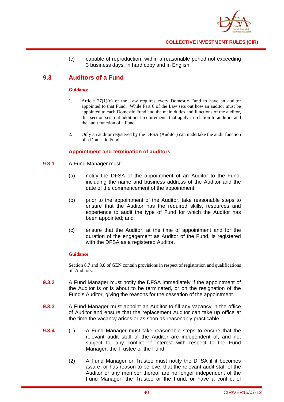

(c) capable of reproduction, within a reasonable period not exceeding 3 business days, in hard copy and in English.

# **9.3 Auditors of a Fund**

#### **Guidance**

- 1. Article  $27(1)(c)$  of the Law requires every Domestic Fund to have an auditor appointed to that Fund. While Part 6 of the Law sets out how an auditor must be appointed to each Domestic Fund and the main duties and functions of the auditor, this section sets out additional requirements that apply in relation to auditors and the audit function of a Fund.
- 2. Only an auditor registered by the DFSA (Auditor) can undertake the audit function of a Domestic Fund.

## **Appointment and termination of auditors**

- **9.3.1** A Fund Manager must:
	- (a) notify the DFSA of the appointment of an Auditor to the Fund, including the name and business address of the Auditor and the date of the commencement of the appointment;
	- (b) prior to the appointment of the Auditor, take reasonable steps to ensure that the Auditor has the required skills, resources and experience to audit the type of Fund for which the Auditor has been appointed; and
	- (c) ensure that the Auditor, at the time of appointment and for the duration of the engagement as Auditor of the Fund, is registered with the DFSA as a registered Auditor.

## **Guidance**

Section 8.7 and 8.8 of GEN contain provisions in respect of registration and qualifications of Auditors.

- **9.3.2** A Fund Manager must notify the DFSA immediately if the appointment of the Auditor is or is about to be terminated, or on the resignation of the Fund's Auditor, giving the reasons for the cessation of the appointment.
- **9.3.3** A Fund Manager must appoint an Auditor to fill any vacancy in the office of Auditor and ensure that the replacement Auditor can take up office at the time the vacancy arises or as soon as reasonably practicable.
- **9.3.4** (1) A Fund Manager must take reasonable steps to ensure that the relevant audit staff of the Auditor are independent of, and not subject to, any conflict of interest with respect to the Fund Manager, the Trustee or the Fund.
	- (2) A Fund Manager or Trustee must notify the DFSA if it becomes aware, or has reason to believe, that the relevant audit staff of the Auditor or any member thereof are no longer independent of the Fund Manager, the Trustee or the Fund, or have a conflict of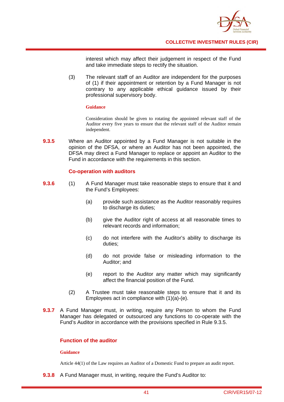

interest which may affect their judgement in respect of the Fund and take immediate steps to rectify the situation.

(3) The relevant staff of an Auditor are independent for the purposes of (1) if their appointment or retention by a Fund Manager is not contrary to any applicable ethical guidance issued by their professional supervisory body.

#### **Guidance**

Consideration should be given to rotating the appointed relevant staff of the Auditor every five years to ensure that the relevant staff of the Auditor remain independent.

**9.3.5** Where an Auditor appointed by a Fund Manager is not suitable in the opinion of the DFSA, or where an Auditor has not been appointed, the DFSA may direct a Fund Manager to replace or appoint an Auditor to the Fund in accordance with the requirements in this section.

## **Co-operation with auditors**

- **9.3.6** (1) A Fund Manager must take reasonable steps to ensure that it and the Fund's Employees:
	- (a) provide such assistance as the Auditor reasonably requires to discharge its duties:
	- (b) give the Auditor right of access at all reasonable times to relevant records and information;
	- (c) do not interfere with the Auditor's ability to discharge its duties;
	- (d) do not provide false or misleading information to the Auditor; and
	- (e) report to the Auditor any matter which may significantly affect the financial position of the Fund.
	- (2) A Trustee must take reasonable steps to ensure that it and its Employees act in compliance with (1)(a)-(e).
- **9.3.7** A Fund Manager must, in writing, require any Person to whom the Fund Manager has delegated or outsourced any functions to co-operate with the Fund's Auditor in accordance with the provisions specified in Rule 9.3.5.

## **Function of the auditor**

## **Guidance**

Article 44(1) of the Law requires an Auditor of a Domestic Fund to prepare an audit report.

**9.3.8** A Fund Manager must, in writing, require the Fund's Auditor to: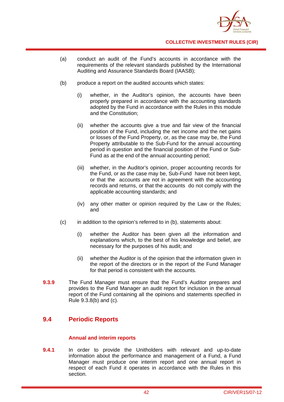

- (a) conduct an audit of the Fund's accounts in accordance with the requirements of the relevant standards published by the International Auditing and Assurance Standards Board (IAASB);
- (b) produce a report on the audited accounts which states:
	- (i) whether, in the Auditor's opinion, the accounts have been properly prepared in accordance with the accounting standards adopted by the Fund in accordance with the Rules in this module and the Constitution;
	- (ii) whether the accounts give a true and fair view of the financial position of the Fund, including the net income and the net gains or losses of the Fund Property, or, as the case may be, the Fund Property attributable to the Sub-Fund for the annual accounting period in question and the financial position of the Fund or Sub-Fund as at the end of the annual accounting period;
	- (iii) whether, in the Auditor's opinion, proper accounting records for the Fund, or as the case may be, Sub-Fund have not been kept, or that the accounts are not in agreement with the accounting records and returns, or that the accounts do not comply with the applicable accounting standards; and
	- (iv) any other matter or opinion required by the Law or the Rules; and
- (c) in addition to the opinion's referred to in (b), statements about:
	- (i) whether the Auditor has been given all the information and explanations which, to the best of his knowledge and belief, are necessary for the purposes of his audit; and
	- (ii) whether the Auditor is of the opinion that the information given in the report of the directors or in the report of the Fund Manager for that period is consistent with the accounts.
- **9.3.9** The Fund Manager must ensure that the Fund's Auditor prepares and provides to the Fund Manager an audit report for inclusion in the annual report of the Fund containing all the opinions and statements specified in Rule 9.3.8(b) and (c).

## **9.4 Periodic Reports**

## **Annual and interim reports**

**9.4.1** In order to provide the Unitholders with relevant and up-to-date information about the performance and management of a Fund, a Fund Manager must produce one interim report and one annual report in respect of each Fund it operates in accordance with the Rules in this section.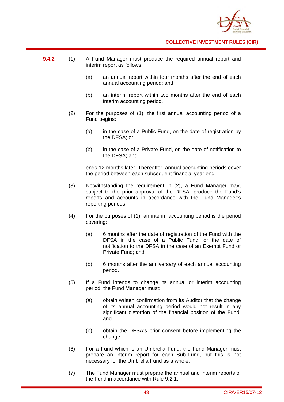

- **9.4.2** (1) A Fund Manager must produce the required annual report and interim report as follows:
	- (a) an annual report within four months after the end of each annual accounting period; and
	- (b) an interim report within two months after the end of each interim accounting period.
	- (2) For the purposes of (1), the first annual accounting period of a Fund begins:
		- (a) in the case of a Public Fund, on the date of registration by the DFSA; or
		- (b) in the case of a Private Fund, on the date of notification to the DFSA; and

ends 12 months later. Thereafter, annual accounting periods cover the period between each subsequent financial year end.

- (3) Notwithstanding the requirement in (2), a Fund Manager may, subject to the prior approval of the DFSA, produce the Fund's reports and accounts in accordance with the Fund Manager's reporting periods.
- (4) For the purposes of (1), an interim accounting period is the period covering:
	- (a) 6 months after the date of registration of the Fund with the DFSA in the case of a Public Fund, or the date of notification to the DFSA in the case of an Exempt Fund or Private Fund; and
	- (b) 6 months after the anniversary of each annual accounting period.
- (5) If a Fund intends to change its annual or interim accounting period, the Fund Manager must:
	- (a) obtain written confirmation from its Auditor that the change of its annual accounting period would not result in any significant distortion of the financial position of the Fund; and
	- (b) obtain the DFSA's prior consent before implementing the change.
- (6) For a Fund which is an Umbrella Fund, the Fund Manager must prepare an interim report for each Sub-Fund, but this is not necessary for the Umbrella Fund as a whole.
- (7) The Fund Manager must prepare the annual and interim reports of the Fund in accordance with Rule 9.2.1.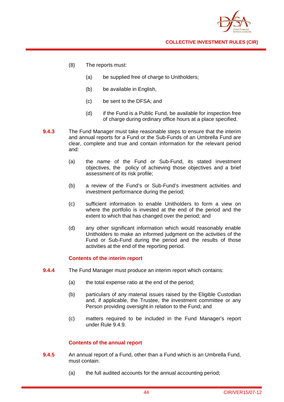

- (8) The reports must:
	- (a) be supplied free of charge to Unitholders;
	- (b) be available in English,
	- (c) be sent to the DFSA; and
	- (d) if the Fund is a Public Fund, be available for inspection free of charge during ordinary office hours at a place specified.
- **9.4.3** The Fund Manager must take reasonable steps to ensure that the interim and annual reports for a Fund or the Sub-Funds of an Umbrella Fund are clear, complete and true and contain information for the relevant period and:
	- (a) the name of the Fund or Sub-Fund, its stated investment objectives, the policy of achieving those objectives and a brief assessment of its risk profile;
	- (b) a review of the Fund's or Sub-Fund's investment activities and investment performance during the period;
	- (c) sufficient information to enable Unitholders to form a view on where the portfolio is invested at the end of the period and the extent to which that has changed over the period; and
	- (d) any other significant information which would reasonably enable Unitholders to make an informed judgment on the activities of the Fund or Sub-Fund during the period and the results of those activities at the end of the reporting period.

## **Contents of the** i**nterim report**

- **9.4.4** The Fund Manager must produce an interim report which contains:
	- (a) the total expense ratio at the end of the period;
	- (b) particulars of any material issues raised by the Eligible Custodian and, if applicable, the Trustee, the investment committee or any Person providing oversight in relation to the Fund; and
	- (c) matters required to be included in the Fund Manager's report under Rule 9.4.9.

## **Contents of the annual report**

- **9.4.5** An annual report of a Fund, other than a Fund which is an Umbrella Fund, must contain:
	- (a) the full audited accounts for the annual accounting period;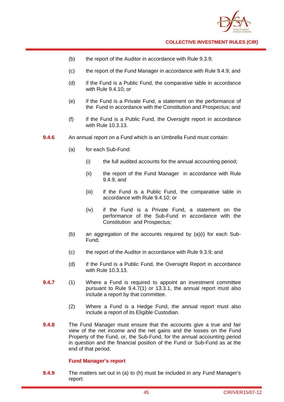

- (b) the report of the Auditor in accordance with Rule 9.3.9;
- (c) the report of the Fund Manager in accordance with Rule 9.4.9; and
- (d) if the Fund is a Public Fund, the comparative table in accordance with Rule 9.4.10; or
- (e) if the Fund is a Private Fund, a statement on the performance of the Fund in accordance with the Constitution and Prospectus; and
- (f) if the Fund is a Public Fund, the Oversight report in accordance with Rule 10.3.13.
- **9.4.6** An annual report on a Fund which is an Umbrella Fund must contain:
	- (a) for each Sub-Fund:
		- (i) the full audited accounts for the annual accounting period;
		- (ii) the report of the Fund Manager in accordance with Rule 9.4.9; and
		- (iii) if the Fund is a Public Fund, the comparative table in accordance with Rule 9.4.10; or
		- (iv) if the Fund is a Private Fund, a statement on the performance of the Sub-Fund in accordance with the Constitution and Prospectus;
	- (b) an aggregation of the accounts required by (a)(i) for each Sub-Fund;
	- (c) the report of the Auditor in accordance with Rule 9.3.9; and
	- (d) if the Fund is a Public Fund, the Oversight Report in accordance with Rule 10.3.13.
- **9.4.7** (1) Where a Fund is required to appoint an investment committee pursuant to Rule 9.4.7(1) or 13.3.1, the annual report must also include a report by that committee.
	- (2) Where a Fund is a Hedge Fund, the annual report must also include a report of its Eligible Custodian.
- **9.4.8** The Fund Manager must ensure that the accounts give a true and fair view of the net income and the net gains and the losses on the Fund Property of the Fund, or, the Sub-Fund, for the annual accounting period in question and the financial position of the Fund or Sub-Fund as at the end of that period.

## **Fund Manager's report**

**9.4.9** The matters set out in (a) to (h) must be included in any Fund Manager's report: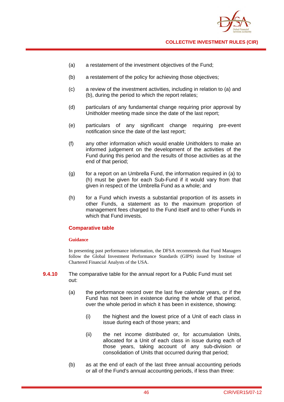

- (a) a restatement of the investment objectives of the Fund;
- (b) a restatement of the policy for achieving those objectives;
- (c) a review of the investment activities, including in relation to (a) and (b), during the period to which the report relates;
- (d) particulars of any fundamental change requiring prior approval by Unitholder meeting made since the date of the last report;
- (e) particulars of any significant change requiring pre-event notification since the date of the last report;
- (f) any other information which would enable Unitholders to make an informed judgement on the development of the activities of the Fund during this period and the results of those activities as at the end of that period;
- (g) for a report on an Umbrella Fund, the information required in (a) to (h) must be given for each Sub-Fund if it would vary from that given in respect of the Umbrella Fund as a whole; and
- (h) for a Fund which invests a substantial proportion of its assets in other Funds, a statement as to the maximum proportion of management fees charged to the Fund itself and to other Funds in which that Fund invests.

## **Comparative table**

#### **Guidance**

In presenting past performance information, the DFSA recommends that Fund Managers follow the Global Investment Performance Standards (GIPS) issued by Institute of Chartered Financial Analysts of the USA.

- **9.4.10** The comparative table for the annual report for a Public Fund must set out:
	- (a) the performance record over the last five calendar years, or if the Fund has not been in existence during the whole of that period, over the whole period in which it has been in existence, showing:
		- (i) the highest and the lowest price of a Unit of each class in issue during each of those years; and
		- (ii) the net income distributed or, for accumulation Units, allocated for a Unit of each class in issue during each of those years, taking account of any sub-division or consolidation of Units that occurred during that period;
	- (b) as at the end of each of the last three annual accounting periods or all of the Fund's annual accounting periods, if less than three: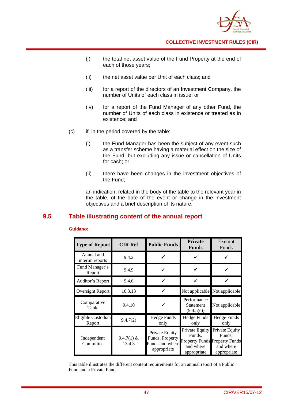

- (i) the total net asset value of the Fund Property at the end of each of those years;
- (ii) the net asset value per Unit of each class; and
- (iii) for a report of the directors of an Investment Company, the number of Units of each class in issue; or
- (iv) for a report of the Fund Manager of any other Fund, the number of Units of each class in existence or treated as in existence; and
- (c) if, in the period covered by the table:
	- (i) the Fund Manager has been the subject of any event such as a transfer scheme having a material effect on the size of the Fund, but excluding any issue or cancellation of Units for cash; or
	- (ii) there have been changes in the investment objectives of the Fund;

an indication, related in the body of the table to the relevant year in the table, of the date of the event or change in the investment objectives and a brief description of its nature.

## **9.5 Table illustrating content of the annual report**

#### **Guidance**

| <b>Type of Report</b>         | <b>CIR Ref</b>         | <b>Public Funds</b>                                                 | <b>Private</b><br><b>Funds</b>                                                               | Exempt<br>Funds                                      |
|-------------------------------|------------------------|---------------------------------------------------------------------|----------------------------------------------------------------------------------------------|------------------------------------------------------|
| Annual and<br>interim reports | 9.4.2                  |                                                                     |                                                                                              |                                                      |
| Fund Manager's<br>Report      | 9.4.9                  |                                                                     |                                                                                              |                                                      |
| Auditor's Report              | 9.4.6                  |                                                                     |                                                                                              |                                                      |
| Oversight Report              | 10.3.13                |                                                                     |                                                                                              | Not applicable Not applicable                        |
| Comparative<br>Table          | 9.4.10                 |                                                                     | Performance<br>Statement<br>(9.4.5(e))                                                       | Not applicable                                       |
| Eligible Custodian<br>Report  | 9.4.7(2)               | Hedge Funds<br>only                                                 | <b>Hedge Funds</b><br>only                                                                   | <b>Hedge Funds</b><br>only                           |
| Independent<br>Committee      | $9.4.7(1)$ &<br>13.4.3 | Private Equity<br>Funds, Property<br>Funds and where<br>appropriate | Private Equity<br>Funds,<br><b>Property Funds Property Funds</b><br>and where<br>appropriate | Private Equity<br>Funds,<br>and where<br>appropriate |

This table illustrates the different content requirements for an annual report of a Public Fund and a Private Fund.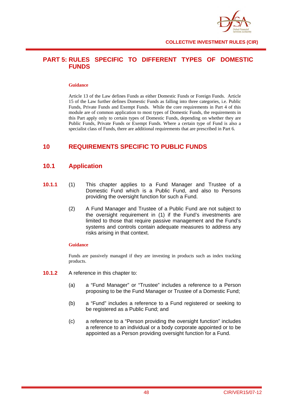

## **PART 5: RULES SPECIFIC TO DIFFERENT TYPES OF DOMESTIC FUNDS**

#### **Guidance**

Article 13 of the Law defines Funds as either Domestic Funds or Foreign Funds. Article 15 of the Law further defines Domestic Funds as falling into three categories, i.e. Public Funds, Private Funds and Exempt Funds. While the core requirements in Part 4 of this module are of common application to most types of Domestic Funds, the requirements in this Part apply only to certain types of Domestic Funds, depending on whether they are Public Funds, Private Funds or Exempt Funds. Where a certain type of Fund is also a specialist class of Funds, there are additional requirements that are prescribed in Part 6.

## **10 REQUIREMENTS SPECIFIC TO PUBLIC FUNDS**

## **10.1 Application**

- **10.1.1** (1) This chapter applies to a Fund Manager and Trustee of a Domestic Fund which is a Public Fund, and also to Persons providing the oversight function for such a Fund.
	- (2) A Fund Manager and Trustee of a Public Fund are not subject to the oversight requirement in (1) if the Fund's investments are limited to those that require passive management and the Fund's systems and controls contain adequate measures to address any risks arising in that context.

## **Guidance**

Funds are passively managed if they are investing in products such as index tracking products.

- **10.1.2** A reference in this chapter to:
	- (a) a "Fund Manager" or "Trustee" includes a reference to a Person proposing to be the Fund Manager or Trustee of a Domestic Fund;
	- (b) a "Fund" includes a reference to a Fund registered or seeking to be registered as a Public Fund; and
	- (c) a reference to a "Person providing the oversight function" includes a reference to an individual or a body corporate appointed or to be appointed as a Person providing oversight function for a Fund.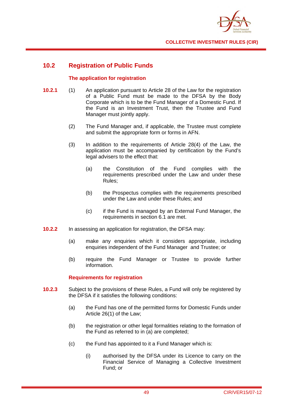

## **10.2 Registration of Public Funds**

## **The application for registration**

- **10.2.1** (1) An application pursuant to Article 28 of the Law for the registration of a Public Fund must be made to the DFSA by the Body Corporate which is to be the Fund Manager of a Domestic Fund. If the Fund is an Investment Trust, then the Trustee and Fund Manager must jointly apply.
	- (2) The Fund Manager and, if applicable, the Trustee must complete and submit the appropriate form or forms in AFN.
	- (3) In addition to the requirements of Article 28(4) of the Law, the application must be accompanied by certification by the Fund's legal advisers to the effect that:
		- (a) the Constitution of the Fund complies with the requirements prescribed under the Law and under these Rules;
		- (b) the Prospectus complies with the requirements prescribed under the Law and under these Rules; and
		- (c) if the Fund is managed by an External Fund Manager, the requirements in section 6.1 are met.
- **10.2.2** In assessing an application for registration, the DFSA may:
	- (a) make any enquiries which it considers appropriate, including enquiries independent of the Fund Manager and Trustee; or
	- (b) require the Fund Manager or Trustee to provide further information.

## **Requirements for registration**

- **10.2.3** Subject to the provisions of these Rules, a Fund will only be registered by the DFSA if it satisfies the following conditions:
	- (a) the Fund has one of the permitted forms for Domestic Funds under Article 26(1) of the Law;
	- (b) the registration or other legal formalities relating to the formation of the Fund as referred to in (a) are completed;
	- (c) the Fund has appointed to it a Fund Manager which is:
		- (i) authorised by the DFSA under its Licence to carry on the Financial Service of Managing a Collective Investment Fund; or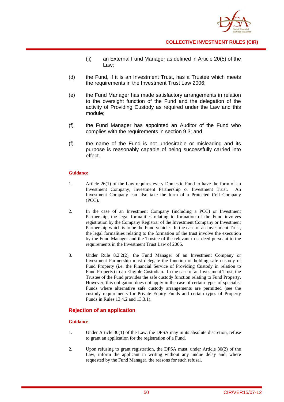

- (ii) an External Fund Manager as defined in Article 20(5) of the Law;
- (d) the Fund, if it is an Investment Trust, has a Trustee which meets the requirements in the Investment Trust Law 2006;
- (e) the Fund Manager has made satisfactory arrangements in relation to the oversight function of the Fund and the delegation of the activity of Providing Custody as required under the Law and this module;
- (f) the Fund Manager has appointed an Auditor of the Fund who complies with the requirements in section 9.3; and
- (f) the name of the Fund is not undesirable or misleading and its purpose is reasonably capable of being successfully carried into effect.

#### **Guidance**

- 1. Article 26(1) of the Law requires every Domestic Fund to have the form of an Investment Company, Investment Partnership or Investment Trust. An Investment Company can also take the form of a Protected Cell Company (PCC).
- 2. In the case of an Investment Company (including a PCC) or Investment Partnership, the legal formalities relating to formation of the Fund involves registration by the Company Registrar of the Investment Company or Investment Partnership which is to be the Fund vehicle. In the case of an Investment Trust, the legal formalities relating to the formation of the trust involve the execution by the Fund Manager and the Trustee of the relevant trust deed pursuant to the requirements in the Investment Trust Law of 2006.
- 3. Under Rule 8.2.2(2), the Fund Manager of an Investment Company or Investment Partnership must delegate the function of holding safe custody of Fund Property (i.e. the Financial Service of Providing Custody in relation to Fund Property) to an Eligible Custodian. In the case of an Investment Trust, the Trustee of the Fund provides the safe custody function relating to Fund Property. However, this obligation does not apply in the case of certain types of specialist Funds where alternative safe custody arrangements are permitted (see the custody requirements for Private Equity Funds and certain types of Property Funds in Rules 13.4.2 and 13.3.1).

## **Rejection of an application**

## **Guidance**

- 1. Under Article 30(1) of the Law, the DFSA may in its absolute discretion, refuse to grant an application for the registration of a Fund.
- 2. Upon refusing to grant registration, the DFSA must, under Article 30(2) of the Law, inform the applicant in writing without any undue delay and, where requested by the Fund Manager, the reasons for such refusal.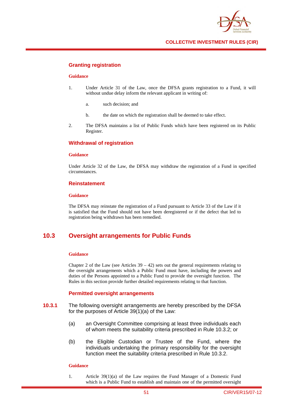

## **Granting registration**

#### **Guidance**

- 1. Under Article 31 of the Law, once the DFSA grants registration to a Fund, it will without undue delay inform the relevant applicant in writing of:
	- a. such decision; and
	- b. the date on which the registration shall be deemed to take effect.
- 2. The DFSA maintains a list of Public Funds which have been registered on its Public Register.

## **Withdrawal of registration**

#### **Guidance**

Under Article 32 of the Law, the DFSA may withdraw the registration of a Fund in specified circumstances.

#### **Reinstatement**

#### **Guidance**

The DFSA may reinstate the registration of a Fund pursuant to Article 33 of the Law if it is satisfied that the Fund should not have been deregistered or if the defect that led to registration being withdrawn has been remedied.

## **10.3 Oversight arrangements for Public Funds**

#### **Guidance**

Chapter 2 of the Law (see Articles  $39 - 42$ ) sets out the general requirements relating to the oversight arrangements which a Public Fund must have, including the powers and duties of the Persons appointed to a Public Fund to provide the oversight function. The Rules in this section provide further detailed requirements relating to that function.

## **Permitted oversight arrangements**

- **10.3.1** The following oversight arrangements are hereby prescribed by the DFSA for the purposes of Article 39(1)(a) of the Law:
	- (a) an Oversight Committee comprising at least three individuals each of whom meets the suitability criteria prescribed in Rule 10.3.2; or
	- (b) the Eligible Custodian or Trustee of the Fund, where the individuals undertaking the primary responsibility for the oversight function meet the suitability criteria prescribed in Rule 10.3.2.

#### **Guidance**

1. Article 39(1)(a) of the Law requires the Fund Manager of a Domestic Fund which is a Public Fund to establish and maintain one of the permitted oversight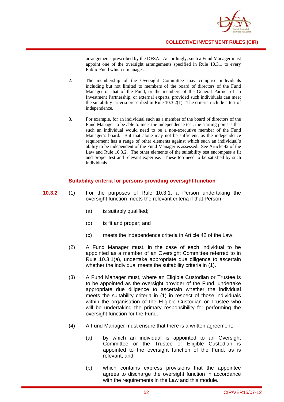

arrangements prescribed by the DFSA. Accordingly, such a Fund Manager must appoint one of the oversight arrangements specified in Rule 10.3.1 to every Public Fund which it manages.

- 2. The membership of the Oversight Committee may comprise individuals including but not limited to members of the board of directors of the Fund Manager or that of the Fund, or the members of the General Partner of an Investment Partnership, or external experts, provided such individuals can meet the suitability criteria prescribed in Rule 10.3.2(1). The criteria include a test of independence.
- 3. For example, for an individual such as a member of the board of directors of the Fund Manager to be able to meet the independence test, the starting point is that such an individual would need to be a non-executive member of the Fund Manager's board. But that alone may not be sufficient, as the independence requirement has a range of other elements against which such an individual's ability to be independent of the Fund Manager is assessed. See Article 42 of the Law and Rule 10.3.2. The other elements of the suitability test encompass a fit and proper test and relevant expertise. These too need to be satisfied by such individuals.

## **Suitability criteria for persons providing oversight function**

- **10.3.2** (1) For the purposes of Rule 10.3.1, a Person undertaking the oversight function meets the relevant criteria if that Person:
	- (a) is suitably qualified;
	- (b) is fit and proper; and
	- (c) meets the independence criteria in Article 42 of the Law.
	- (2) A Fund Manager must, in the case of each individual to be appointed as a member of an Oversight Committee referred to in Rule 10.3.1(a), undertake appropriate due diligence to ascertain whether the individual meets the suitability criteria in (1).
	- (3) A Fund Manager must, where an Eligible Custodian or Trustee is to be appointed as the oversight provider of the Fund, undertake appropriate due diligence to ascertain whether the individual meets the suitability criteria in (1) in respect of those individuals within the organisation of the Eligible Custodian or Trustee who will be undertaking the primary responsibility for performing the oversight function for the Fund.
	- (4) A Fund Manager must ensure that there is a written agreement:
		- (a) by which an individual is appointed to an Oversight Committee or the Trustee or Eligible Custodian is appointed to the oversight function of the Fund, as is relevant; and
		- (b) which contains express provisions that the appointee agrees to discharge the oversight function in accordance with the requirements in the Law and this module.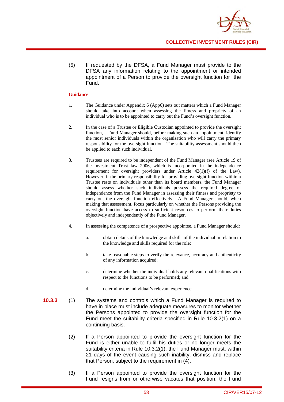

(5) If requested by the DFSA, a Fund Manager must provide to the DFSA any information relating to the appointment or intended appointment of a Person to provide the oversight function for the Fund.

#### **Guidance**

- 1. The Guidance under Appendix 6 (App6) sets out matters which a Fund Manager should take into account when assessing the fitness and propriety of an individual who is to be appointed to carry out the Fund's oversight function.
- 2. In the case of a Trustee or Eligible Custodian appointed to provide the oversight function, a Fund Manager should, before making such an appointment, identify the most senior individuals within the organisation who will carry the primary responsibility for the oversight function. The suitability assessment should then be applied to each such individual.
- 3. Trustees are required to be independent of the Fund Manager (see Article 19 of the Investment Trust law 2006, which is incorporated in the independence requirement for oversight providers under Article 42(1)(f) of the Law). However, if the primary responsibility for providing oversight function within a Trustee rests on individuals other than its board members, the Fund Manager should assess whether such individuals possess the required degree of independence from the Fund Manager in assessing their fitness and propriety to carry out the oversight function effectively. A Fund Manager should, when making that assessment, focus particularly on whether the Persons providing the oversight function have access to sufficient resources to perform their duties objectively and independently of the Fund Manager.
- 4. In assessing the competence of a prospective appointee, a Fund Manager should:
	- a. obtain details of the knowledge and skills of the individual in relation to the knowledge and skills required for the role;
	- b. take reasonable steps to verify the relevance, accuracy and authenticity of any information acquired;
	- c. determine whether the individual holds any relevant qualifications with respect to the functions to be performed; and
	- d. determine the individual's relevant experience.
- **10.3.3** (1) The systems and controls which a Fund Manager is required to have in place must include adequate measures to monitor whether the Persons appointed to provide the oversight function for the Fund meet the suitability criteria specified in Rule 10.3.2(1) on a continuing basis.
	- (2) If a Person appointed to provide the oversight function for the Fund is either unable to fulfil his duties or no longer meets the suitability criteria in Rule 10.3.2(1), the Fund Manager must, within 21 days of the event causing such inability, dismiss and replace that Person, subject to the requirement in (4).
	- (3) If a Person appointed to provide the oversight function for the Fund resigns from or otherwise vacates that position, the Fund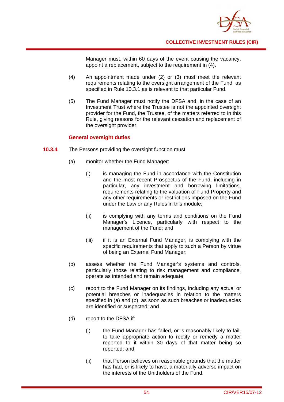

Manager must, within 60 days of the event causing the vacancy, appoint a replacement, subject to the requirement in (4).

- (4) An appointment made under (2) or (3) must meet the relevant requirements relating to the oversight arrangement of the Fund as specified in Rule 10.3.1 as is relevant to that particular Fund.
- (5) The Fund Manager must notify the DFSA and, in the case of an Investment Trust where the Trustee is not the appointed oversight provider for the Fund, the Trustee, of the matters referred to in this Rule, giving reasons for the relevant cessation and replacement of the oversight provider.

## **General oversight duties**

- **10.3.4** The Persons providing the oversight function must:
	- (a) monitor whether the Fund Manager:
		- (i) is managing the Fund in accordance with the Constitution and the most recent Prospectus of the Fund, including in particular, any investment and borrowing limitations, requirements relating to the valuation of Fund Property and any other requirements or restrictions imposed on the Fund under the Law or any Rules in this module;
		- (ii) is complying with any terms and conditions on the Fund Manager's Licence, particularly with respect to the management of the Fund; and
		- (iii) if it is an External Fund Manager, is complying with the specific requirements that apply to such a Person by virtue of being an External Fund Manager;
	- (b) assess whether the Fund Manager's systems and controls, particularly those relating to risk management and compliance, operate as intended and remain adequate;
	- (c) report to the Fund Manager on its findings, including any actual or potential breaches or inadequacies in relation to the matters specified in (a) and (b), as soon as such breaches or inadequacies are identified or suspected; and
	- (d) report to the DFSA if:
		- (i) the Fund Manager has failed, or is reasonably likely to fail, to take appropriate action to rectify or remedy a matter reported to it within 30 days of that matter being so reported; and
		- (ii) that Person believes on reasonable grounds that the matter has had, or is likely to have, a materially adverse impact on the interests of the Unitholders of the Fund.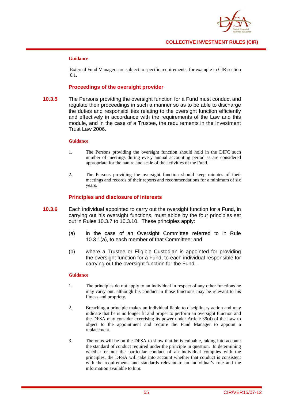

#### **Guidance**

External Fund Managers are subject to specific requirements, for example in CIR section 6.1.

## **Proceedings of the oversight provider**

**10.3.5** The Persons providing the oversight function for a Fund must conduct and regulate their proceedings in such a manner so as to be able to discharge the duties and responsibilities relating to the oversight function efficiently and effectively in accordance with the requirements of the Law and this module, and in the case of a Trustee, the requirements in the Investment Trust Law 2006.

#### **Guidance**

- 1. The Persons providing the oversight function should hold in the DIFC such number of meetings during every annual accounting period as are considered appropriate for the nature and scale of the activities of the Fund.
- 2. The Persons providing the oversight function should keep minutes of their meetings and records of their reports and recommendations for a minimum of six years.

## **Principles and disclosure of interests**

- **10.3.6** Each individual appointed to carry out the oversight function for a Fund, in carrying out his oversight functions, must abide by the four principles set out in Rules 10.3.7 to 10.3.10. These principles apply:
	- (a) in the case of an Oversight Committee referred to in Rule 10.3.1(a), to each member of that Committee; and
	- (b) where a Trustee or Eligible Custodian is appointed for providing the oversight function for a Fund, to each individual responsible for carrying out the oversight function for the Fund. .

#### **Guidance**

- 1. The principles do not apply to an individual in respect of any other functions he may carry out, although his conduct in those functions may be relevant to his fitness and propriety.
- 2. Breaching a principle makes an individual liable to disciplinary action and may indicate that he is no longer fit and proper to perform an oversight function and the DFSA may consider exercising its power under Article 39(4) of the Law to object to the appointment and require the Fund Manager to appoint a replacement.
- 3. The onus will be on the DFSA to show that he is culpable, taking into account the standard of conduct required under the principle in question. In determining whether or not the particular conduct of an individual complies with the principles, the DFSA will take into account whether that conduct is consistent with the requirements and standards relevant to an individual's role and the information available to him.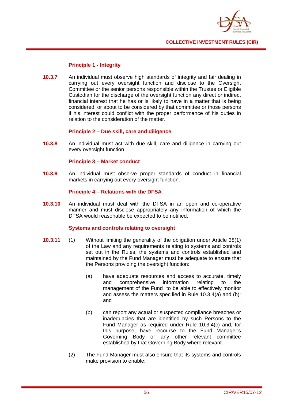

## **Principle 1 - Integrity**

**10.3.7** An individual must observe high standards of integrity and fair dealing in carrying out every oversight function and disclose to the Oversight Committee or the senior persons responsible within the Trustee or Eligible Custodian for the discharge of the oversight function any direct or indirect financial interest that he has or is likely to have in a matter that is being considered, or about to be considered by that committee or those persons if his interest could conflict with the proper performance of his duties in relation to the consideration of the matter.

## **Principle 2 – Due skill, care and diligence**

**10.3.8** An individual must act with due skill, care and diligence in carrying out every oversight function.

## **Principle 3 – Market conduct**

**10.3.9** An individual must observe proper standards of conduct in financial markets in carrying out every oversight function.

## **Principle 4 – Relations with the DFSA**

**10.3.10** An individual must deal with the DFSA in an open and co-operative manner and must disclose appropriately any information of which the DFSA would reasonable be expected to be notified.

## **Systems and controls relating to oversight**

- **10.3.11** (1) Without limiting the generality of the obligation under Article 38(1) of the Law and any requirements relating to systems and controls set out in the Rules, the systems and controls established and maintained by the Fund Manager must be adequate to ensure that the Persons providing the oversight function:
	- (a) have adequate resources and access to accurate, timely and comprehensive information relating to the management of the Fund to be able to effectively monitor and assess the matters specified in Rule 10.3.4(a) and (b); and
	- (b) can report any actual or suspected compliance breaches or inadequacies that are identified by such Persons to the Fund Manager as required under Rule 10.3.4(c) and, for this purpose, have recourse to the Fund Manager's Governing Body or any other relevant committee established by that Governing Body where relevant.
	- (2) The Fund Manager must also ensure that its systems and controls make provision to enable: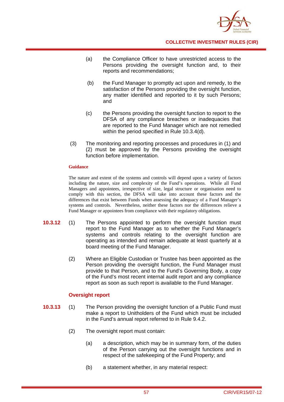

- (a) the Compliance Officer to have unrestricted access to the Persons providing the oversight function and, to their reports and recommendations;
- (b) the Fund Manager to promptly act upon and remedy, to the satisfaction of the Persons providing the oversight function, any matter identified and reported to it by such Persons; and
- (c) the Persons providing the oversight function to report to the DFSA of any compliance breaches or inadequacies that are reported to the Fund Manager which are not remedied within the period specified in Rule 10.3.4(d).
- (3) The monitoring and reporting processes and procedures in (1) and (2) must be approved by the Persons providing the oversight function before implementation.

#### **Guidance**

The nature and extent of the systems and controls will depend upon a variety of factors including the nature, size and complexity of the Fund's operations. While all Fund Managers and appointees, irrespective of size, legal structure or organisation need to comply with this section, the DFSA will take into account these factors and the differences that exist between Funds when assessing the adequacy of a Fund Manager's systems and controls. Nevertheless, neither these factors nor the differences relieve a Fund Manager or appointees from compliance with their regulatory obligations.

- **10.3.12** (1) The Persons appointed to perform the oversight function must report to the Fund Manager as to whether the Fund Manager's systems and controls relating to the oversight function are operating as intended and remain adequate at least quarterly at a board meeting of the Fund Manager.
	- (2) Where an Eligible Custodian or Trustee has been appointed as the Person providing the oversight function, the Fund Manager must provide to that Person, and to the Fund's Governing Body, a copy of the Fund's most recent internal audit report and any compliance report as soon as such report is available to the Fund Manager.

## **Oversight report**

- **10.3.13** (1) The Person providing the oversight function of a Public Fund must make a report to Unitholders of the Fund which must be included in the Fund's annual report referred to in Rule 9.4.2.
	- (2) The oversight report must contain:
		- (a) a description, which may be in summary form, of the duties of the Person carrying out the oversight functions and in respect of the safekeeping of the Fund Property; and
		- (b) a statement whether, in any material respect: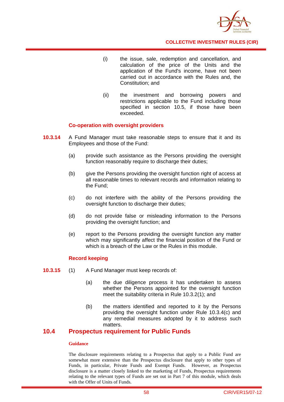

- (i) the issue, sale, redemption and cancellation, and calculation of the price of the Units and the application of the Fund's income, have not been carried out in accordance with the Rules and, the Constitution; and
- (ii) the investment and borrowing powers and restrictions applicable to the Fund including those specified in section 10.5, if those have been exceeded.

## **Co-operation with oversight providers**

- **10.3.14** A Fund Manager must take reasonable steps to ensure that it and its Employees and those of the Fund:
	- (a) provide such assistance as the Persons providing the oversight function reasonably require to discharge their duties;
	- (b) give the Persons providing the oversight function right of access at all reasonable times to relevant records and information relating to the Fund;
	- (c) do not interfere with the ability of the Persons providing the oversight function to discharge their duties;
	- (d) do not provide false or misleading information to the Persons providing the oversight function; and
	- (e) report to the Persons providing the oversight function any matter which may significantly affect the financial position of the Fund or which is a breach of the Law or the Rules in this module.

## **Record keeping**

- **10.3.15** (1) A Fund Manager must keep records of:
	- (a) the due diligence process it has undertaken to assess whether the Persons appointed for the oversight function meet the suitability criteria in Rule 10.3.2(1); and
	- (b) the matters identified and reported to it by the Persons providing the oversight function under Rule 10.3.4(c) and any remedial measures adopted by it to address such matters.

## **10.4 Prospectus requirement for Public Funds**

#### **Guidance**

The disclosure requirements relating to a Prospectus that apply to a Public Fund are somewhat more extensive than the Prospectus disclosure that apply to other types of Funds, in particular, Private Funds and Exempt Funds. However, as Prospectus disclosure is a matter closely linked to the marketing of Funds, Prospectus requirements relating to the relevant types of Funds are set out in Part 7 of this module, which deals with the Offer of Units of Funds.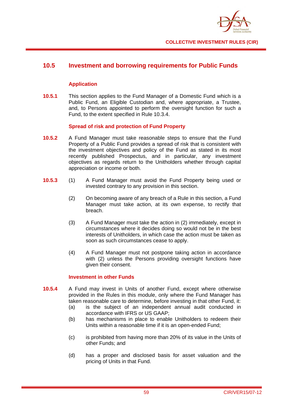

## **10.5 Investment and borrowing requirements for Public Funds**

## **Application**

**10.5.1** This section applies to the Fund Manager of a Domestic Fund which is a Public Fund, an Eligible Custodian and, where appropriate, a Trustee, and, to Persons appointed to perform the oversight function for such a Fund, to the extent specified in Rule 10.3.4.

## **Spread of risk and protection of Fund Property**

- **10.5.2** A Fund Manager must take reasonable steps to ensure that the Fund Property of a Public Fund provides a spread of risk that is consistent with the investment objectives and policy of the Fund as stated in its most recently published Prospectus, and in particular, any investment objectives as regards return to the Unitholders whether through capital appreciation or income or both.
- **10.5.3** (1) A Fund Manager must avoid the Fund Property being used or invested contrary to any provision in this section.
	- (2) On becoming aware of any breach of a Rule in this section, a Fund Manager must take action, at its own expense, to rectify that breach.
	- (3) A Fund Manager must take the action in (2) immediately, except in circumstances where it decides doing so would not be in the best interests of Unitholders, in which case the action must be taken as soon as such circumstances cease to apply.
	- (4) A Fund Manager must not postpone taking action in accordance with (2) unless the Persons providing oversight functions have given their consent.

## **Investment in other Funds**

- **10.5.4** A Fund may invest in Units of another Fund, except where otherwise provided in the Rules in this module, only where the Fund Manager has taken reasonable care to determine, before investing in that other Fund, it:
	- (a) is the subject of an independent annual audit conducted in accordance with IFRS or US GAAP;
	- (b) has mechanisms in place to enable Unitholders to redeem their Units within a reasonable time if it is an open-ended Fund;
	- (c) is prohibited from having more than 20% of its value in the Units of other Funds; and
	- (d) has a proper and disclosed basis for asset valuation and the pricing of Units in that Fund.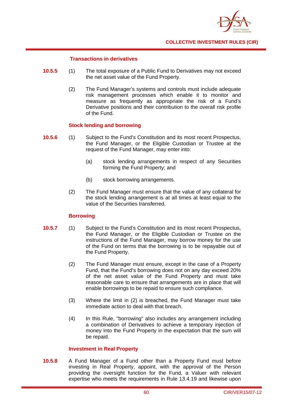

## **Transactions in derivatives**

- **10.5.5** (1) The total exposure of a Public Fund to Derivatives may not exceed the net asset value of the Fund Property.
	- (2) The Fund Manager's systems and controls must include adequate risk management processes which enable it to monitor and measure as frequently as appropriate the risk of a Fund's Derivative positions and their contribution to the overall risk profile of the Fund.

## **Stock lending and borrowing**

- **10.5.6** (1) Subject to the Fund's Constitution and its most recent Prospectus, the Fund Manager, or the Eligible Custodian or Trustee at the request of the Fund Manager, may enter into:
	- (a) stock lending arrangements in respect of any Securities forming the Fund Property; and
	- (b) stock borrowing arrangements.
	- (2) The Fund Manager must ensure that the value of any collateral for the stock lending arrangement is at all times at least equal to the value of the Securities transferred.

## **Borrowing**

- **10.5.7** (1) Subject to the Fund's Constitution and its most recent Prospectus, the Fund Manager, or the Eligible Custodian or Trustee on the instructions of the Fund Manager, may borrow money for the use of the Fund on terms that the borrowing is to be repayable out of the Fund Property.
	- (2) The Fund Manager must ensure, except in the case of a Property Fund, that the Fund's borrowing does not on any day exceed 20% of the net asset value of the Fund Property and must take reasonable care to ensure that arrangements are in place that will enable borrowings to be repaid to ensure such compliance.
	- (3) Where the limit in (2) is breached, the Fund Manager must take immediate action to deal with that breach.
	- (4) In this Rule, "borrowing" also includes any arrangement including a combination of Derivatives to achieve a temporary injection of money into the Fund Property in the expectation that the sum will be repaid.

## **Investment in Real Property**

**10.5.8** A Fund Manager of a Fund other than a Property Fund must before investing in Real Property, appoint, with the approval of the Person providing the oversight function for the Fund, a Valuer with relevant expertise who meets the requirements in Rule 13.4.19 and likewise upon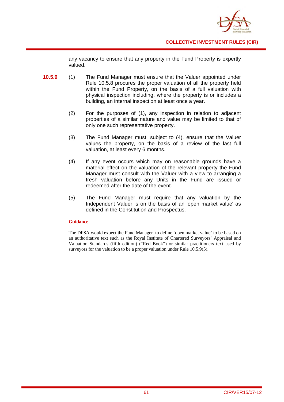

any vacancy to ensure that any property in the Fund Property is expertly valued.

- **10.5.9** (1) The Fund Manager must ensure that the Valuer appointed under Rule 10.5.8 procures the proper valuation of all the property held within the Fund Property, on the basis of a full valuation with physical inspection including, where the property is or includes a building, an internal inspection at least once a year.
	- (2) For the purposes of (1), any inspection in relation to adjacent properties of a similar nature and value may be limited to that of only one such representative property.
	- (3) The Fund Manager must, subject to (4), ensure that the Valuer values the property, on the basis of a review of the last full valuation, at least every 6 months.
	- (4) If any event occurs which may on reasonable grounds have a material effect on the valuation of the relevant property the Fund Manager must consult with the Valuer with a view to arranging a fresh valuation before any Units in the Fund are issued or redeemed after the date of the event.
	- (5) The Fund Manager must require that any valuation by the Independent Valuer is on the basis of an 'open market value' as defined in the Constitution and Prospectus.

## **Guidance**

The DFSA would expect the Fund Manager to define 'open market value' to be based on an authoritative text such as the Royal Institute of Chartered Surveyors' Appraisal and Valuation Standards (fifth edition) ("Red Book") or similar practitioners text used by surveyors for the valuation to be a proper valuation under Rule 10.5.9(5).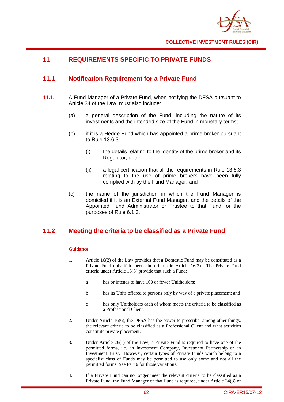

# **11 REQUIREMENTS SPECIFIC TO PRIVATE FUNDS**

# **11.1 Notification Requirement for a Private Fund**

- **11.1.1** A Fund Manager of a Private Fund, when notifying the DFSA pursuant to Article 34 of the Law, must also include:
	- (a) a general description of the Fund, including the nature of its investments and the intended size of the Fund in monetary terms;
	- (b) if it is a Hedge Fund which has appointed a prime broker pursuant to Rule 13.6.3:
		- (i) the details relating to the identity of the prime broker and its Regulator; and
		- (ii) a legal certification that all the requirements in Rule 13.6.3 relating to the use of prime brokers have been fully complied with by the Fund Manager; and
	- (c) the name of the jurisdiction in which the Fund Manager is domiciled if it is an External Fund Manager, and the details of the Appointed Fund Administrator or Trustee to that Fund for the purposes of Rule 6.1.3.

## **11.2 Meeting the criteria to be classified as a Private Fund**

## **Guidance**

- 1. Article 16(2) of the Law provides that a Domestic Fund may be constituted as a Private Fund only if it meets the criteria in Article 16(3). The Private Fund criteria under Article 16(3) provide that such a Fund:
	- a has or intends to have 100 or fewer Unitholders;
	- b has its Units offered to persons only by way of a private placement; and
	- c has only Unitholders each of whom meets the criteria to be classified as a Professional Client.
- 2. Under Article 16(6), the DFSA has the power to prescribe, among other things, the relevant criteria to be classified as a Professional Client and what activities constitute private placement.
- 3. Under Article 26(1) of the Law, a Private Fund is required to have one of the permitted forms, i.e. an Investment Company, Investment Partnership or an Investment Trust. However, certain types of Private Funds which belong to a specialist class of Funds may be permitted to use only some and not all the permitted forms. See Part 6 for those variations.
- 4. If a Private Fund can no longer meet the relevant criteria to be classified as a Private Fund, the Fund Manager of that Fund is required, under Article 34(3) of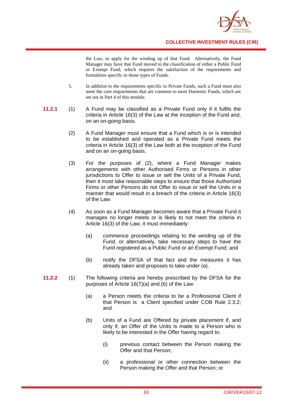

the Law, to apply for the winding up of that Fund. Alternatively, the Fund Manager may have that Fund moved to the classification of either a Public Fund or Exempt Fund, which requires the satisfaction of the requirements and formalities specific to those types of Funds.

- 5. In addition to the requirements specific to Private Funds, such a Fund must also meet the core requirements that are common to most Domestic Funds, which are set out in Part 4 of this module.
- **11.2.1** (1) A Fund may be classified as a Private Fund only if it fulfils the criteria in Article 16(3) of the Law at the inception of the Fund and, on an on-going basis.
	- (2) A Fund Manager must ensure that a Fund which is or is intended to be established and operated as a Private Fund meets the criteria in Article 16(3) of the Law both at the inception of the Fund and on an on-going basis.
	- (3) For the purposes of (2), where a Fund Manager makes arrangements with other Authorised Firms or Persons in other jurisdictions to Offer to issue or sell the Units of a Private Fund. then it must take reasonable steps to ensure that those Authorised Firms or other Persons do not Offer to issue or sell the Units in a manner that would result in a breach of the criteria in Article 16(3) of the Law.
	- (4) As soon as a Fund Manager becomes aware that a Private Fund it manages no longer meets or is likely to not meet the criteria in Article 16(3) of the Law, it must immediately:
		- (a) commence proceedings relating to the winding up of the Fund, or alternatively, take necessary steps to have the Fund registered as a Public Fund or an Exempt Fund; and
		- (b) notify the DFSA of that fact and the measures it has already taken and proposes to take under (a).
- **11.2.2** (1) The following criteria are hereby prescribed by the DFSA for the purposes of Article 16(7)(a) and (b) of the Law:
	- (a) a Person meets the criteria to be a Professional Client if that Person is a Client specified under COB Rule 2.3.2; and
	- (b) Units of a Fund are Offered by private placement if, and only if, an Offer of the Units is made to a Person who is likely to be interested in the Offer having regard to:
		- (i) previous contact between the Person making the Offer and that Person;
		- (ii) a professional or other connection between the Person making the Offer and that Person; or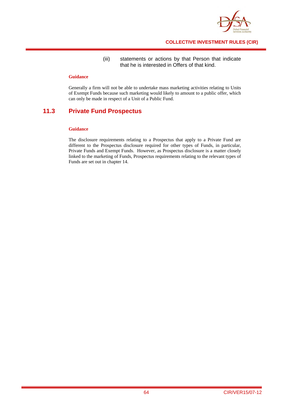

## (iii) statements or actions by that Person that indicate that he is interested in Offers of that kind.

## **Guidance**

Generally a firm will not be able to undertake mass marketing activities relating to Units of Exempt Funds because such marketing would likely to amount to a public offer, which can only be made in respect of a Unit of a Public Fund.

# **11.3 Private Fund Prospectus**

## **Guidance**

The disclosure requirements relating to a Prospectus that apply to a Private Fund are different to the Prospectus disclosure required for other types of Funds, in particular, Private Funds and Exempt Funds. However, as Prospectus disclosure is a matter closely linked to the marketing of Funds, Prospectus requirements relating to the relevant types of Funds are set out in chapter 14.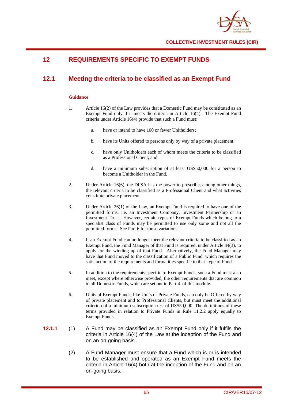

# **12 REQUIREMENTS SPECIFIC TO EXEMPT FUNDS**

# **12.1 Meeting the criteria to be classified as an Exempt Fund**

## **Guidance**

- 1. Article 16(2) of the Law provides that a Domestic Fund may be constituted as an Exempt Fund only if it meets the criteria in Article 16(4). The Exempt Fund criteria under Article 16(4) provide that such a Fund must:
	- a. have or intend to have 100 or fewer Unitholders;
	- b. have its Units offered to persons only by way of a private placement;
	- c. have only Unitholders each of whom meets the criteria to be classified as a Professional Client; and
	- d. have a minimum subscription of at least US\$50,000 for a person to become a Unitholder in the Fund.
- 2. Under Article 16(6), the DFSA has the power to prescribe, among other things, the relevant criteria to be classified as a Professional Client and what activities constitute private placement.
- 3. Under Article 26(1) of the Law, an Exempt Fund is required to have one of the permitted forms, i.e. an Investment Company, Investment Partnership or an Investment Trust. However, certain types of Exempt Funds which belong to a specialist class of Funds may be permitted to use only some and not all the permitted forms. See Part 6 for those variations.
- 4. If an Exempt Fund can no longer meet the relevant criteria to be classified as an Exempt Fund, the Fund Manager of that Fund is required, under Article 34(3), to apply for the winding up of that Fund. Alternatively, the Fund Manager may have that Fund moved to the classification of a Public Fund, which requires the satisfaction of the requirements and formalities specific to that type of Fund.
- 5. In addition to the requirements specific to Exempt Funds, such a Fund must also meet, except where otherwise provided, the other requirements that are common to all Domestic Funds, which are set out in Part 4 of this module.
- 6. Units of Exempt Funds, like Units of Private Funds, can only be Offered by way of private placement and to Professional Clients, but must meet the additional criterion of a minimum subscription test of US\$50,000. The definitions of these terms provided in relation to Private Funds in Rule 11.2.2 apply equally to Exempt Funds.
- **12.1.1** (1) A Fund may be classified as an Exempt Fund only if it fulfils the criteria in Article 16(4) of the Law at the inception of the Fund and on an on-going basis.
	- (2) A Fund Manager must ensure that a Fund which is or is intended to be established and operated as an Exempt Fund meets the criteria in Article 16(4) both at the inception of the Fund and on an on-going basis.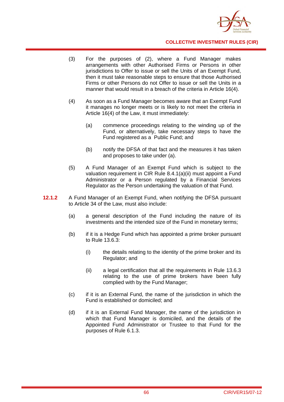

- (3) For the purposes of (2), where a Fund Manager makes arrangements with other Authorised Firms or Persons in other jurisdictions to Offer to issue or sell the Units of an Exempt Fund. then it must take reasonable steps to ensure that those Authorised Firms or other Persons do not Offer to issue or sell the Units in a manner that would result in a breach of the criteria in Article 16(4).
- (4) As soon as a Fund Manager becomes aware that an Exempt Fund it manages no longer meets or is likely to not meet the criteria in Article 16(4) of the Law, it must immediately:
	- (a) commence proceedings relating to the winding up of the Fund, or alternatively, take necessary steps to have the Fund registered as a Public Fund; and
	- (b) notify the DFSA of that fact and the measures it has taken and proposes to take under (a).
- (5) A Fund Manager of an Exempt Fund which is subject to the valuation requirement in CIR Rule 8.4.1(a)(ii) must appoint a Fund Administrator or a Person regulated by a Financial Services Regulator as the Person undertaking the valuation of that Fund.
- **12.1.2** A Fund Manager of an Exempt Fund, when notifying the DFSA pursuant to Article 34 of the Law, must also include:
	- (a) a general description of the Fund including the nature of its investments and the intended size of the Fund in monetary terms;
	- (b) if it is a Hedge Fund which has appointed a prime broker pursuant to Rule 13.6.3:
		- (i) the details relating to the identity of the prime broker and its Regulator; and
		- (ii) a legal certification that all the requirements in Rule 13.6.3 relating to the use of prime brokers have been fully complied with by the Fund Manager;
	- (c) if it is an External Fund, the name of the jurisdiction in which the Fund is established or domiciled; and
	- (d) if it is an External Fund Manager, the name of the jurisdiction in which that Fund Manager is domiciled, and the details of the Appointed Fund Administrator or Trustee to that Fund for the purposes of Rule 6.1.3.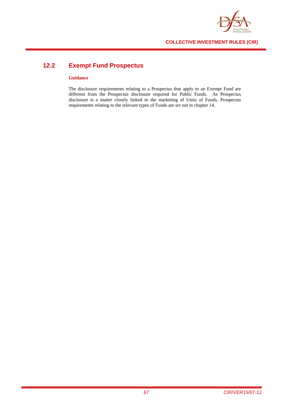

# **12.2 Exempt Fund Prospectus**

#### **Guidance**

The disclosure requirements relating to a Prospectus that apply to an Exempt Fund are different from the Prospectus disclosure required for Public Funds. As Prospectus disclosure is a matter closely linked to the marketing of Units of Funds, Prospectus requirements relating to the relevant types of Funds are set out in chapter 14.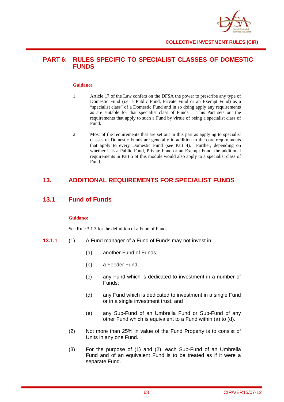

# **PART 6: RULES SPECIFIC TO SPECIALIST CLASSES OF DOMESTIC FUNDS**

### **Guidance**

- 1. Article 17 of the Law confers on the DFSA the power to prescribe any type of Domestic Fund (i.e. a Public Fund, Private Fund or an Exempt Fund) as a "specialist class" of a Domestic Fund and in so doing apply any requirements as are suitable for that specialist class of Funds. This Part sets out the requirements that apply to such a Fund by virtue of being a specialist class of Fund.
- 2. Most of the requirements that are set out in this part as applying to specialist classes of Domestic Funds are generally in addition to the core requirements that apply to every Domestic Fund (see Part 4). Further, depending on whether it is a Public Fund, Private Fund or an Exempt Fund, the additional requirements in Part 5 of this module would also apply to a specialist class of Fund.

# **13. ADDITIONAL REQUIREMENTS FOR SPECIALIST FUNDS**

# **13.1 Fund of Funds**

### **Guidance**

See Rule 3.1.3 for the definition of a Fund of Funds.

- **13.1.1** (1) A Fund manager of a Fund of Funds may not invest in:
	- (a) another Fund of Funds;
	- (b) a Feeder Fund;
	- (c) any Fund which is dedicated to investment in a number of Funds;
	- (d) any Fund which is dedicated to investment in a single Fund or in a single investment trust; and
	- (e) any Sub-Fund of an Umbrella Fund or Sub-Fund of any other Fund which is equivalent to a Fund within (a) to (d).
	- (2) Not more than 25% in value of the Fund Property is to consist of Units in any one Fund.
	- (3) For the purpose of (1) and (2), each Sub-Fund of an Umbrella Fund and of an equivalent Fund is to be treated as if it were a separate Fund.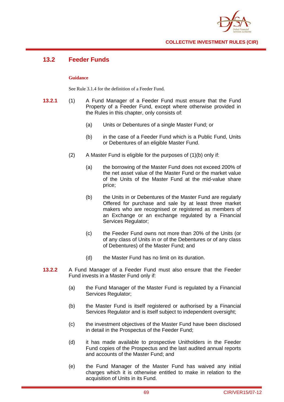

# **13.2 Feeder Funds**

### **Guidance**

See Rule 3.1.4 for the definition of a Feeder Fund.

- **13.2.1** (1) A Fund Manager of a Feeder Fund must ensure that the Fund Property of a Feeder Fund, except where otherwise provided in the Rules in this chapter, only consists of:
	- (a) Units or Debentures of a single Master Fund; or
	- (b) in the case of a Feeder Fund which is a Public Fund, Units or Debentures of an eligible Master Fund.
	- (2) A Master Fund is eligible for the purposes of (1)(b) only if:
		- (a) the borrowing of the Master Fund does not exceed 200% of the net asset value of the Master Fund or the market value of the Units of the Master Fund at the mid-value share price;
		- (b) the Units in or Debentures of the Master Fund are regularly Offered for purchase and sale by at least three market makers who are recognised or registered as members of an Exchange or an exchange regulated by a Financial Services Regulator;
		- (c) the Feeder Fund owns not more than 20% of the Units (or of any class of Units in or of the Debentures or of any class of Debentures) of the Master Fund; and
		- (d) the Master Fund has no limit on its duration.
- **13.2.2** A Fund Manager of a Feeder Fund must also ensure that the Feeder Fund invests in a Master Fund only if:
	- (a) the Fund Manager of the Master Fund is regulated by a Financial Services Regulator;
	- (b) the Master Fund is itself registered or authorised by a Financial Services Regulator and is itself subject to independent oversight;
	- (c) the investment objectives of the Master Fund have been disclosed in detail in the Prospectus of the Feeder Fund;
	- (d) it has made available to prospective Unitholders in the Feeder Fund copies of the Prospectus and the last audited annual reports and accounts of the Master Fund; and
	- (e) the Fund Manager of the Master Fund has waived any initial charges which it is otherwise entitled to make in relation to the acquisition of Units in its Fund.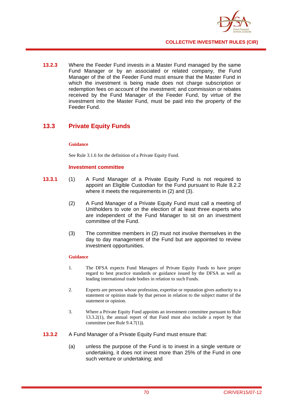

**13.2.3** Where the Feeder Fund invests in a Master Fund managed by the same Fund Manager or by an associated or related company, the Fund Manager of the of the Feeder Fund must ensure that the Master Fund in which the investment is being made does not charge subscription or redemption fees on account of the investment; and commission or rebates received by the Fund Manager of the Feeder Fund, by virtue of the investment into the Master Fund, must be paid into the property of the Feeder Fund.

# **13.3 Private Equity Funds**

### **Guidance**

See Rule 3.1.6 for the definition of a Private Equity Fund.

### **Investment committee**

- **13.3.1** (1) A Fund Manager of a Private Equity Fund is not required to appoint an Eligible Custodian for the Fund pursuant to Rule 8.2.2 where it meets the requirements in (2) and (3).
	- (2) A Fund Manager of a Private Equity Fund must call a meeting of Unitholders to vote on the election of at least three experts who are independent of the Fund Manager to sit on an investment committee of the Fund.
	- (3) The committee members in (2) must not involve themselves in the day to day management of the Fund but are appointed to review investment opportunities.

### **Guidance**

- 1. The DFSA expects Fund Managers of Private Equity Funds to have proper regard to best practice standards or guidance issued by the DFSA as well as leading international trade bodies in relation to such Funds.
- 2. Experts are persons whose profession, expertise or reputation gives authority to a statement or opinion made by that person in relation to the subject matter of the statement or opinion.
- 3. Where a Private Equity Fund appoints an investment committee pursuant to Rule 13.3.2(1), the annual report of that Fund must also include a report by that committee (see Rule 9.4.7(1)).
- **13.3.2** A Fund Manager of a Private Equity Fund must ensure that:
	- (a) unless the purpose of the Fund is to invest in a single venture or undertaking, it does not invest more than 25% of the Fund in one such venture or undertaking; and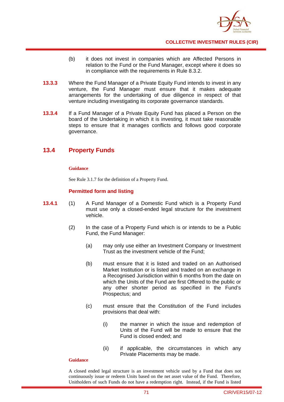

- (b) it does not invest in companies which are Affected Persons in relation to the Fund or the Fund Manager, except where it does so in compliance with the requirements in Rule 8.3.2.
- **13.3.3** Where the Fund Manager of a Private Equity Fund intends to invest in any venture, the Fund Manager must ensure that it makes adequate arrangements for the undertaking of due diligence in respect of that venture including investigating its corporate governance standards.
- **13.3.4** If a Fund Manager of a Private Equity Fund has placed a Person on the board of the Undertaking in which it is investing, it must take reasonable steps to ensure that it manages conflicts and follows good corporate governance.

# **13.4 Property Funds**

### **Guidance**

See Rule 3.1.7 for the definition of a Property Fund.

## **Permitted form and listing**

- **13.4.1** (1) A Fund Manager of a Domestic Fund which is a Property Fund must use only a closed-ended legal structure for the investment vehicle.
	- (2) In the case of a Property Fund which is or intends to be a Public Fund, the Fund Manager:
		- (a) may only use either an Investment Company or Investment Trust as the investment vehicle of the Fund;
		- (b) must ensure that it is listed and traded on an Authorised Market Institution or is listed and traded on an exchange in a Recognised Jurisdiction within 6 months from the date on which the Units of the Fund are first Offered to the public or any other shorter period as specified in the Fund's Prospectus; and
		- (c) must ensure that the Constitution of the Fund includes provisions that deal with:
			- (i) the manner in which the issue and redemption of Units of the Fund will be made to ensure that the Fund is closed ended; and
			- (ii) if applicable, the circumstances in which any Private Placements may be made.

### **Guidance**

A closed ended legal structure is an investment vehicle used by a Fund that does not continuously issue or redeem Units based on the net asset value of the Fund. Therefore, Unitholders of such Funds do not have a redemption right. Instead, if the Fund is listed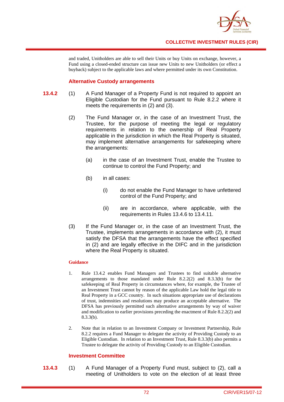

and traded, Unitholders are able to sell their Units or buy Units on exchange, however, a Fund using a closed-ended structure can issue new Units to new Unitholders (or effect a buyback) subject to the applicable laws and where permitted under its own Constitution.

## **Alternative Custody arrangements**

- **13.4.2** (1) A Fund Manager of a Property Fund is not required to appoint an Eligible Custodian for the Fund pursuant to Rule 8.2.2 where it meets the requirements in (2) and (3).
	- (2) The Fund Manager or, in the case of an Investment Trust, the Trustee, for the purpose of meeting the legal or regulatory requirements in relation to the ownership of Real Property applicable in the jurisdiction in which the Real Property is situated, may implement alternative arrangements for safekeeping where the arrangements:
		- (a) in the case of an Investment Trust, enable the Trustee to continue to control the Fund Property; and
		- (b) in all cases:
			- (i) do not enable the Fund Manager to have unfettered control of the Fund Property; and
			- (ii) are in accordance, where applicable, with the requirements in Rules 13.4.6 to 13.4.11.
	- (3) If the Fund Manager or, in the case of an Investment Trust, the Trustee, implements arrangements in accordance with (2), it must satisfy the DFSA that the arrangements have the effect specified in (2) and are legally effective in the DIFC and in the jurisdiction where the Real Property is situated.

#### **Guidance**

- 1. Rule 13.4.2 enables Fund Managers and Trustees to find suitable alternative arrangements to those mandated under Rule 8.2.2(2) and 8.3.3(b) for the safekeeping of Real Property in circumstances where, for example, the Trustee of an Investment Trust cannot by reason of the applicable Law hold the legal title to Real Property in a GCC country. In such situations appropriate use of declarations of trust, indemnities and resolutions may produce an acceptable alternative. The DFSA has previously permitted such alternative arrangements by way of waiver and modification to earlier provisions preceding the enactment of Rule 8.2.2(2) and 8.3.3(b).
- 2. Note that in relation to an Investment Company or Investment Partnership, Rule 8.2.2 requires a Fund Manager to delegate the activity of Providing Custody to an Eligible Custodian. In relation to an Investment Trust, Rule 8.3.3(b) also permits a Trustee to delegate the activity of Providing Custody to an Eligible Custodian.

### **Investment Committee**

**13.4.3** (1) A Fund Manager of a Property Fund must, subject to (2), call a meeting of Unitholders to vote on the election of at least three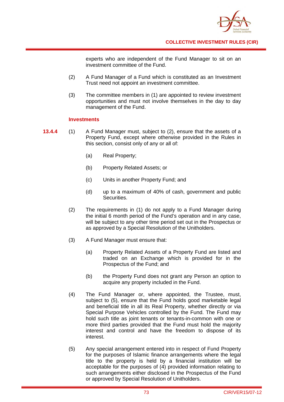

experts who are independent of the Fund Manager to sit on an investment committee of the Fund.

- (2) A Fund Manager of a Fund which is constituted as an Investment Trust need not appoint an investment committee.
- (3) The committee members in (1) are appointed to review investment opportunities and must not involve themselves in the day to day management of the Fund.

### **Investments**

- **13.4.4** (1) A Fund Manager must, subject to (2), ensure that the assets of a Property Fund, except where otherwise provided in the Rules in this section, consist only of any or all of:
	- (a) Real Property;
	- (b) Property Related Assets; or
	- (c) Units in another Property Fund; and
	- (d) up to a maximum of 40% of cash, government and public Securities.
	- (2) The requirements in (1) do not apply to a Fund Manager during the initial 6 month period of the Fund's operation and in any case, will be subject to any other time period set out in the Prospectus or as approved by a Special Resolution of the Unitholders.
	- (3) A Fund Manager must ensure that:
		- (a) Property Related Assets of a Property Fund are listed and traded on an Exchange which is provided for in the Prospectus of the Fund; and
		- (b) the Property Fund does not grant any Person an option to acquire any property included in the Fund.
	- (4) The Fund Manager or, where appointed, the Trustee, must, subject to (5), ensure that the Fund holds good marketable legal and beneficial title in all its Real Property, whether directly or via Special Purpose Vehicles controlled by the Fund. The Fund may hold such title as joint tenants or tenants-in-common with one or more third parties provided that the Fund must hold the majority interest and control and have the freedom to dispose of its interest.
	- (5) Any special arrangement entered into in respect of Fund Property for the purposes of Islamic finance arrangements where the legal title to the property is held by a financial institution will be acceptable for the purposes of (4) provided information relating to such arrangements either disclosed in the Prospectus of the Fund or approved by Special Resolution of Unitholders.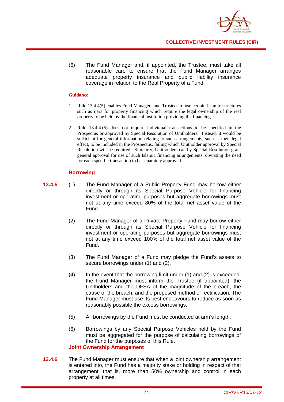

(6) The Fund Manager and, if appointed, the Trustee, must take all reasonable care to ensure that the Fund Manager arranges adequate property insurance and public liability insurance coverage in relation to the Real Property of a Fund.

#### **Guidance**

- 1. Rule 13.4.4(5) enables Fund Managers and Trustees to use certain Islamic structures such as ijara for property financing which require the legal ownership of the real property to be held by the financial institution providing the financing.
- 2. Rule 13.4.4.(5) does not require individual transactions to be specified in the Prospectus or approved by Special Resolution of Unitholders. Instead, it would be sufficient for general information relating to such arrangements, such as their legal effect, to be included in the Prospectus, failing which Unitholder approval by Special Resolution will be required. Similarly, Unitholders can by Special Resolution grant general approval for use of such Islamic financing arrangements, obviating the need for each specific transaction to be separately approved.

### **Borrowing**

- **13.4.5** (1) The Fund Manager of a Public Property Fund may borrow either directly or through its Special Purpose Vehicle for financing investment or operating purposes but aggregate borrowings must not at any time exceed 80% of the total net asset value of the Fund.
	- (2) The Fund Manager of a Private Property Fund may borrow either directly or through its Special Purpose Vehicle for financing investment or operating purposes but aggregate borrowings must not at any time exceed 100% of the total net asset value of the Fund.
	- (3) The Fund Manager of a Fund may pledge the Fund's assets to secure borrowings under (1) and (2).
	- (4) In the event that the borrowing limit under (1) and (2) is exceeded, the Fund Manager must inform the Trustee (if appointed), the Unitholders and the DFSA of the magnitude of the breach, the cause of the breach, and the proposed method of rectification. The Fund Manager must use its best endeavours to reduce as soon as reasonably possible the excess borrowings.
	- (5) All borrowings by the Fund must be conducted at arm's length.
	- (6) Borrowings by any Special Purpose Vehicles held by the Fund must be aggregated for the purpose of calculating borrowings of the Fund for the purposes of this Rule. **Joint Ownership Arrangement**
- **13.4.6** The Fund Manager must ensure that when a joint ownership arrangement is entered into, the Fund has a majority stake or holding in respect of that arrangement, that is, more than 50% ownership and control in each property at all times.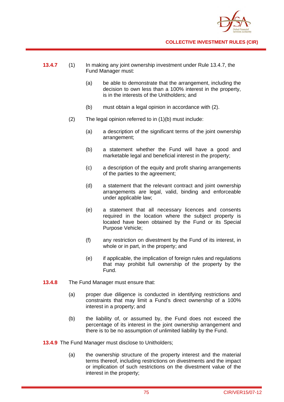

- **13.4.7** (1) In making any joint ownership investment under Rule 13.4.7, the Fund Manager must:
	- (a) be able to demonstrate that the arrangement, including the decision to own less than a 100% interest in the property, is in the interests of the Unitholders; and
	- (b) must obtain a legal opinion in accordance with (2).
	- (2) The legal opinion referred to in (1)(b) must include:
		- (a) a description of the significant terms of the joint ownership arrangement;
		- (b) a statement whether the Fund will have a good and marketable legal and beneficial interest in the property;
		- (c) a description of the equity and profit sharing arrangements of the parties to the agreement;
		- (d) a statement that the relevant contract and joint ownership arrangements are legal, valid, binding and enforceable under applicable law;
		- (e) a statement that all necessary licences and consents required in the location where the subject property is located have been obtained by the Fund or its Special Purpose Vehicle;
		- (f) any restriction on divestment by the Fund of its interest, in whole or in part, in the property; and
		- (e) if applicable, the implication of foreign rules and regulations that may prohibit full ownership of the property by the Fund.
- **13.4.8** The Fund Manager must ensure that:
	- (a) proper due diligence is conducted in identifying restrictions and constraints that may limit a Fund's direct ownership of a 100% interest in a property; and
	- (b) the liability of, or assumed by, the Fund does not exceed the percentage of its interest in the joint ownership arrangement and there is to be no assumption of unlimited liability by the Fund.
- **13.4.9** The Fund Manager must disclose to Unitholders;
	- (a) the ownership structure of the property interest and the material terms thereof, including restrictions on divestments and the impact or implication of such restrictions on the divestment value of the interest in the property;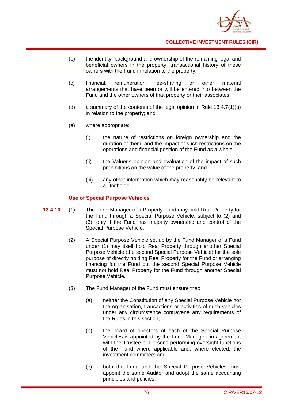

- (b) the identity, background and ownership of the remaining legal and beneficial owners in the property, transactional history of these owners with the Fund in relation to the property;
- (c) financial, remuneration, fee-sharing or other material arrangements that have been or will be entered into between the Fund and the other owners of that property or their associates;
- (d) a summary of the contents of the legal opinion in Rule 13.4.7(1)(b) in relation to the property; and
- (e) where appropriate:
	- (i) the nature of restrictions on foreign ownership and the duration of them, and the impact of such restrictions on the operations and financial position of the Fund as a whole;
	- (ii) the Valuer's opinion and evaluation of the impact of such prohibitions on the value of the property; and
	- (iii) any other information which may reasonably be relevant to a Unitholder.

## **Use of Special Purpose Vehicles**

- **13.4.10** (1) The Fund Manager of a Property Fund may hold Real Property for the Fund through a Special Purpose Vehicle, subject to (2) and (3), only if the Fund has majority ownership and control of the Special Purpose Vehicle.
	- (2) A Special Purpose Vehicle set up by the Fund Manager of a Fund under (1) may itself hold Real Property through another Special Purpose Vehicle (the second Special Purpose Vehicle) for the sole purpose of directly holding Real Property for the Fund or arranging financing for the Fund but the second Special Purpose Vehicle must not hold Real Property for the Fund through another Special Purpose Vehicle.
	- (3) The Fund Manager of the Fund must ensure that:
		- (a) neither the Constitution of any Special Purpose Vehicle nor the organisation, transactions or activities of such vehicles under any circumstance contravene any requirements of the Rules in this section;
		- (b) the board of directors of each of the Special Purpose Vehicles is appointed by the Fund Manager in agreement with the Trustee or Persons performing oversight functions of the Fund where applicable and, where elected, the investment committee; and
		- (c) both the Fund and the Special Purpose Vehicles must appoint the same Auditor and adopt the same accounting principles and policies.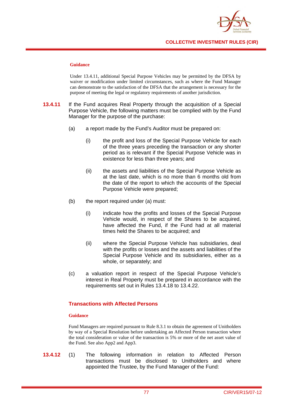

#### **Guidance**

Under 13.4.11, additional Special Purpose Vehicles may be permitted by the DFSA by waiver or modification under limited circumstances, such as where the Fund Manager can demonstrate to the satisfaction of the DFSA that the arrangement is necessary for the purpose of meeting the legal or regulatory requirements of another jurisdiction.

- **13.4.11** If the Fund acquires Real Property through the acquisition of a Special Purpose Vehicle, the following matters must be complied with by the Fund Manager for the purpose of the purchase:
	- (a) a report made by the Fund's Auditor must be prepared on:
		- (i) the profit and loss of the Special Purpose Vehicle for each of the three years preceding the transaction or any shorter period as is relevant if the Special Purpose Vehicle was in existence for less than three years; and
		- (ii) the assets and liabilities of the Special Purpose Vehicle as at the last date, which is no more than 6 months old from the date of the report to which the accounts of the Special Purpose Vehicle were prepared;
	- (b) the report required under (a) must:
		- (i) indicate how the profits and losses of the Special Purpose Vehicle would, in respect of the Shares to be acquired, have affected the Fund, if the Fund had at all material times held the Shares to be acquired; and
		- (ii) where the Special Purpose Vehicle has subsidiaries, deal with the profits or losses and the assets and liabilities of the Special Purpose Vehicle and its subsidiaries, either as a whole, or separately; and
	- (c) a valuation report in respect of the Special Purpose Vehicle's interest in Real Property must be prepared in accordance with the requirements set out in Rules 13.4.18 to 13.4.22.

## **Transactions with Affected Persons**

### **Guidance**

Fund Managers are required pursuant to Rule 8.3.1 to obtain the agreement of Unitholders by way of a Special Resolution before undertaking an Affected Person transaction where the total consideration or value of the transaction is 5% or more of the net asset value of the Fund. See also App2 and App3.

**13.4.12** (1) The following information in relation to Affected Person transactions must be disclosed to Unitholders and where appointed the Trustee, by the Fund Manager of the Fund: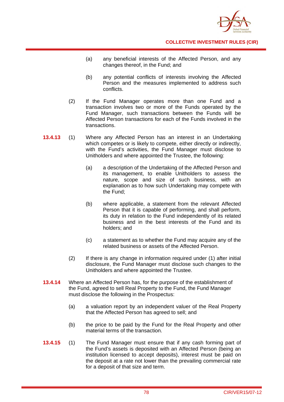

- (a) any beneficial interests of the Affected Person, and any changes thereof, in the Fund; and
- (b) any potential conflicts of interests involving the Affected Person and the measures implemented to address such conflicts.
- (2) If the Fund Manager operates more than one Fund and a transaction involves two or more of the Funds operated by the Fund Manager, such transactions between the Funds will be Affected Person transactions for each of the Funds involved in the transactions.
- **13.4.13** (1) Where any Affected Person has an interest in an Undertaking which competes or is likely to compete, either directly or indirectly, with the Fund's activities, the Fund Manager must disclose to Unitholders and where appointed the Trustee, the following:
	- (a) a description of the Undertaking of the Affected Person and its management, to enable Unitholders to assess the nature, scope and size of such business, with an explanation as to how such Undertaking may compete with the Fund;
	- (b) where applicable, a statement from the relevant Affected Person that it is capable of performing, and shall perform, its duty in relation to the Fund independently of its related business and in the best interests of the Fund and its holders; and
	- (c) a statement as to whether the Fund may acquire any of the related business or assets of the Affected Person.
	- (2) If there is any change in information required under (1) after initial disclosure, the Fund Manager must disclose such changes to the Unitholders and where appointed the Trustee.
- **13.4.14** Where an Affected Person has, for the purpose of the establishment of the Fund, agreed to sell Real Property to the Fund, the Fund Manager must disclose the following in the Prospectus:
	- (a) a valuation report by an independent valuer of the Real Property that the Affected Person has agreed to sell; and
	- (b) the price to be paid by the Fund for the Real Property and other material terms of the transaction.
- **13.4.15** (1) The Fund Manager must ensure that if any cash forming part of the Fund's assets is deposited with an Affected Person (being an institution licensed to accept deposits), interest must be paid on the deposit at a rate not lower than the prevailing commercial rate for a deposit of that size and term.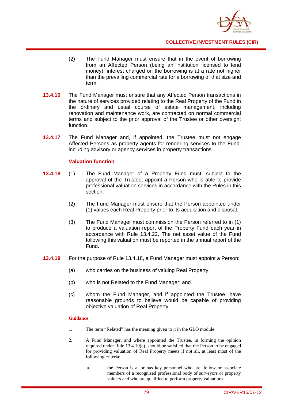

- (2) The Fund Manager must ensure that in the event of borrowing from an Affected Person (being an institution licensed to lend money), interest charged on the borrowing is at a rate not higher than the prevailing commercial rate for a borrowing of that size and term.
- **13.4.16** The Fund Manager must ensure that any Affected Person transactions in the nature of services provided relating to the Real Property of the Fund in the ordinary and usual course of estate management, including renovation and maintenance work, are contracted on normal commercial terms and subject to the prior approval of the Trustee or other oversight function.
- **13.4.17** The Fund Manager and, if appointed, the Trustee must not engage Affected Persons as property agents for rendering services to the Fund, including advisory or agency services in property transactions.

## **Valuation function**

- **13.4.18** (1) The Fund Manager of a Property Fund must, subject to the approval of the Trustee, appoint a Person who is able to provide professional valuation services in accordance with the Rules in this section.
	- (2) The Fund Manager must ensure that the Person appointed under (1) values each Real Property prior to its acquisition and disposal.
	- (3) The Fund Manager must commission the Person referred to in (1) to produce a valuation report of the Property Fund each year in accordance with Rule 13.4.22. The net asset value of the Fund following this valuation must be reported in the annual report of the Fund.
- **13.4.19** For the purpose of Rule 13.4.18, a Fund Manager must appoint a Person:
	- (a) who carries on the business of valuing Real Property;
	- (b) who is not Related to the Fund Manager; and
	- (c) whom the Fund Manager, and if appointed the Trustee, have reasonable grounds to believe would be capable of providing objective valuation of Real Property.

#### **Guidance**

- 1. The term "Related" has the meaning given to it in the GLO module.
- 2. A Fund Manager, and where appointed the Trustee, in forming the opinion required under Rule 13.4.19(c), should be satisfied that the Person to be engaged for providing valuation of Real Property meets if not all, at least most of the following criteria:
	- a. the Person is a, or has key personnel who are, fellow or associate members of a recognised professional body of surveyors or property valuers and who are qualified to perform property valuations;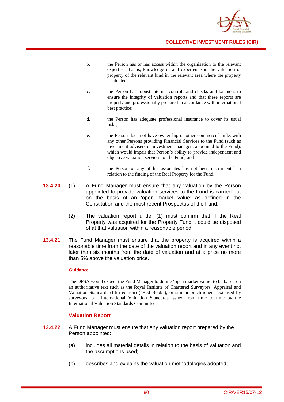

- b. the Person has or has access within the organisation to the relevant expertise, that is, knowledge of and experience in the valuation of property of the relevant kind in the relevant area where the property is situated;
- c. the Person has robust internal controls and checks and balances to ensure the integrity of valuation reports and that these reports are properly and professionally prepared in accordance with international best practice;
- d. the Person has adequate professional insurance to cover its usual risks;
- e. the Person does not have ownership or other commercial links with any other Persons providing Financial Services to the Fund (such as investment advisers or investment managers appointed to the Fund), which would impair that Person's ability to provide independent and objective valuation services to the Fund; and
- f. the Person or any of his associates has not been instrumental in relation to the finding of the Real Property for the Fund.
- **13.4.20** (1) A Fund Manager must ensure that any valuation by the Person appointed to provide valuation services to the Fund is carried out on the basis of an 'open market value' as defined in the Constitution and the most recent Prospectus of the Fund.
	- (2) The valuation report under (1) must confirm that if the Real Property was acquired for the Property Fund it could be disposed of at that valuation within a reasonable period.
- **13.4.21** The Fund Manager must ensure that the property is acquired within a reasonable time from the date of the valuation report and in any event not later than six months from the date of valuation and at a price no more than 5% above the valuation price.

#### **Guidance**

The DFSA would expect the Fund Manager to define 'open market value' to be based on an authoritative text such as the Royal Institute of Chartered Surveyors' Appraisal and Valuation Standards (fifth edition) ("Red Book"); or similar practitioners text used by surveyors; or International Valuation Standards issued from time to time by the International Valuation Standards Committee

## **Valuation Report**

- **13.4.22** A Fund Manager must ensure that any valuation report prepared by the Person appointed:
	- (a) includes all material details in relation to the basis of valuation and the assumptions used;
	- (b) describes and explains the valuation methodologies adopted;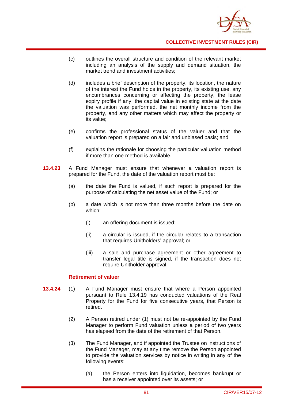

- (c) outlines the overall structure and condition of the relevant market including an analysis of the supply and demand situation, the market trend and investment activities;
- (d) includes a brief description of the property, its location, the nature of the interest the Fund holds in the property, its existing use, any encumbrances concerning or affecting the property, the lease expiry profile if any, the capital value in existing state at the date the valuation was performed, the net monthly income from the property, and any other matters which may affect the property or its value;
- (e) confirms the professional status of the valuer and that the valuation report is prepared on a fair and unbiased basis; and
- (f) explains the rationale for choosing the particular valuation method if more than one method is available.
- **13.4.23** A Fund Manager must ensure that whenever a valuation report is prepared for the Fund, the date of the valuation report must be:
	- (a) the date the Fund is valued, if such report is prepared for the purpose of calculating the net asset value of the Fund; or
	- (b) a date which is not more than three months before the date on which:
		- (i) an offering document is issued;
		- (ii) a circular is issued, if the circular relates to a transaction that requires Unitholders' approval; or
		- (iii) a sale and purchase agreement or other agreement to transfer legal title is signed, if the transaction does not require Unitholder approval.

### **Retirement of valuer**

- **13.4.24** (1) A Fund Manager must ensure that where a Person appointed pursuant to Rule 13.4.19 has conducted valuations of the Real Property for the Fund for five consecutive years, that Person is retired.
	- (2) A Person retired under (1) must not be re-appointed by the Fund Manager to perform Fund valuation unless a period of two years has elapsed from the date of the retirement of that Person.
	- (3) The Fund Manager, and if appointed the Trustee on instructions of the Fund Manager, may at any time remove the Person appointed to provide the valuation services by notice in writing in any of the following events:
		- (a) the Person enters into liquidation, becomes bankrupt or has a receiver appointed over its assets; or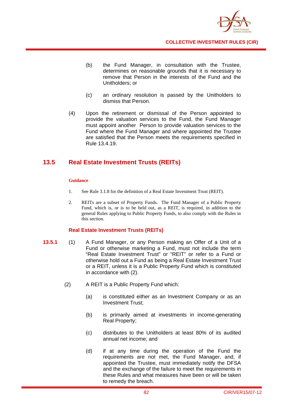

- (b) the Fund Manager, in consultation with the Trustee, determines on reasonable grounds that it is necessary to remove that Person in the interests of the Fund and the Unitholders; or
- (c) an ordinary resolution is passed by the Unitholders to dismiss that Person.
- (4) Upon the retirement or dismissal of the Person appointed to provide the valuation services to the Fund, the Fund Manager must appoint another Person to provide valuation services to the Fund where the Fund Manager and where appointed the Trustee are satisfied that the Person meets the requirements specified in Rule 13.4.19.

# **13.5 Real Estate Investment Trusts (REITs)**

### **Guidance**

- 1. See Rule 3.1.8 for the definition of a Real Estate Investment Trust (REIT).
- 2. REITs are a subset of Property Funds. The Fund Manager of a Public Property Fund, which is, or is to be held out, as a REIT, is required, in addition to the general Rules applying to Public Property Funds, to also comply with the Rules in this section.

## **Real Estate Investment Trusts (REITs)**

- **13.5.1** (1) A Fund Manager, or any Person making an Offer of a Unit of a Fund or otherwise marketing a Fund, must not include the term "Real Estate Investment Trust" or "REIT" or refer to a Fund or otherwise hold out a Fund as being a Real Estate Investment Trust or a REIT, unless it is a Public Property Fund which is constituted in accordance with (2).
	- (2) A REIT is a Public Property Fund which:
		- (a) is constituted either as an Investment Company or as an Investment Trust;
		- (b) is primarily aimed at investments in income-generating Real Property;
		- (c) distributes to the Unitholders at least 80% of its audited annual net income; and
		- (d) if at any time during the operation of the Fund the requirements are not met, the Fund Manager, and, if appointed the Trustee, must immediately notify the DFSA and the exchange of the failure to meet the requirements in these Rules and what measures have been or will be taken to remedy the breach.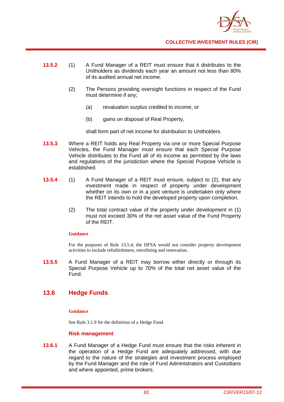

- **13.5.2** (1) A Fund Manager of a REIT must ensure that it distributes to the Unitholders as dividends each year an amount not less than 80% of its audited annual net income.
	- (2) The Persons providing oversight functions in respect of the Fund must determine if any;
		- (a) revaluation surplus credited to income, or
		- (b) gains on disposal of Real Property,

shall form part of net income for distribution to Unitholders.

- **13.5.3** Where a REIT holds any Real Property via one or more Special Purpose Vehicles, the Fund Manager must ensure that each Special Purpose Vehicle distributes to the Fund all of its income as permitted by the laws and regulations of the jurisdiction where the Special Purpose Vehicle is established.
- **13.5.4** (1) A Fund Manager of a REIT must ensure, subject to (2), that any investment made in respect of property under development whether on its own or in a joint venture is undertaken only where the REIT intends to hold the developed property upon completion.
	- (2) The total contract value of the property under development in (1) must not exceed 30% of the net asset value of the Fund Property of the REIT.

## **Guidance**

For the purposes of Rule 13.5.4, the DFSA would not consider property development activities to include refurbishment, retrofitting and renovation.

**13.5.5** A Fund Manager of a REIT may borrow either directly or through its Special Purpose Vehicle up to 70% of the total net asset value of the Fund.

# **13.6 Hedge Funds**

## **Guidance**

See Rule 3.1.9 for the definition of a Hedge Fund.

### **Risk management**

**13.6.1** A Fund Manager of a Hedge Fund must ensure that the risks inherent in the operation of a Hedge Fund are adequately addressed, with due regard to the nature of the strategies and investment process employed by the Fund Manager and the role of Fund Administrators and Custodians and where appointed, prime brokers.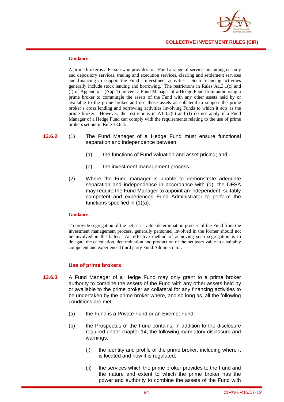

#### **Guidance**

A prime broker is a Person who provides to a Fund a range of services including custody and depository services, trading and execution services, clearing and settlement services and financing to support the Fund's investment activities. Such financing activities generally include stock lending and borrowing. The restrictions in Rules A1.3.1(c) and (f) of Appendix 1 (App 1) prevent a Fund Manager of a Hedge Fund from authorising a prime broker to commingle the assets of the Fund with any other assets held by or available to the prime broker and use those assets as collateral to support the prime broker's cross lending and borrowing activities involving Funds to which it acts as the prime broker. However, the restrictions in  $A1.3.2(c)$  and (f) do not apply if a Fund Manager of a Hedge Fund can comply with the requirements relating to the use of prime brokers set out in Rule 13.6.4.

### **13.6.2** (1) The Fund Manager of a Hedge Fund must ensure functional separation and independence between:

- (a) the functions of Fund valuation and asset pricing; and
- (b) the investment management process.
- (2) Where the Fund manager is unable to demonstrate adequate separation and independence in accordance with (1), the DFSA may require the Fund Manager to appoint an independent, suitably competent and experienced Fund Administrator to perform the functions specified in (1)(a).

#### **Guidance**

To provide segregation of the net asset value determination process of the Fund from the investment management process, generally personnel involved in the former should not be involved in the latter. An effective method of achieving such segregation is to delegate the calculation, determination and production of the net asset value to a suitably competent and experienced third party Fund Administrator.

### **Use of prime brokers**

- **13.6.3** A Fund Manager of a Hedge Fund may only grant to a prime broker authority to combine the assets of the Fund with any other assets held by or available to the prime broker as collateral for any financing activities to be undertaken by the prime broker where, and so long as, all the following conditions are met:
	- (a) the Fund is a Private Fund or an Exempt Fund;
	- (b) the Prospectus of the Fund contains, in addition to the disclosure required under chapter 14, the following mandatory disclosure and warnings:
		- (i) the identity and profile of the prime broker, including where it is located and how it is regulated;
		- (ii) the services which the prime broker provides to the Fund and the nature and extent to which the prime broker has the power and authority to combine the assets of the Fund with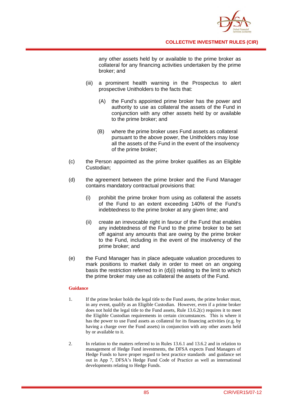

any other assets held by or available to the prime broker as collateral for any financing activities undertaken by the prime broker; and

- (iii) a prominent health warning in the Prospectus to alert prospective Unitholders to the facts that:
	- (A) the Fund's appointed prime broker has the power and authority to use as collateral the assets of the Fund in conjunction with any other assets held by or available to the prime broker; and
	- (B) where the prime broker uses Fund assets as collateral pursuant to the above power, the Unitholders may lose all the assets of the Fund in the event of the insolvency of the prime broker;
- (c) the Person appointed as the prime broker qualifies as an Eligible Custodian;
- (d) the agreement between the prime broker and the Fund Manager contains mandatory contractual provisions that:
	- (i) prohibit the prime broker from using as collateral the assets of the Fund to an extent exceeding 140% of the Fund's indebtedness to the prime broker at any given time; and
	- (ii) create an irrevocable right in favour of the Fund that enables any indebtedness of the Fund to the prime broker to be set off against any amounts that are owing by the prime broker to the Fund, including in the event of the insolvency of the prime broker; and
- (e) the Fund Manager has in place adequate valuation procedures to mark positions to market daily in order to meet on an ongoing basis the restriction referred to in (d)(i) relating to the limit to which the prime broker may use as collateral the assets of the Fund.

#### **Guidance**

- 1. If the prime broker holds the legal title to the Fund assets, the prime broker must, in any event, qualify as an Eligible Custodian. However, even if a prime broker does not hold the legal title to the Fund assets, Rule 13.6.2(c) requires it to meet the Eligible Custodian requirements in certain circumstances. This is where it has the power to use Fund assets as collateral for its financing activities (e.g. by having a charge over the Fund assets) in conjunction with any other assets held by or available to it.
- 2. In relation to the matters referred to in Rules 13.6.1 and 13.6.2 and in relation to management of Hedge Fund investments, the DFSA expects Fund Managers of Hedge Funds to have proper regard to best practice standards and guidance set out in App 7, DFSA's Hedge Fund Code of Practice as well as international developments relating to Hedge Funds.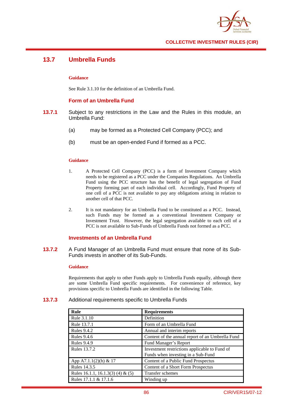

# **13.7 Umbrella Funds**

### **Guidance**

See Rule 3.1.10 for the definition of an Umbrella Fund.

## **Form of an Umbrella Fund**

- **13.7.1** Subject to any restrictions in the Law and the Rules in this module, an Umbrella Fund:
	- (a) may be formed as a Protected Cell Company (PCC); and
	- (b) must be an open-ended Fund if formed as a PCC.

### **Guidance**

- 1. A Protected Cell Company (PCC) is a form of Investment Company which needs to be registered as a PCC under the Companies Regulations. An Umbrella Fund using the PCC structure has the benefit of legal segregation of Fund Property forming part of each individual cell. Accordingly, Fund Property of one cell of a PCC is not available to pay any obligations arising in relation to another cell of that PCC.
- 2. It is not mandatory for an Umbrella Fund to be constituted as a PCC. Instead, such Funds may be formed as a conventional Investment Company or Investment Trust. However, the legal segregation available to each cell of a PCC is not available to Sub-Funds of Umbrella Funds not formed as a PCC.

## **Investments of an Umbrella Fund**

**13.7.2** A Fund Manager of an Umbrella Fund must ensure that none of its Sub-Funds invests in another of its Sub-Funds.

### **Guidance**

Requirements that apply to other Funds apply to Umbrella Funds equally, although there are some Umbrella Fund specific requirements. For convenience of reference, key provisions specific to Umbrella Funds are identified in the following Table.

### **13.7.3** Additional requirements specific to Umbrella Funds

| Rule                              | <b>Requirements</b>                                                                 |
|-----------------------------------|-------------------------------------------------------------------------------------|
| Rule 3.1.10                       | Definition                                                                          |
| Rule 13.7.1                       | Form of an Umbrella Fund                                                            |
| <b>Rules 9.4.2</b>                | Annual and interim reports                                                          |
| <b>Rules 9.4.6</b>                | Content of the annual report of an Umbrella Fund                                    |
| <b>Rules 9.4.9</b>                | Fund Manager's Report                                                               |
| Rules 13.7.2                      | Investment restrictions applicable to Fund of<br>Funds when investing in a Sub-Fund |
| App A7.1.1(2)(h) & 17             | Content of a Public Fund Prospectus                                                 |
| Rules 14.3.5                      | Content of a Short Form Prospectus                                                  |
| Rules 16.1.1, 16.1.3(3) (4) & (5) | Transfer schemes                                                                    |
| Rules 17.1.1 & 17.1.6             | Winding up                                                                          |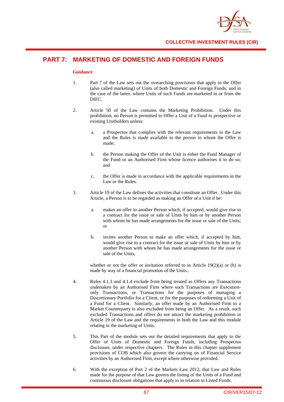

# **PART 7: MARKETING OF DOMESTIC AND FOREIGN FUNDS**

#### **Guidance**

- 1. Part 7 of the Law sets out the overarching provisions that apply to the Offer (also called marketing) of Units of both Domestic and Foreign Funds; and in the case of the latter, where Units of such Funds are marketed in or from the DIFC.
- 2. Article 50 of the Law contains the Marketing Prohibition. Under this prohibition, no Person is permitted to Offer a Unit of a Fund to prospective or existing Unitholders unless:
	- a. a Prospectus that complies with the relevant requirements in the Law and the Rules is made available to the person to whom the Offer is made;
	- b. the Person making the Offer of the Unit is either the Fund Manager of the Fund or an Authorised Firm whose licence authorises it to do so; and
	- c. the Offer is made in accordance with the applicable requirements in the Law or the Rules.
- 3. Article 19 of the Law defines the activities that constitute an Offer. Under this Article, a Person is to be regarded as making an Offer of a Unit if he:
	- a. makes an offer to another Person which, if accepted, would give rise to a contract for the issue or sale of Units by him or by another Person with whom he has made arrangements for the issue or sale of the Units; or
	- b. invites another Person to make an offer which, if accepted by him, would give rise to a contract for the issue or sale of Units by him or by another Person with whom he has made arrangements for the issue or sale of the Units,

whether or not the offer or invitation referred to in Article  $19(2)(a)$  or (b) is made by way of a financial promotion of the Units..

- 4. Rules 4.1.3 and 4.1.4 exclude from being treated as Offers any Transactions undertaken by an Authorised Firm where such Transactions are Executiononly Transactions, or Transactions for the purposes of managing a Discretionary Portfolio for a Client, or for the purposes of redeeming a Unit of a Fund for a Client. Similarly, an offer made by an Authorised Firm to a Market Counterparty is also excluded from being an Offer. As a result, such excluded Transactions and offers do not attract the marketing prohibition in Article 19 of the Law and the requirements in both the Law and this module relating to the marketing of Units.
- 5. This Part of the module sets out the detailed requirements that apply to the Offer of Units of Domestic and Foreign Funds, including Prospectus disclosure, under respective chapters. The Rules in this chapter supplement provisions of COB which also govern the carrying on of Financial Service activities by an Authorised Firm, except where otherwise provided.
- 6. With the exception of Part 2 of the Markets Law 2012, that Law and Rules made for the purpose of that Law govern the listing of the Units of a Fund and continuous disclosure obligations that apply to in relation to Listed Funds.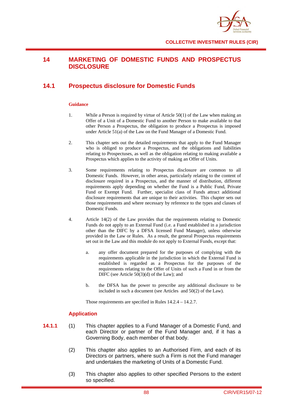

# **14 MARKETING OF DOMESTIC FUNDS AND PROSPECTUS DISCLOSURE**

# **14.1 Prospectus disclosure for Domestic Funds**

### **Guidance**

- 1. While a Person is required by virtue of Article 50(1) of the Law when making an Offer of a Unit of a Domestic Fund to another Person to make available to that other Person a Prospectus, the obligation to produce a Prospectus is imposed under Article 51(a) of the Law on the Fund Manager of a Domestic Fund.
- 2. This chapter sets out the detailed requirements that apply to the Fund Manager who is obliged to produce a Prospectus, and the obligations and liabilities relating to Prospectuses, as well as the obligation relating to making available a Prospectus which applies to the activity of making an Offer of Units.
- 3. Some requirements relating to Prospectus disclosure are common to all Domestic Funds. However, in other areas, particularly relating to the content of disclosure required in a Prospectus, and the manner of distribution, different requirements apply depending on whether the Fund is a Public Fund, Private Fund or Exempt Fund. Further, specialist class of Funds attract additional disclosure requirements that are unique to their activities. This chapter sets out those requirements and where necessary by reference to the types and classes of Domestic Funds.
- 4. Article 14(2) of the Law provides that the requirements relating to Domestic Funds do not apply to an External Fund (i.e. a Fund established in a jurisdiction other than the DIFC by a DFSA licensed Fund Manager), unless otherwise provided in the Law or Rules. As a result, the general Prospectus requirements set out in the Law and this module do not apply to External Funds, except that:
	- a. any offer document prepared for the purposes of complying with the requirements applicable in the jurisdiction in which the External Fund is established is regarded as a Prospectus for the purposes of the requirements relating to the Offer of Units of such a Fund in or from the DIFC (see Article 50(3)(d) of the Law); and
	- b. the DFSA has the power to prescribe any additional disclosure to be included in such a document (see Articles and 50(2) of the Law).

Those requirements are specified in Rules 14.2.4 – 14.2.7.

### **Application**

- **14.1.1** (1) This chapter applies to a Fund Manager of a Domestic Fund, and each Director or partner of the Fund Manager and, if it has a Governing Body, each member of that body.
	- (2) This chapter also applies to an Authorised Firm, and each of its Directors or partners, where such a Firm is not the Fund manager and undertakes the marketing of Units of a Domestic Fund.
	- (3) This chapter also applies to other specified Persons to the extent so specified.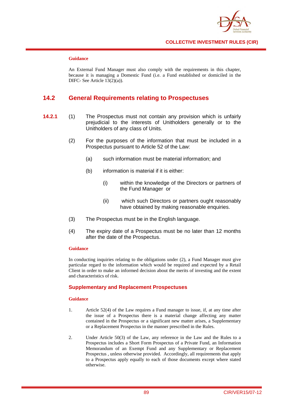

#### **Guidance**

An External Fund Manager must also comply with the requirements in this chapter, because it is managing a Domestic Fund (i.e. a Fund established or domiciled in the DIFC- See Article 13(2)(a)).

## **14.2 General Requirements relating to Prospectuses**

- **14.2.1** (1) The Prospectus must not contain any provision which is unfairly prejudicial to the interests of Unitholders generally or to the Unitholders of any class of Units.
	- (2) For the purposes of the information that must be included in a Prospectus pursuant to Article 52 of the Law:
		- (a) such information must be material information; and
		- (b) information is material if it is either:
			- (i) within the knowledge of the Directors or partners of the Fund Manager or
			- (ii) which such Directors or partners ought reasonably have obtained by making reasonable enquiries.
	- (3) The Prospectus must be in the English language.
	- (4) The expiry date of a Prospectus must be no later than 12 months after the date of the Prospectus.

#### **Guidance**

In conducting inquiries relating to the obligations under (2), a Fund Manager must give particular regard to the information which would be required and expected by a Retail Client in order to make an informed decision about the merits of investing and the extent and characteristics of risk.

### **Supplementary and Replacement Prospectuses**

#### **Guidance**

- 1. Article 52(4) of the Law requires a Fund manager to issue, if, at any time after the issue of a Prospectus there is a material change affecting any matter contained in the Prospectus or a significant new matter arises, a Supplementary or a Replacement Prospectus in the manner prescribed in the Rules.
- 2. Under Article 50(3) of the Law, any reference in the Law and the Rules to a Prospectus includes a Short Form Prospectus of a Private Fund, an Information Memorandum of an Exempt Fund and any Supplementary or Replacement Prospectus , unless otherwise provided. Accordingly, all requirements that apply to a Prospectus apply equally to each of those documents except where stated otherwise.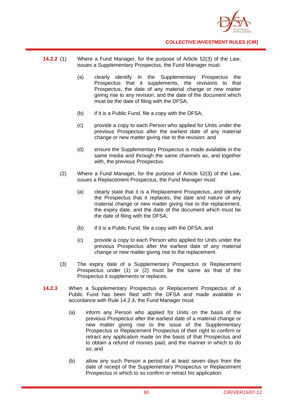

- **14.2.2** (1) Where a Fund Manager, for the purpose of Article 52(3) of the Law, issues a Supplementary Prospectus, the Fund Manager must:
	- (a) clearly identify in the Supplementary Prospectus the Prospectus that it supplements, the revisions to that Prospectus, the date of any material change or new matter giving rise to any revision, and the date of the document which must be the date of filing with the DFSA;
	- (b) if it is a Public Fund, file a copy with the DFSA;
	- (c) provide a copy to each Person who applied for Units under the previous Prospectus after the earliest date of any material change or new matter giving rise to the revision; and
	- (d) ensure the Supplementary Prospectus is made available in the same media and through the same channels as, and together with, the previous Prospectus.
	- (2) Where a Fund Manager, for the purpose of Article 52(3) of the Law, issues a Replacement Prospectus, the Fund Manager must:
		- (a) clearly state that it is a Replacement Prospectus, and identify the Prospectus that it replaces, the date and nature of any material change or new matter giving rise to the replacement, the expiry date, and the date of the document which must be the date of filing with the DFSA;
		- (b) if it is a Public Fund, file a copy with the DFSA; and
		- (c) provide a copy to each Person who applied for Units under the previous Prospectus after the earliest date of any material change or new matter giving rise to the replacement.
	- (3) The expiry date of a Supplementary Prospectus or Replacement Prospectus under (1) or (2) must be the same as that of the Prospectus it supplements or replaces.
- **14.2.3** When a Supplementary Prospectus or Replacement Prospectus of a Public Fund has been filed with the DFSA and made available in accordance with Rule 14.2.4, the Fund Manager must:
	- (a) inform any Person who applied for Units on the basis of the previous Prospectus after the earliest date of a material change or new matter giving rise to the issue of the Supplementary Prospectus or Replacement Prospectus of their right to confirm or retract any application made on the basis of that Prospectus and to obtain a refund of monies paid, and the manner in which to do so; and
	- (b) allow any such Person a period of at least seven days from the date of receipt of the Supplementary Prospectus or Replacement Prospectus in which to so confirm or retract his application.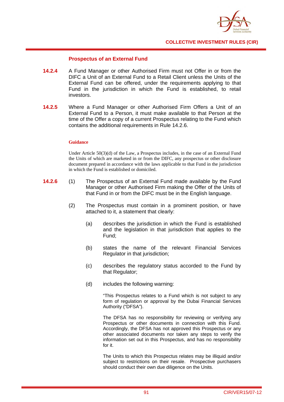

## **Prospectus of an External Fund**

- **14.2.4** A Fund Manager or other Authorised Firm must not Offer in or from the DIFC a Unit of an External Fund to a Retail Client unless the Units of the External Fund can be offered, under the requirements applying to that Fund in the jurisdiction in which the Fund is established, to retail investors.
- **14.2.5** Where a Fund Manager or other Authorised Firm Offers a Unit of an External Fund to a Person, it must make available to that Person at the time of the Offer a copy of a current Prospectus relating to the Fund which contains the additional requirements in Rule 14.2.6.

### **Guidance**

Under Article  $50(3)(d)$  of the Law, a Prospectus includes, in the case of an External Fund the Units of which are marketed in or from the DIFC, any prospectus or other disclosure document prepared in accordance with the laws applicable to that Fund in the jurisdiction in which the Fund is established or domiciled.

- **14.2.6** (1) The Prospectus of an External Fund made available by the Fund Manager or other Authorised Firm making the Offer of the Units of that Fund in or from the DIFC must be in the English language.
	- (2) The Prospectus must contain in a prominent position, or have attached to it, a statement that clearly:
		- (a) describes the jurisdiction in which the Fund is established and the legislation in that jurisdiction that applies to the Fund;
		- (b) states the name of the relevant Financial Services Regulator in that jurisdiction;
		- (c) describes the regulatory status accorded to the Fund by that Regulator;
		- (d) includes the following warning:

"This Prospectus relates to a Fund which is not subject to any form of regulation or approval by the Dubai Financial Services Authority ("DFSA").

The DFSA has no responsibility for reviewing or verifying any Prospectus or other documents in connection with this Fund. Accordingly, the DFSA has not approved this Prospectus or any other associated documents nor taken any steps to verify the information set out in this Prospectus, and has no responsibility for it.

The Units to which this Prospectus relates may be illiquid and/or subject to restrictions on their resale. Prospective purchasers should conduct their own due diligence on the Units.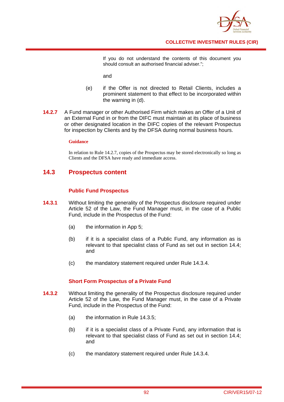

If you do not understand the contents of this document you should consult an authorised financial adviser.";

and

- (e) if the Offer is not directed to Retail Clients, includes a prominent statement to that effect to be incorporated within the warning in (d).
- **14.2.7** A Fund manager or other Authorised Firm which makes an Offer of a Unit of an External Fund in or from the DIFC must maintain at its place of business or other designated location in the DIFC copies of the relevant Prospectus for inspection by Clients and by the DFSA during normal business hours.

### **Guidance**

In relation to Rule 14.2.7, copies of the Prospectus may be stored electronically so long as Clients and the DFSA have ready and immediate access.

## **14.3 Prospectus content**

## **Public Fund Prospectus**

- **14.3.1** Without limiting the generality of the Prospectus disclosure required under Article 52 of the Law, the Fund Manager must, in the case of a Public Fund, include in the Prospectus of the Fund:
	- (a) the information in App 5;
	- (b) if it is a specialist class of a Public Fund, any information as is relevant to that specialist class of Fund as set out in section 14.4; and
	- (c) the mandatory statement required under Rule 14.3.4.

### **Short Form Prospectus of a Private Fund**

- **14.3.2** Without limiting the generality of the Prospectus disclosure required under Article 52 of the Law, the Fund Manager must, in the case of a Private Fund, include in the Prospectus of the Fund:
	- (a) the information in Rule 14.3.5;
	- (b) if it is a specialist class of a Private Fund, any information that is relevant to that specialist class of Fund as set out in section 14.4; and
	- (c) the mandatory statement required under Rule 14.3.4.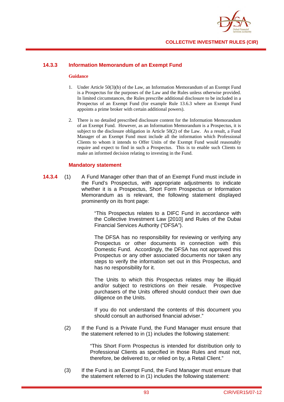

## **14.3.3 Information Memorandum of an Exempt Fund**

#### **Guidance**

- 1. Under Article 50(3)(b) of the Law, an Information Memorandum of an Exempt Fund is a Prospectus for the purposes of the Law and the Rules unless otherwise provided. In limited circumstances, the Rules prescribe additional disclosure to be included in a Prospectus of an Exempt Fund (for example Rule 13.6.3 where an Exempt Fund appoints a prime broker with certain additional powers).
- 2. There is no detailed prescribed disclosure content for the Information Memorandum of an Exempt Fund. However, as an Information Memorandum is a Prospectus, it is subject to the disclosure obligation in Article 50(2) of the Law. As a result, a Fund Manager of an Exempt Fund must include all the information which Professional Clients to whom it intends to Offer Units of the Exempt Fund would reasonably require and expect to find in such a Prospectus. This is to enable such Clients to make an informed decision relating to investing in the Fund.

## **Mandatory statement**

**14.3.4** (1) A Fund Manager other than that of an Exempt Fund must include in the Fund's Prospectus, with appropriate adjustments to indicate whether it is a Prospectus, Short Form Prospectus or Information Memorandum as is relevant, the following statement displayed prominently on its front page:

> "This Prospectus relates to a DIFC Fund in accordance with the Collective Investment Law [2010] and Rules of the Dubai Financial Services Authority ("DFSA").

> The DFSA has no responsibility for reviewing or verifying any Prospectus or other documents in connection with this Domestic Fund. Accordingly, the DFSA has not approved this Prospectus or any other associated documents nor taken any steps to verify the information set out in this Prospectus, and has no responsibility for it.

> The Units to which this Prospectus relates may be illiquid and/or subject to restrictions on their resale. Prospective purchasers of the Units offered should conduct their own due diligence on the Units.

> If you do not understand the contents of this document you should consult an authorised financial adviser."

(2) If the Fund is a Private Fund, the Fund Manager must ensure that the statement referred to in (1) includes the following statement:

> "This Short Form Prospectus is intended for distribution only to Professional Clients as specified in those Rules and must not, therefore, be delivered to, or relied on by, a Retail Client."

(3) If the Fund is an Exempt Fund, the Fund Manager must ensure that the statement referred to in (1) includes the following statement: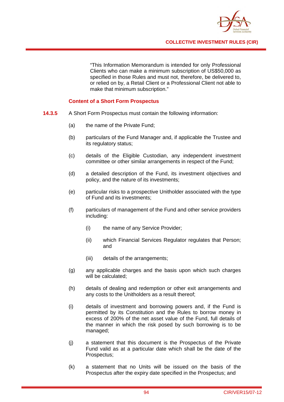

"This Information Memorandum is intended for only Professional Clients who can make a minimum subscription of US\$50,000 as specified in those Rules and must not, therefore, be delivered to, or relied on by, a Retail Client or a Professional Client not able to make that minimum subscription."

## **Content of a Short Form Prospectus**

- **14.3.5** A Short Form Prospectus must contain the following information:
	- (a) the name of the Private Fund;
	- (b) particulars of the Fund Manager and, if applicable the Trustee and its regulatory status;
	- (c) details of the Eligible Custodian, any independent investment committee or other similar arrangements in respect of the Fund;
	- (d) a detailed description of the Fund, its investment objectives and policy, and the nature of its investments;
	- (e) particular risks to a prospective Unitholder associated with the type of Fund and its investments;
	- (f) particulars of management of the Fund and other service providers including:
		- (i) the name of any Service Provider;
		- (ii) which Financial Services Regulator regulates that Person; and
		- (iii) details of the arrangements;
	- (g) any applicable charges and the basis upon which such charges will be calculated;
	- (h) details of dealing and redemption or other exit arrangements and any costs to the Unitholders as a result thereof;
	- (i) details of investment and borrowing powers and, if the Fund is permitted by its Constitution and the Rules to borrow money in excess of 200% of the net asset value of the Fund, full details of the manner in which the risk posed by such borrowing is to be managed;
	- (j) a statement that this document is the Prospectus of the Private Fund valid as at a particular date which shall be the date of the Prospectus;
	- (k) a statement that no Units will be issued on the basis of the Prospectus after the expiry date specified in the Prospectus; and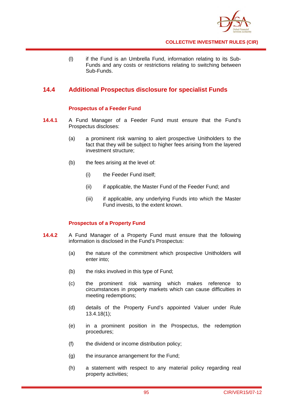

(l) if the Fund is an Umbrella Fund, information relating to its Sub-Funds and any costs or restrictions relating to switching between Sub-Funds.

# **14.4 Additional Prospectus disclosure for specialist Funds**

## **Prospectus of a Feeder Fund**

- **14.4.1** A Fund Manager of a Feeder Fund must ensure that the Fund's Prospectus discloses:
	- (a) a prominent risk warning to alert prospective Unitholders to the fact that they will be subject to higher fees arising from the layered investment structure;
	- (b) the fees arising at the level of:
		- (i) the Feeder Fund itself;
		- (ii) if applicable, the Master Fund of the Feeder Fund; and
		- (iii) if applicable, any underlying Funds into which the Master Fund invests, to the extent known.

## **Prospectus of a Property Fund**

- **14.4.2** A Fund Manager of a Property Fund must ensure that the following information is disclosed in the Fund's Prospectus:
	- (a) the nature of the commitment which prospective Unitholders will enter into;
	- (b) the risks involved in this type of Fund;
	- (c) the prominent risk warning which makes reference to circumstances in property markets which can cause difficulties in meeting redemptions;
	- (d) details of the Property Fund's appointed Valuer under Rule 13.4.18(1);
	- (e) in a prominent position in the Prospectus, the redemption procedures;
	- (f) the dividend or income distribution policy;
	- (g) the insurance arrangement for the Fund;
	- (h) a statement with respect to any material policy regarding real property activities;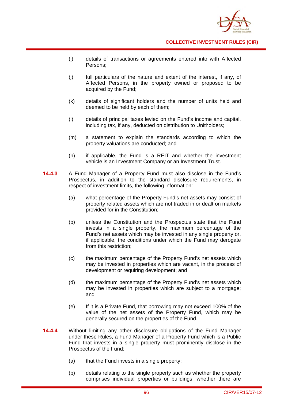

- (i) details of transactions or agreements entered into with Affected Persons;
- (j) full particulars of the nature and extent of the interest, if any, of Affected Persons, in the property owned or proposed to be acquired by the Fund;
- (k) details of significant holders and the number of units held and deemed to be held by each of them;
- (l) details of principal taxes levied on the Fund's income and capital, including tax, if any, deducted on distribution to Unitholders;
- (m) a statement to explain the standards according to which the property valuations are conducted; and
- (n) if applicable, the Fund is a REIT and whether the investment vehicle is an Investment Company or an Investment Trust.
- **14.4.3** A Fund Manager of a Property Fund must also disclose in the Fund's Prospectus, in addition to the standard disclosure requirements, in respect of investment limits, the following information:
	- (a) what percentage of the Property Fund's net assets may consist of property related assets which are not traded in or dealt on markets provided for in the Constitution;
	- (b) unless the Constitution and the Prospectus state that the Fund invests in a single property, the maximum percentage of the Fund's net assets which may be invested in any single property or, if applicable, the conditions under which the Fund may derogate from this restriction;
	- (c) the maximum percentage of the Property Fund's net assets which may be invested in properties which are vacant, in the process of development or requiring development; and
	- (d) the maximum percentage of the Property Fund's net assets which may be invested in properties which are subject to a mortgage; and
	- (e) If it is a Private Fund, that borrowing may not exceed 100% of the value of the net assets of the Property Fund, which may be generally secured on the properties of the Fund.
- **14.4.4** Without limiting any other disclosure obligations of the Fund Manager under these Rules, a Fund Manager of a Property Fund which is a Public Fund that invests in a single property must prominently disclose in the Prospectus of the Fund:
	- (a) that the Fund invests in a single property;
	- (b) details relating to the single property such as whether the property comprises individual properties or buildings, whether there are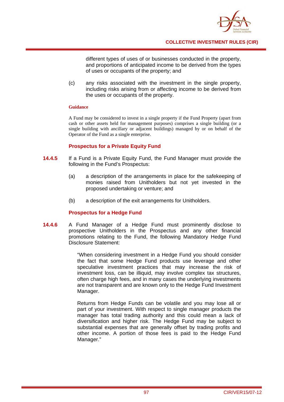

different types of uses of or businesses conducted in the property, and proportions of anticipated income to be derived from the types of uses or occupants of the property; and

(c) any risks associated with the investment in the single property, including risks arising from or affecting income to be derived from the uses or occupants of the property.

### **Guidance**

A Fund may be considered to invest in a single property if the Fund Property (apart from cash or other assets held for management purposes) comprises a single building (or a single building with ancillary or adjacent buildings) managed by or on behalf of the Operator of the Fund as a single enterprise.

## **Prospectus for a Private Equity Fund**

- **14.4.5** If a Fund is a Private Equity Fund, the Fund Manager must provide the following in the Fund's Prospectus:
	- (a) a description of the arrangements in place for the safekeeping of monies raised from Unitholders but not yet invested in the proposed undertaking or venture; and
	- (b) a description of the exit arrangements for Unitholders.

### **Prospectus for a Hedge Fund**

**14.4.6** A Fund Manager of a Hedge Fund must prominently disclose to prospective Unitholders in the Prospectus and any other financial promotions relating to the Fund, the following Mandatory Hedge Fund Disclosure Statement:

> "When considering investment in a Hedge Fund you should consider the fact that some Hedge Fund products use leverage and other speculative investment practices that may increase the risk of investment loss, can be illiquid, may involve complex tax structures, often charge high fees, and in many cases the underlying investments are not transparent and are known only to the Hedge Fund Investment Manager.

> Returns from Hedge Funds can be volatile and you may lose all or part of your investment. With respect to single manager products the manager has total trading authority and this could mean a lack of diversification and higher risk. The Hedge Fund may be subject to substantial expenses that are generally offset by trading profits and other income. A portion of those fees is paid to the Hedge Fund Manager."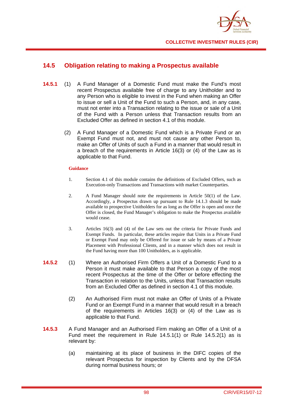

## **14.5 Obligation relating to making a Prospectus available**

- **14.5.1** (1) A Fund Manager of a Domestic Fund must make the Fund's most recent Prospectus available free of charge to any Unitholder and to any Person who is eligible to invest in the Fund when making an Offer to issue or sell a Unit of the Fund to such a Person, and, in any case, must not enter into a Transaction relating to the issue or sale of a Unit of the Fund with a Person unless that Transaction results from an Excluded Offer as defined in section 4.1 of this module.
	- (2) A Fund Manager of a Domestic Fund which is a Private Fund or an Exempt Fund must not, and must not cause any other Person to, make an Offer of Units of such a Fund in a manner that would result in a breach of the requirements in Article 16(3) or (4) of the Law as is applicable to that Fund.

### **Guidance**

- 1. Section 4.1 of this module contains the definitions of Excluded Offers, such as Execution-only Transactions and Transactions with market Counterparties.
- 2. A Fund Manager should note the requirements in Article 50(1) of the Law. Accordingly, a Prospectus drawn up pursuant to Rule 14.1.3 should be made available to prospective Unitholders for as long as the Offer is open and once the Offer is closed, the Fund Manager's obligation to make the Prospectus available would cease.
- 3. Articles 16(3) and (4) of the Law sets out the criteria for Private Funds and Exempt Funds. In particular, these articles require that Units in a Private Fund or Exempt Fund may only be Offered for issue or sale by means of a Private Placement with Professional Clients, and in a manner which does not result in the Fund having more than 100 Unitholders, as is applicable.
- **14.5.2** (1) Where an Authorised Firm Offers a Unit of a Domestic Fund to a Person it must make available to that Person a copy of the most recent Prospectus at the time of the Offer or before effecting the Transaction in relation to the Units, unless that Transaction results from an Excluded Offer as defined in section 4.1 of this module.
	- (2) An Authorised Firm must not make an Offer of Units of a Private Fund or an Exempt Fund in a manner that would result in a breach of the requirements in Articles 16(3) or (4) of the Law as is applicable to that Fund.
- **14.5.3** A Fund Manager and an Authorised Firm making an Offer of a Unit of a Fund meet the requirement in Rule 14.5.1(1) or Rule 14.5.2(1) as is relevant by:
	- (a) maintaining at its place of business in the DIFC copies of the relevant Prospectus for inspection by Clients and by the DFSA during normal business hours; or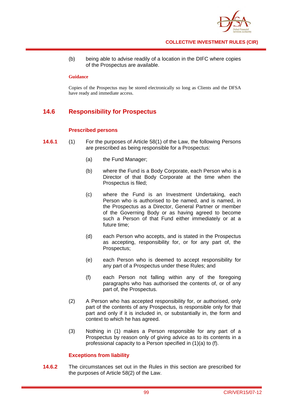

(b) being able to advise readily of a location in the DIFC where copies of the Prospectus are available.

### **Guidance**

Copies of the Prospectus may be stored electronically so long as Clients and the DFSA have ready and immediate access.

# **14.6 Responsibility for Prospectus**

## **Prescribed persons**

- **14.6.1** (1) For the purposes of Article 58(1) of the Law, the following Persons are prescribed as being responsible for a Prospectus:
	- (a) the Fund Manager;
	- (b) where the Fund is a Body Corporate, each Person who is a Director of that Body Corporate at the time when the Prospectus is filed;
	- (c) where the Fund is an Investment Undertaking, each Person who is authorised to be named, and is named, in the Prospectus as a Director, General Partner or member of the Governing Body or as having agreed to become such a Person of that Fund either immediately or at a future time;
	- (d) each Person who accepts, and is stated in the Prospectus as accepting, responsibility for, or for any part of, the Prospectus;
	- (e) each Person who is deemed to accept responsibility for any part of a Prospectus under these Rules; and
	- (f) each Person not falling within any of the foregoing paragraphs who has authorised the contents of, or of any part of, the Prospectus.
	- (2) A Person who has accepted responsibility for, or authorised, only part of the contents of any Prospectus, is responsible only for that part and only if it is included in, or substantially in, the form and context to which he has agreed.
	- (3) Nothing in (1) makes a Person responsible for any part of a Prospectus by reason only of giving advice as to its contents in a professional capacity to a Person specified in (1)(a) to (f).

## **Exceptions from liability**

**14.6.2** The circumstances set out in the Rules in this section are prescribed for the purposes of Article 58(2) of the Law.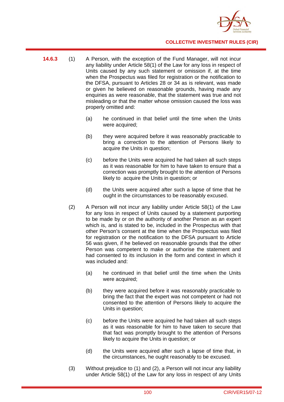

- **14.6.3** (1) A Person, with the exception of the Fund Manager, will not incur any liability under Article 58(1) of the Law for any loss in respect of Units caused by any such statement or omission if, at the time when the Prospectus was filed for registration or the notification to the DFSA, pursuant to Articles 28 or 34 as is relevant, was made or given he believed on reasonable grounds, having made any enquiries as were reasonable, that the statement was true and not misleading or that the matter whose omission caused the loss was properly omitted and:
	- (a) he continued in that belief until the time when the Units were acquired;
	- (b) they were acquired before it was reasonably practicable to bring a correction to the attention of Persons likely to acquire the Units in question;
	- (c) before the Units were acquired he had taken all such steps as it was reasonable for him to have taken to ensure that a correction was promptly brought to the attention of Persons likely to acquire the Units in question; or
	- (d) the Units were acquired after such a lapse of time that he ought in the circumstances to be reasonably excused.
	- (2) A Person will not incur any liability under Article 58(1) of the Law for any loss in respect of Units caused by a statement purporting to be made by or on the authority of another Person as an expert which is, and is stated to be, included in the Prospectus with that other Person's consent at the time when the Prospectus was filed for registration or the notification to the DFSA pursuant to Article 56 was given, if he believed on reasonable grounds that the other Person was competent to make or authorise the statement and had consented to its inclusion in the form and context in which it was included and:
		- (a) he continued in that belief until the time when the Units were acquired;
		- (b) they were acquired before it was reasonably practicable to bring the fact that the expert was not competent or had not consented to the attention of Persons likely to acquire the Units in question;
		- (c) before the Units were acquired he had taken all such steps as it was reasonable for him to have taken to secure that that fact was promptly brought to the attention of Persons likely to acquire the Units in question; or
		- (d) the Units were acquired after such a lapse of time that, in the circumstances, he ought reasonably to be excused.
	- (3) Without prejudice to (1) and (2), a Person will not incur any liability under Article 58(1) of the Law for any loss in respect of any Units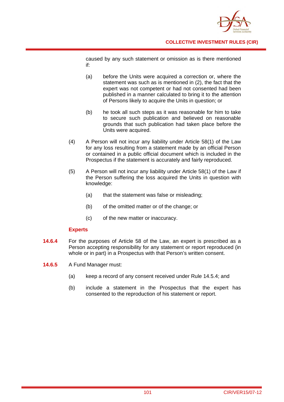

caused by any such statement or omission as is there mentioned if:

- (a) before the Units were acquired a correction or, where the statement was such as is mentioned in (2), the fact that the expert was not competent or had not consented had been published in a manner calculated to bring it to the attention of Persons likely to acquire the Units in question; or
- (b) he took all such steps as it was reasonable for him to take to secure such publication and believed on reasonable grounds that such publication had taken place before the Units were acquired.
- (4) A Person will not incur any liability under Article 58(1) of the Law for any loss resulting from a statement made by an official Person or contained in a public official document which is included in the Prospectus if the statement is accurately and fairly reproduced.
- (5) A Person will not incur any liability under Article 58(1) of the Law if the Person suffering the loss acquired the Units in question with knowledge:
	- (a) that the statement was false or misleading;
	- (b) of the omitted matter or of the change; or
	- (c) of the new matter or inaccuracy.

## **Experts**

- **14.6.4** For the purposes of Article 58 of the Law, an expert is prescribed as a Person accepting responsibility for any statement or report reproduced (in whole or in part) in a Prospectus with that Person's written consent.
- **14.6.5** A Fund Manager must:
	- (a) keep a record of any consent received under Rule 14.5.4; and
	- (b) include a statement in the Prospectus that the expert has consented to the reproduction of his statement or report.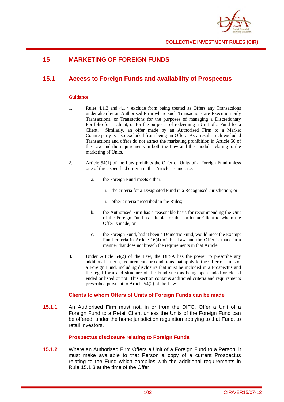

# **15 MARKETING OF FOREIGN FUNDS**

# **15.1 Access to Foreign Funds and availability of Prospectus**

### **Guidance**

- 1. Rules 4.1.3 and 4.1.4 exclude from being treated as Offers any Transactions undertaken by an Authorised Firm where such Transactions are Execution-only Transactions, or Transactions for the purposes of managing a Discretionary Portfolio for a Client, or for the purposes of redeeming a Unit of a Fund for a Client. Similarly, an offer made by an Authorised Firm to a Market Counterparty is also excluded from being an Offer. As a result, such excluded Transactions and offers do not attract the marketing prohibition in Article 50 of the Law and the requirements in both the Law and this module relating to the marketing of Units.
- 2. Article 54(1) of the Law prohibits the Offer of Units of a Foreign Fund unless one of three specified criteria in that Article are met, i.e.
	- a. the Foreign Fund meets either:
		- i. the criteria for a Designated Fund in a Recognised Jurisdiction; or
		- ii. other criteria prescribed in the Rules;
	- b. the Authorised Firm has a reasonable basis for recommending the Unit of the Foreign Fund as suitable for the particular Client to whom the Offer is made; or
	- c. the Foreign Fund, had it been a Domestic Fund, would meet the Exempt Fund criteria in Article 16(4) of this Law and the Offer is made in a manner that does not breach the requirements in that Article.
- 3. Under Article 54(2) of the Law, the DFSA has the power to prescribe any additional criteria, requirements or conditions that apply to the Offer of Units of a Foreign Fund, including disclosure that must be included in a Prospectus and the legal form and structure of the Fund such as being open-ended or closed ended or listed or not. This section contains additional criteria and requirements prescribed pursuant to Article 54(2) of the Law.

## **Clients to whom Offers of Units of Foreign Funds can be made**

**15.1.1** An Authorised Firm must not, in or from the DIFC, Offer a Unit of a Foreign Fund to a Retail Client unless the Units of the Foreign Fund can be offered, under the home jurisdiction regulation applying to that Fund, to retail investors.

## **Prospectus disclosure relating to Foreign Funds**

**15.1.2** Where an Authorised Firm Offers a Unit of a Foreign Fund to a Person, it must make available to that Person a copy of a current Prospectus relating to the Fund which complies with the additional requirements in Rule 15.1.3 at the time of the Offer.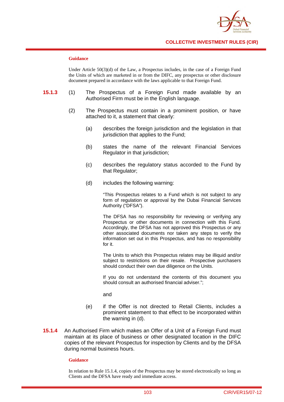

#### **Guidance**

Under Article  $50(3)(d)$  of the Law, a Prospectus includes, in the case of a Foreign Fund the Units of which are marketed in or from the DIFC, any prospectus or other disclosure document prepared in accordance with the laws applicable to that Foreign Fund.

- **15.1.3** (1) The Prospectus of a Foreign Fund made available by an Authorised Firm must be in the English language.
	- (2) The Prospectus must contain in a prominent position, or have attached to it, a statement that clearly:
		- (a) describes the foreign jurisdiction and the legislation in that jurisdiction that applies to the Fund:
		- (b) states the name of the relevant Financial Services Regulator in that jurisdiction;
		- (c) describes the regulatory status accorded to the Fund by that Regulator;
		- (d) includes the following warning:

"This Prospectus relates to a Fund which is not subject to any form of regulation or approval by the Dubai Financial Services Authority ("DFSA").

The DFSA has no responsibility for reviewing or verifying any Prospectus or other documents in connection with this Fund. Accordingly, the DFSA has not approved this Prospectus or any other associated documents nor taken any steps to verify the information set out in this Prospectus, and has no responsibility for it.

The Units to which this Prospectus relates may be illiquid and/or subject to restrictions on their resale. Prospective purchasers should conduct their own due diligence on the Units.

If you do not understand the contents of this document you should consult an authorised financial adviser.";

and

- (e) if the Offer is not directed to Retail Clients, includes a prominent statement to that effect to be incorporated within the warning in (d).
- **15.1.4** An Authorised Firm which makes an Offer of a Unit of a Foreign Fund must maintain at its place of business or other designated location in the DIFC copies of the relevant Prospectus for inspection by Clients and by the DFSA during normal business hours.

### **Guidance**

In relation to Rule 15.1.4, copies of the Prospectus may be stored electronically so long as Clients and the DFSA have ready and immediate access.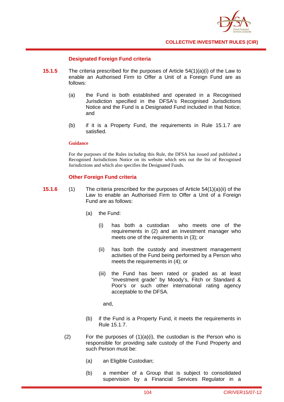

### **Designated Foreign Fund criteria**

- **15.1.5** The criteria prescribed for the purposes of Article 54(1)(a)(i) of the Law to enable an Authorised Firm to Offer a Unit of a Foreign Fund are as follows:
	- (a) the Fund is both established and operated in a Recognised Jurisdiction specified in the DFSA's Recognised Jurisdictions Notice and the Fund is a Designated Fund included in that Notice; and
	- (b) if it is a Property Fund, the requirements in Rule 15.1.7 are satisfied.

#### **Guidance**

For the purposes of the Rules including this Rule, the DFSA has issued and published a Recognised Jurisdictions Notice on its website which sets out the list of Recognised Jurisdictions and which also specifies the Designated Funds.

### **Other Foreign Fund criteria**

- **15.1.6** (1) The criteria prescribed for the purposes of Article 54(1)(a)(ii) of the Law to enable an Authorised Firm to Offer a Unit of a Foreign Fund are as follows:
	- (a) the Fund:
		- (i) has both a custodian who meets one of the requirements in (2) and an investment manager who meets one of the requirements in (3); or
		- (ii) has both the custody and investment management activities of the Fund being performed by a Person who meets the requirements in (4); or
		- (iii) the Fund has been rated or graded as at least "investment grade" by Moody's, Fitch or Standard & Poor's or such other international rating agency acceptable to the DFSA.

and,

- (b) if the Fund is a Property Fund, it meets the requirements in Rule 15.1.7.
- (2) For the purposes of  $(1)(a)(i)$ , the custodian is the Person who is responsible for providing safe custody of the Fund Property and such Person must be:
	- (a) an Eligible Custodian;
	- (b) a member of a Group that is subject to consolidated supervision by a Financial Services Regulator in a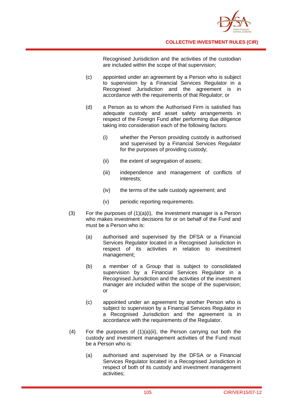

Recognised Jurisdiction and the activities of the custodian are included within the scope of that supervision;

- (c) appointed under an agreement by a Person who is subject to supervision by a Financial Services Regulator in a Recognised Jurisdiction and the agreement is in accordance with the requirements of that Regulator; or
- (d) a Person as to whom the Authorised Firm is satisfied has adequate custody and asset safety arrangements in respect of the Foreign Fund after performing due diligence taking into consideration each of the following factors:
	- (i) whether the Person providing custody is authorised and supervised by a Financial Services Regulator for the purposes of providing custody;
	- (ii) the extent of segregation of assets;
	- (iii) independence and management of conflicts of interests;
	- (iv) the terms of the safe custody agreement; and
	- (v) periodic reporting requirements.
- (3) For the purposes of (1)(a)(i), the investment manager is a Person who makes investment decisions for or on behalf of the Fund and must be a Person who is:
	- (a) authorised and supervised by the DFSA or a Financial Services Regulator located in a Recognised Jurisdiction in respect of its activities in relation to investment management;
	- (b) a member of a Group that is subject to consolidated supervision by a Financial Services Regulator in a Recognised Jurisdiction and the activities of the investment manager are included within the scope of the supervision; or
	- (c) appointed under an agreement by another Person who is subject to supervision by a Financial Services Regulator in a Recognised Jurisdiction and the agreement is in accordance with the requirements of the Regulator.
- $(4)$  For the purposes of  $(1)(a)(ii)$ , the Person carrying out both the custody and investment management activities of the Fund must be a Person who is:
	- (a) authorised and supervised by the DFSA or a Financial Services Regulator located in a Recognised Jurisdiction in respect of both of its custody and investment management activities;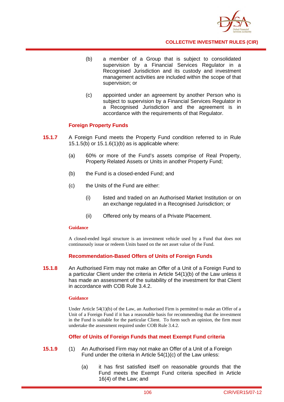

- (b) a member of a Group that is subject to consolidated supervision by a Financial Services Regulator in a Recognised Jurisdiction and its custody and investment management activities are included within the scope of that supervision; or
- (c) appointed under an agreement by another Person who is subject to supervision by a Financial Services Regulator in a Recognised Jurisdiction and the agreement is in accordance with the requirements of that Regulator.

### **Foreign Property Funds**

- **15.1.7** A Foreign Fund meets the Property Fund condition referred to in Rule 15.1.5(b) or 15.1.6(1)(b) as is applicable where:
	- (a) 60% or more of the Fund's assets comprise of Real Property, Property Related Assets or Units in another Property Fund;
	- (b) the Fund is a closed-ended Fund; and
	- (c) the Units of the Fund are either:
		- (i) listed and traded on an Authorised Market Institution or on an exchange regulated in a Recognised Jurisdiction; or
		- (ii) Offered only by means of a Private Placement.

#### **Guidance**

A closed-ended legal structure is an investment vehicle used by a Fund that does not continuously issue or redeem Units based on the net asset value of the Fund.

#### **Recommendation-Based Offers of Units of Foreign Funds**

**15.1.8** An Authorised Firm may not make an Offer of a Unit of a Foreign Fund to a particular Client under the criteria in Article 54(1)(b) of the Law unless it has made an assessment of the suitability of the investment for that Client in accordance with COB Rule 3.4.2.

#### **Guidance**

Under Article  $54(1)(b)$  of the Law, an Authorised Firm is permitted to make an Offer of a Unit of a Foreign Fund if it has a reasonable basis for recommending that the investment in the Fund is suitable for the particular Client. To form such an opinion, the firm must undertake the assessment required under COB Rule 3.4.2.

#### **Offer of Units of Foreign Funds that meet Exempt Fund criteria**

- **15.1.9** (1) An Authorised Firm may not make an Offer of a Unit of a Foreign Fund under the criteria in Article 54(1)(c) of the Law unless:
	- (a) it has first satisfied itself on reasonable grounds that the Fund meets the Exempt Fund criteria specified in Article 16(4) of the Law; and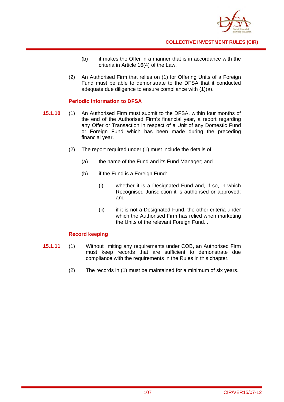

- (b) it makes the Offer in a manner that is in accordance with the criteria in Article 16(4) of the Law.
- (2) An Authorised Firm that relies on (1) for Offering Units of a Foreign Fund must be able to demonstrate to the DFSA that it conducted adequate due diligence to ensure compliance with (1)(a).

### **Periodic Information to DFSA**

- **15.1.10** (1) An Authorised Firm must submit to the DFSA, within four months of the end of the Authorised Firm's financial year, a report regarding any Offer or Transaction in respect of a Unit of any Domestic Fund or Foreign Fund which has been made during the preceding financial year.
	- (2) The report required under (1) must include the details of:
		- (a) the name of the Fund and its Fund Manager; and
		- (b) if the Fund is a Foreign Fund:
			- (i) whether it is a Designated Fund and, if so, in which Recognised Jurisdiction it is authorised or approved; and
			- (ii) if it is not a Designated Fund, the other criteria under which the Authorised Firm has relied when marketing the Units of the relevant Foreign Fund. .

### **Record keeping**

- **15.1.11** (1) Without limiting any requirements under COB, an Authorised Firm must keep records that are sufficient to demonstrate due compliance with the requirements in the Rules in this chapter.
	- (2) The records in (1) must be maintained for a minimum of six years.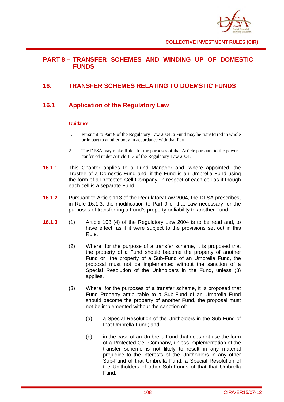

### **PART 8 – TRANSFER SCHEMES AND WINDING UP OF DOMESTIC FUNDS**

# **16. TRANSFER SCHEMES RELATING TO DOEMSTIC FUNDS**

# **16.1 Application of the Regulatory Law**

### **Guidance**

- 1. Pursuant to Part 9 of the Regulatory Law 2004, a Fund may be transferred in whole or in part to another body in accordance with that Part.
- 2. The DFSA may make Rules for the purposes of that Article pursuant to the power conferred under Article 113 of the Regulatory Law 2004.
- **16.1.1** This Chapter applies to a Fund Manager and, where appointed, the Trustee of a Domestic Fund and, if the Fund is an Umbrella Fund using the form of a Protected Cell Company, in respect of each cell as if though each cell is a separate Fund.
- **16.1.2** Pursuant to Article 113 of the Regulatory Law 2004, the DFSA prescribes, in Rule 16.1.3, the modification to Part 9 of that Law necessary for the purposes of transferring a Fund's property or liability to another Fund.
- **16.1.3** (1) Article 108 (4) of the Regulatory Law 2004 is to be read and, to have effect, as if it were subject to the provisions set out in this Rule.
	- (2) Where, for the purpose of a transfer scheme, it is proposed that the property of a Fund should become the property of another Fund or the property of a Sub-Fund of an Umbrella Fund, the proposal must not be implemented without the sanction of a Special Resolution of the Unitholders in the Fund, unless (3) applies.
	- (3) Where, for the purposes of a transfer scheme, it is proposed that Fund Property attributable to a Sub-Fund of an Umbrella Fund should become the property of another Fund, the proposal must not be implemented without the sanction of:
		- (a) a Special Resolution of the Unitholders in the Sub-Fund of that Umbrella Fund; and
		- (b) in the case of an Umbrella Fund that does not use the form of a Protected Cell Company, unless implementation of the transfer scheme is not likely to result in any material prejudice to the interests of the Unitholders in any other Sub-Fund of that Umbrella Fund, a Special Resolution of the Unitholders of other Sub-Funds of that that Umbrella Fund.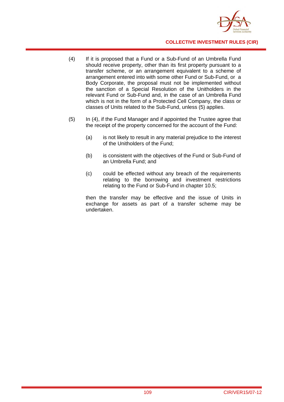

- (4) If it is proposed that a Fund or a Sub-Fund of an Umbrella Fund should receive property, other than its first property pursuant to a transfer scheme, or an arrangement equivalent to a scheme of arrangement entered into with some other Fund or Sub-Fund, or a Body Corporate, the proposal must not be implemented without the sanction of a Special Resolution of the Unitholders in the relevant Fund or Sub-Fund and, in the case of an Umbrella Fund which is not in the form of a Protected Cell Company, the class or classes of Units related to the Sub-Fund, unless (5) applies.
- (5) In (4), if the Fund Manager and if appointed the Trustee agree that the receipt of the property concerned for the account of the Fund:
	- (a) is not likely to result in any material prejudice to the interest of the Unitholders of the Fund;
	- (b) is consistent with the objectives of the Fund or Sub-Fund of an Umbrella Fund; and
	- (c) could be effected without any breach of the requirements relating to the borrowing and investment restrictions relating to the Fund or Sub-Fund in chapter 10.5;

then the transfer may be effective and the issue of Units in exchange for assets as part of a transfer scheme may be undertaken.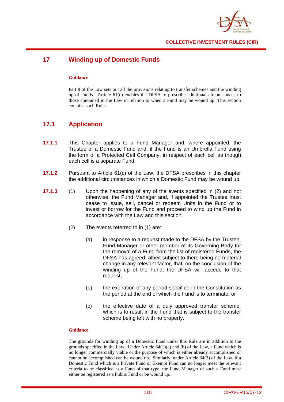

# **17 Winding up of Domestic Funds**

#### **Guidance**

Part 8 of the Law sets out all the provisions relating to transfer schemes and the winding up of Funds. Article 61(c) enables the DFSA to prescribe additional circumstances to those contained in the Law in relation to when a Fund may be wound up. This section contains such Rules.

### **17.1 Application**

- **17.1.1** This Chapter applies to a Fund Manager and, where appointed, the Trustee of a Domestic Fund and, if the Fund is an Umbrella Fund using the form of a Protected Cell Company, in respect of each cell as though each cell is a separate Fund.
- **17.1.2** Pursuant to Article 61(c) of the Law, the DFSA prescribes in this chapter the additional circumstances in which a Domestic Fund may be wound up.
- **17.1.3** (1) Upon the happening of any of the events specified in (2) and not otherwise, the Fund Manager and, if appointed the Trustee must cease to issue, sell, cancel or redeem Units in the Fund or to invest or borrow for the Fund and proceed to wind up the Fund in accordance with the Law and this section.
	- (2) The events referred to in (1) are:
		- (a) in response to a request made to the DFSA by the Trustee, Fund Manager or other member of its Governing Body for the removal of a Fund from the list of registered Funds, the DFSA has agreed, albeit subject to there being no material change in any relevant factor, that, on the conclusion of the winding up of the Fund, the DFSA will accede to that request;
		- (b) the expiration of any period specified in the Constitution as the period at the end of which the Fund is to terminate; or
		- (c) the effective date of a duly approved transfer scheme, which is to result in the Fund that is subject to the transfer scheme being left with no property.

#### **Guidance**

The grounds for winding up of a Domestic Fund under this Rule are in addition to the grounds specified in the Law. Under Article  $64(1)(a)$  and (b) of the Law, a Fund which is no longer commercially viable or the purpose of which is either already accomplished or cannot be accomplished can be wound up. Similarly, under Article 34(3) of the Law, if a Domestic Fund which is a Private Fund or Exempt Fund can no longer meet the relevant criteria to be classified as a Fund of that type, the Fund Manager of such a Fund must either be registered as a Public Fund or be wound up.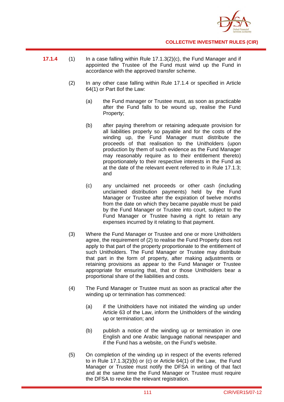

- **17.1.4** (1) In a case falling within Rule 17.1.3(2)(c), the Fund Manager and if appointed the Trustee of the Fund must wind up the Fund in accordance with the approved transfer scheme.
	- (2) In any other case falling within Rule 17.1.4 or specified in Article 64(1) or Part 8of the Law:
		- (a) the Fund manager or Trustee must, as soon as practicable after the Fund falls to be wound up, realise the Fund Property;
		- (b) after paying therefrom or retaining adequate provision for all liabilities properly so payable and for the costs of the winding up, the Fund Manager must distribute the proceeds of that realisation to the Unitholders (upon production by them of such evidence as the Fund Manager may reasonably require as to their entitlement thereto) proportionately to their respective interests in the Fund as at the date of the relevant event referred to in Rule 17.1.3; and
		- (c) any unclaimed net proceeds or other cash (including unclaimed distribution payments) held by the Fund Manager or Trustee after the expiration of twelve months from the date on which they became payable must be paid by the Fund Manager or Trustee into court, subject to the Fund Manager or Trustee having a right to retain any expenses incurred by it relating to that payment.
	- (3) Where the Fund Manager or Trustee and one or more Unitholders agree, the requirement of (2) to realise the Fund Property does not apply to that part of the property proportionate to the entitlement of such Unitholders. The Fund Manager or Trustee may distribute that part in the form of property, after making adjustments or retaining provisions as appear to the Fund Manager or Trustee appropriate for ensuring that, that or those Unitholders bear a proportional share of the liabilities and costs.
	- (4) The Fund Manager or Trustee must as soon as practical after the winding up or termination has commenced:
		- (a) if the Unitholders have not initiated the winding up under Article 63 of the Law, inform the Unitholders of the winding up or termination; and
		- (b) publish a notice of the winding up or termination in one English and one Arabic language national newspaper and if the Fund has a website, on the Fund's website.
	- (5) On completion of the winding up in respect of the events referred to in Rule 17.1.3(2)(b) or (c) or Article 64(1) of the Law, the Fund Manager or Trustee must notify the DFSA in writing of that fact and at the same time the Fund Manager or Trustee must require the DFSA to revoke the relevant registration.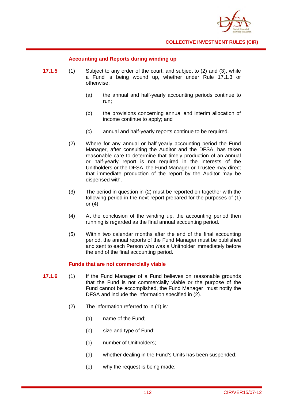

### **Accounting and Reports during winding up**

- **17.1.5** (1) Subject to any order of the court, and subject to (2) and (3), while a Fund is being wound up, whether under Rule 17.1.3 or otherwise:
	- (a) the annual and half-yearly accounting periods continue to run;
	- (b) the provisions concerning annual and interim allocation of income continue to apply; and
	- (c) annual and half-yearly reports continue to be required.
	- (2) Where for any annual or half-yearly accounting period the Fund Manager, after consulting the Auditor and the DFSA, has taken reasonable care to determine that timely production of an annual or half-yearly report is not required in the interests of the Unitholders or the DFSA, the Fund Manager or Trustee may direct that immediate production of the report by the Auditor may be dispensed with.
	- (3) The period in question in (2) must be reported on together with the following period in the next report prepared for the purposes of (1) or (4).
	- (4) At the conclusion of the winding up, the accounting period then running is regarded as the final annual accounting period.
	- (5) Within two calendar months after the end of the final accounting period, the annual reports of the Fund Manager must be published and sent to each Person who was a Unitholder immediately before the end of the final accounting period.

#### **Funds that are not commercially viable**

- **17.1.6** (1) If the Fund Manager of a Fund believes on reasonable grounds that the Fund is not commercially viable or the purpose of the Fund cannot be accomplished, the Fund Manager must notify the DFSA and include the information specified in (2).
	- (2) The information referred to in (1) is:
		- (a) name of the Fund;
		- (b) size and type of Fund;
		- (c) number of Unitholders;
		- (d) whether dealing in the Fund's Units has been suspended;
		- (e) why the request is being made;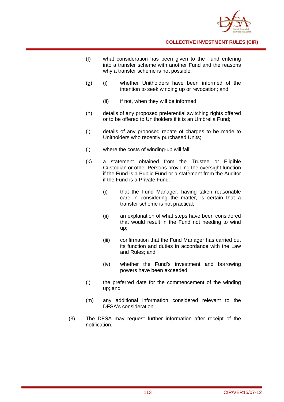

- (f) what consideration has been given to the Fund entering into a transfer scheme with another Fund and the reasons why a transfer scheme is not possible:
- (g) (i) whether Unitholders have been informed of the intention to seek winding up or revocation; and
	- (ii) if not, when they will be informed;
- (h) details of any proposed preferential switching rights offered or to be offered to Unitholders if it is an Umbrella Fund;
- (i) details of any proposed rebate of charges to be made to Unitholders who recently purchased Units;
- (j) where the costs of winding-up will fall;
- (k) a statement obtained from the Trustee or Eligible Custodian or other Persons providing the oversight function if the Fund is a Public Fund or a statement from the Auditor if the Fund is a Private Fund:
	- (i) that the Fund Manager, having taken reasonable care in considering the matter, is certain that a transfer scheme is not practical;
	- (ii) an explanation of what steps have been considered that would result in the Fund not needing to wind up;
	- (iii) confirmation that the Fund Manager has carried out its function and duties in accordance with the Law and Rules; and
	- (iv) whether the Fund's investment and borrowing powers have been exceeded;
- (l) the preferred date for the commencement of the winding up; and
- (m) any additional information considered relevant to the DFSA's consideration.
- (3) The DFSA may request further information after receipt of the notification.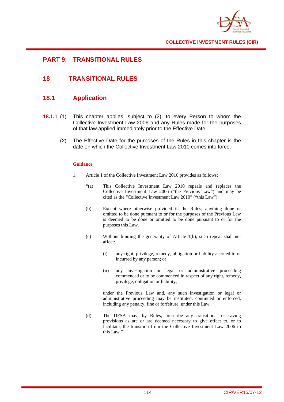

### **PART 9: TRANSITIONAL RULES**

# **18 TRANSITIONAL RULES**

# **18.1 Application**

- **18.1.1** (1) This chapter applies, subject to (2), to every Person to whom the Collective Investment Law 2006 and any Rules made for the purposes of that law applied immediately prior to the Effective Date.
	- (2) The Effective Date for the purposes of the Rules in this chapter is the date on which the Collective Investment Law 2010 comes into force.

#### **Guidance**

- 1. Article 1 of the Collective Investment Law 2010 provides as follows:
	- "(a) This Collective Investment Law 2010 repeals and replaces the Collective Investment Law 2006 ("the Previous Law") and may be cited as the "Collective Investment Law 2010" ("this Law").
	- (b) Except where otherwise provided in the Rules, anything done or omitted to be done pursuant to or for the purposes of the Previous Law is deemed to be done or omitted to be done pursuant to or for the purposes this Law.
	- (c) Without limiting the generality of Article 1(b), such repeal shall not affect:
		- (i) any right, privilege, remedy, obligation or liability accrued to or incurred by any person; or
		- (ii) any investigation or legal or administrative proceeding commenced or to be commenced in respect of any right, remedy, privilege, obligation or liability,

 under the Previous Law and, any such investigation or legal or administrative proceeding may be instituted, continued or enforced, including any penalty, fine or forfeiture, under this Law.

(d) The DFSA may, by Rules, prescribe any transitional or saving provisions as are or are deemed necessary to give effect to, or to facilitate, the transition from the Collective Investment Law 2006 to this Law."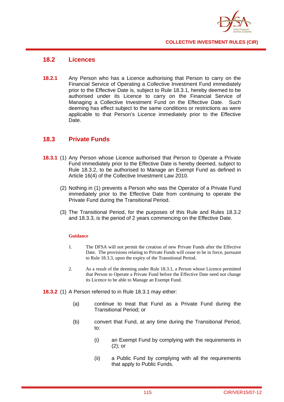

### **18.2 Licences**

**18.2.1** Any Person who has a Licence authorising that Person to carry on the Financial Service of Operating a Collective Investment Fund immediately prior to the Effective Date is, subject to Rule 18.3.1, hereby deemed to be authorised under its Licence to carry on the Financial Service of Managing a Collective Investment Fund on the Effective Date. Such deeming has effect subject to the same conditions or restrictions as were applicable to that Person's Licence immediately prior to the Effective Date.

### **18.3 Private Funds**

- **18.3.1** (1) Any Person whose Licence authorised that Person to Operate a Private Fund immediately prior to the Effective Date is hereby deemed, subject to Rule 18.3.2, to be authorised to Manage an Exempt Fund as defined in Article 16(4) of the Collective Investment Law 2010.
	- (2) Nothing in (1) prevents a Person who was the Operator of a Private Fund immediately prior to the Effective Date from continuing to operate the Private Fund during the Transitional Period.
	- (3) The Transitional Period, for the purposes of this Rule and Rules 18.3.2 and 18.3.3, is the period of 2 years commencing on the Effective Date.

#### **Guidance**

- 1. The DFSA will not permit the creation of new Private Funds after the Effective Date. The provisions relating to Private Funds will cease to be in force, pursuant to Rule 18.3.3, upon the expiry of the Transitional Period.
- 2. As a result of the deeming under Rule 18.3.1, a Person whose Licence permitted that Person to Operate a Private Fund before the Effective Date need not change its Licence to be able to Manage an Exempt Fund.
- **18.3.2** (1) A Person referred to in Rule 18.3.1 may either:
	- (a) continue to treat that Fund as a Private Fund during the Transitional Period; or
	- (b) convert that Fund, at any time during the Transitional Period, to:
		- (i) an Exempt Fund by complying with the requirements in (2); or
		- (ii) a Public Fund by complying with all the requirements that apply to Public Funds.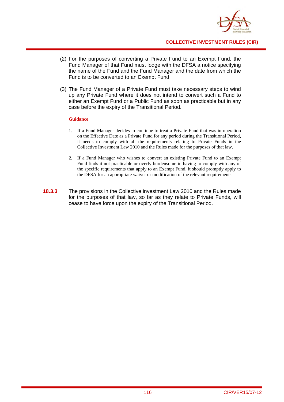

- (2) For the purposes of converting a Private Fund to an Exempt Fund, the Fund Manager of that Fund must lodge with the DFSA a notice specifying the name of the Fund and the Fund Manager and the date from which the Fund is to be converted to an Exempt Fund.
- (3) The Fund Manager of a Private Fund must take necessary steps to wind up any Private Fund where it does not intend to convert such a Fund to either an Exempt Fund or a Public Fund as soon as practicable but in any case before the expiry of the Transitional Period.

#### **Guidance**

- 1. If a Fund Manager decides to continue to treat a Private Fund that was in operation on the Effective Date as a Private Fund for any period during the Transitional Period, it needs to comply with all the requirements relating to Private Funds in the Collective Investment Law 2010 and the Rules made for the purposes of that law.
- 2. If a Fund Manager who wishes to convert an existing Private Fund to an Exempt Fund finds it not practicable or overly burdensome in having to comply with any of the specific requirements that apply to an Exempt Fund, it should promptly apply to the DFSA for an appropriate waiver or modification of the relevant requirements.
- **18.3.3** The provisions in the Collective investment Law 2010 and the Rules made for the purposes of that law, so far as they relate to Private Funds, will cease to have force upon the expiry of the Transitional Period.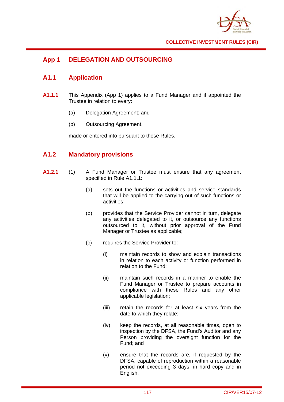

# **App 1 DELEGATION AND OUTSOURCING**

### **A1.1 Application**

- **A1.1.1** This Appendix (App 1) applies to a Fund Manager and if appointed the Trustee in relation to every:
	- (a) Delegation Agreement; and
	- (b) Outsourcing Agreement.

made or entered into pursuant to these Rules.

## **A1.2 Mandatory provisions**

- **A1.2.1** (1) A Fund Manager or Trustee must ensure that any agreement specified in Rule A1.1.1:
	- (a) sets out the functions or activities and service standards that will be applied to the carrying out of such functions or activities;
	- (b) provides that the Service Provider cannot in turn, delegate any activities delegated to it, or outsource any functions outsourced to it, without prior approval of the Fund Manager or Trustee as applicable;
	- (c) requires the Service Provider to:
		- (i) maintain records to show and explain transactions in relation to each activity or function performed in relation to the Fund;
		- (ii) maintain such records in a manner to enable the Fund Manager or Trustee to prepare accounts in compliance with these Rules and any other applicable legislation;
		- (iii) retain the records for at least six years from the date to which they relate;
		- (iv) keep the records, at all reasonable times, open to inspection by the DFSA, the Fund's Auditor and any Person providing the oversight function for the Fund; and
		- (v) ensure that the records are, if requested by the DFSA, capable of reproduction within a reasonable period not exceeding 3 days, in hard copy and in English.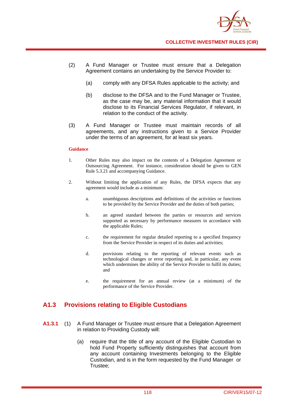

- (2) A Fund Manager or Trustee must ensure that a Delegation Agreement contains an undertaking by the Service Provider to:
	- (a) comply with any DFSA Rules applicable to the activity; and
	- (b) disclose to the DFSA and to the Fund Manager or Trustee, as the case may be, any material information that it would disclose to its Financial Services Regulator, if relevant, in relation to the conduct of the activity.
- (3) A Fund Manager or Trustee must maintain records of all agreements, and any instructions given to a Service Provider under the terms of an agreement, for at least six years.

#### **Guidance**

- 1. Other Rules may also impact on the contents of a Delegation Agreement or Outsourcing Agreement. For instance, consideration should be given to GEN Rule 5.3.21 and accompanying Guidance.
- 2. Without limiting the application of any Rules, the DFSA expects that any agreement would include as a minimum:
	- a. unambiguous descriptions and definitions of the activities or functions to be provided by the Service Provider and the duties of both parties;
	- b. an agreed standard between the parties or resources and services supported as necessary by performance measures in accordance with the applicable Rules;
	- c. the requirement for regular detailed reporting to a specified frequency from the Service Provider in respect of its duties and activities;
	- d. provisions relating to the reporting of relevant events such as technological changes or error reporting and, in particular, any event which undermines the ability of the Service Provider to fulfil its duties; and
	- e. the requirement for an annual review (at a minimum) of the performance of the Service Provider.

### **A1.3 Provisions relating to Eligible Custodians**

- **A1.3.1** (1) A Fund Manager or Trustee must ensure that a Delegation Agreement in relation to Providing Custody will:
	- (a) require that the title of any account of the Eligible Custodian to hold Fund Property sufficiently distinguishes that account from any account containing Investments belonging to the Eligible Custodian, and is in the form requested by the Fund Manager or Trustee;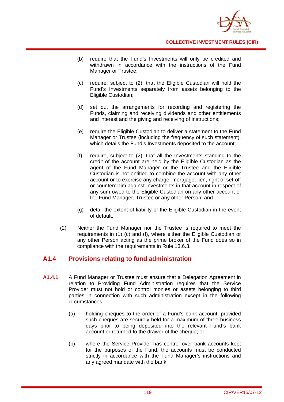

- (b) require that the Fund's Investments will only be credited and withdrawn in accordance with the instructions of the Fund Manager or Trustee;
- (c) require, subject to (2), that the Eligible Custodian will hold the Fund's Investments separately from assets belonging to the Eligible Custodian;
- (d) set out the arrangements for recording and registering the Funds, claiming and receiving dividends and other entitlements and interest and the giving and receiving of instructions;
- (e) require the Eligible Custodian to deliver a statement to the Fund Manager or Trustee (including the frequency of such statement), which details the Fund's Investments deposited to the account;
- (f) require, subject to (2), that all the Investments standing to the credit of the account are held by the Eligible Custodian as the agent of the Fund Manager or the Trustee and the Eligible Custodian is not entitled to combine the account with any other account or to exercise any charge, mortgage, lien, right of set-off or counterclaim against Investments in that account in respect of any sum owed to the Eligible Custodian on any other account of the Fund Manager, Trustee or any other Person; and
- (g) detail the extent of liability of the Eligible Custodian in the event of default.
- (2) Neither the Fund Manager nor the Trustee is required to meet the requirements in (1) (c) and (f), where either the Eligible Custodian or any other Person acting as the prime broker of the Fund does so in compliance with the requirements in Rule 13.6.3.

### **A1.4 Provisions relating to fund administration**

- **A1.4.1** A Fund Manager or Trustee must ensure that a Delegation Agreement in relation to Providing Fund Administration requires that the Service Provider must not hold or control monies or assets belonging to third parties in connection with such administration except in the following circumstances:
	- (a) holding cheques to the order of a Fund's bank account, provided such cheques are securely held for a maximum of three business days prior to being deposited into the relevant Fund's bank account or returned to the drawer of the cheque; or
	- (b) where the Service Provider has control over bank accounts kept for the purposes of the Fund, the accounts must be conducted strictly in accordance with the Fund Manager's instructions and any agreed mandate with the bank.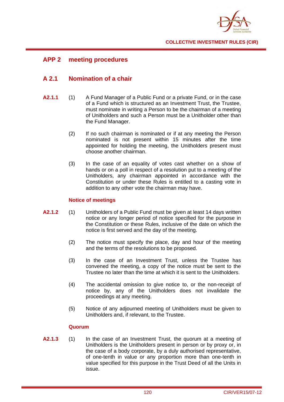

## **APP 2 meeting procedures**

# **A 2.1 Nomination of a chair**

- **A2.1.1** (1) A Fund Manager of a Public Fund or a private Fund, or in the case of a Fund which is structured as an Investment Trust, the Trustee, must nominate in writing a Person to be the chairman of a meeting of Unitholders and such a Person must be a Unitholder other than the Fund Manager.
	- (2) If no such chairman is nominated or if at any meeting the Person nominated is not present within 15 minutes after the time appointed for holding the meeting, the Unitholders present must choose another chairman.
	- (3) In the case of an equality of votes cast whether on a show of hands or on a poll in respect of a resolution put to a meeting of the Unitholders, any chairman appointed in accordance with the Constitution or under these Rules is entitled to a casting vote in addition to any other vote the chairman may have.

### **Notice of meetings**

- **A2.1.2** (1) Unitholders of a Public Fund must be given at least 14 days written notice or any longer period of notice specified for the purpose in the Constitution or these Rules, inclusive of the date on which the notice is first served and the day of the meeting.
	- (2) The notice must specify the place, day and hour of the meeting and the terms of the resolutions to be proposed.
	- (3) In the case of an Investment Trust, unless the Trustee has convened the meeting, a copy of the notice must be sent to the Trustee no later than the time at which it is sent to the Unitholders.
	- (4) The accidental omission to give notice to, or the non-receipt of notice by, any of the Unitholders does not invalidate the proceedings at any meeting.
	- (5) Notice of any adjourned meeting of Unitholders must be given to Unitholders and, if relevant, to the Trustee.

#### **Quorum**

**A2.1.3** (1) In the case of an Investment Trust, the quorum at a meeting of Unitholders is the Unitholders present in person or by proxy or, in the case of a body corporate, by a duly authorised representative, of one-tenth in value or any proportion more than one-tenth in value specified for this purpose in the Trust Deed of all the Units in issue.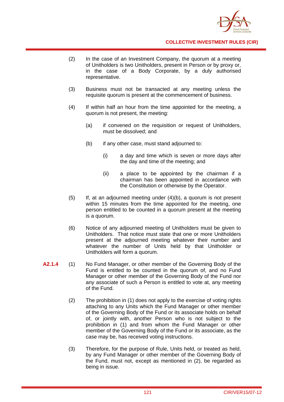

- (2) In the case of an Investment Company, the quorum at a meeting of Unitholders is two Unitholders, present in Person or by proxy or, in the case of a Body Corporate, by a duly authorised representative.
- (3) Business must not be transacted at any meeting unless the requisite quorum is present at the commencement of business.
- (4) If within half an hour from the time appointed for the meeting, a quorum is not present, the meeting:
	- (a) if convened on the requisition or request of Unitholders, must be dissolved; and
	- (b) if any other case, must stand adjourned to:
		- (i) a day and time which is seven or more days after the day and time of the meeting; and
		- (ii) a place to be appointed by the chairman if a chairman has been appointed in accordance with the Constitution or otherwise by the Operator.
- (5) If, at an adjourned meeting under (4)(b), a quorum is not present within 15 minutes from the time appointed for the meeting, one person entitled to be counted in a quorum present at the meeting is a quorum.
- (6) Notice of any adjourned meeting of Unitholders must be given to Unitholders. That notice must state that one or more Unitholders present at the adjourned meeting whatever their number and whatever the number of Units held by that Unitholder or Unitholders will form a quorum.
- **A2.1.4** (1) No Fund Manager, or other member of the Governing Body of the Fund is entitled to be counted in the quorum of, and no Fund Manager or other member of the Governing Body of the Fund nor any associate of such a Person is entitled to vote at, any meeting of the Fund.
	- (2) The prohibition in (1) does not apply to the exercise of voting rights attaching to any Units which the Fund Manager or other member of the Governing Body of the Fund or its associate holds on behalf of, or jointly with, another Person who is not subject to the prohibition in (1) and from whom the Fund Manager or other member of the Governing Body of the Fund or its associate, as the case may be, has received voting instructions.
	- (3) Therefore, for the purpose of Rule, Units held, or treated as held, by any Fund Manager or other member of the Governing Body of the Fund, must not, except as mentioned in (2), be regarded as being in issue.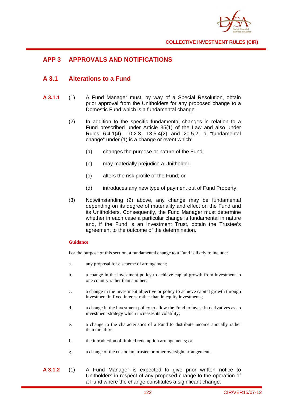

# **APP 3 APPROVALS AND NOTIFICATIONS**

### **A 3.1 Alterations to a Fund**

- **A 3.1.1** (1) A Fund Manager must, by way of a Special Resolution, obtain prior approval from the Unitholders for any proposed change to a Domestic Fund which is a fundamental change.
	- (2) In addition to the specific fundamental changes in relation to a Fund prescribed under Article 35(1) of the Law and also under Rules 6.4.1(4), 10.2.3, 13.5.4(2) and 20.5.2, a "fundamental change" under (1) is a change or event which:
		- (a) changes the purpose or nature of the Fund;
		- (b) may materially prejudice a Unitholder;
		- (c) alters the risk profile of the Fund; or
		- (d) introduces any new type of payment out of Fund Property.
	- (3) Notwithstanding (2) above, any change may be fundamental depending on its degree of materiality and effect on the Fund and its Unitholders. Consequently, the Fund Manager must determine whether in each case a particular change is fundamental in nature and, if the Fund is an Investment Trust, obtain the Trustee's agreement to the outcome of the determination.

#### **Guidance**

For the purpose of this section, a fundamental change to a Fund is likely to include:

- a. any proposal for a scheme of arrangement;
- b. a change in the investment policy to achieve capital growth from investment in one country rather than another;
- c. a change in the investment objective or policy to achieve capital growth through investment in fixed interest rather than in equity investments;
- d. a change in the investment policy to allow the Fund to invest in derivatives as an investment strategy which increases its volatility;
- e. a change to the characteristics of a Fund to distribute income annually rather than monthly;
- f. the introduction of limited redemption arrangements; or
- g. a change of the custodian, trustee or other oversight arrangement.
- **A 3.1.2** (1) A Fund Manager is expected to give prior written notice to Unitholders in respect of any proposed change to the operation of a Fund where the change constitutes a significant change.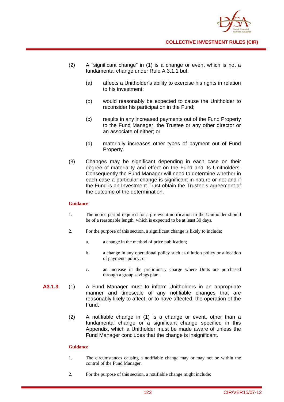

- (2) A "significant change" in (1) is a change or event which is not a fundamental change under Rule A 3.1.1 but:
	- (a) affects a Unitholder's ability to exercise his rights in relation to his investment;
	- (b) would reasonably be expected to cause the Unitholder to reconsider his participation in the Fund;
	- (c) results in any increased payments out of the Fund Property to the Fund Manager, the Trustee or any other director or an associate of either; or
	- (d) materially increases other types of payment out of Fund Property.
- (3) Changes may be significant depending in each case on their degree of materiality and effect on the Fund and its Unitholders. Consequently the Fund Manager will need to determine whether in each case a particular change is significant in nature or not and if the Fund is an Investment Trust obtain the Trustee's agreement of the outcome of the determination.

#### **Guidance**

- 1. The notice period required for a pre-event notification to the Unitholder should be of a reasonable length, which is expected to be at least 30 days.
- 2. For the purpose of this section, a significant change is likely to include:
	- a. a change in the method of price publication;
	- b. a change in any operational policy such as dilution policy or allocation of payments policy; or
	- c. an increase in the preliminary charge where Units are purchased through a group savings plan.
- **A3.1.3** (1) A Fund Manager must to inform Unitholders in an appropriate manner and timescale of any notifiable changes that are reasonably likely to affect, or to have affected, the operation of the Fund.
	- (2) A notifiable change in (1) is a change or event, other than a fundamental change or a significant change specified in this Appendix, which a Unitholder must be made aware of unless the Fund Manager concludes that the change is insignificant.

#### **Guidance**

- 1. The circumstances causing a notifiable change may or may not be within the control of the Fund Manager.
- 2. For the purpose of this section, a notifiable change might include: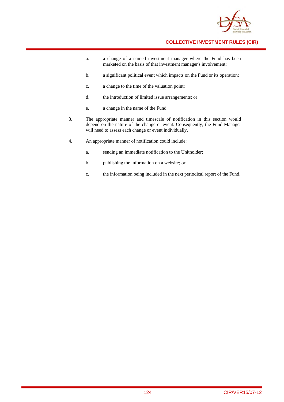

- a. a change of a named investment manager where the Fund has been marketed on the basis of that investment manager's involvement;
- b. a significant political event which impacts on the Fund or its operation;
- c. a change to the time of the valuation point;
- d. the introduction of limited issue arrangements; or
- e. a change in the name of the Fund.
- 3. The appropriate manner and timescale of notification in this section would depend on the nature of the change or event. Consequently, the Fund Manager will need to assess each change or event individually.
- 4. An appropriate manner of notification could include:
	- a. sending an immediate notification to the Unitholder;
	- b. publishing the information on a website; or
	- c. the information being included in the next periodical report of the Fund.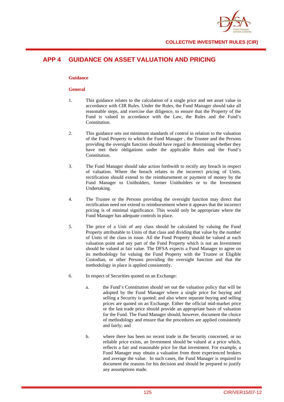

# **APP 4 GUIDANCE ON ASSET VALUATION AND PRICING**

#### **Guidance**

#### **General**

- 1. This guidance relates to the calculation of a single price and net asset value in accordance with CIR Rules. Under the Rules, the Fund Manager should take all reasonable steps, and exercise due diligence, to ensure that the Property of the Fund is valued in accordance with the Law, the Rules and the Fund's Constitution.
- 2. This guidance sets out minimum standards of control in relation to the valuation of the Fund Property to which the Fund Manager , the Trustee and the Persons providing the oversight function should have regard in determining whether they have met their obligations under the applicable Rules and the Fund's Constitution.
- 3. The Fund Manager should take action forthwith to rectify any breach in respect of valuation. Where the breach relates to the incorrect pricing of Units, rectification should extend to the reimbursement or payment of money by the Fund Manager to Unitholders, former Unitholders or to the Investment Undertaking.
- 4. The Trustee or the Persons providing the oversight function may direct that rectification need not extend to reimbursement where it appears that the incorrect pricing is of minimal significance. This would only be appropriate where the Fund Manager has adequate controls in place.
- 5. The price of a Unit of any class should be calculated by valuing the Fund Property attributable to Units of that class and dividing that value by the number of Units of the class in issue. All the Fund Property should be valued at each valuation point and any part of the Fund Property which is not an Investment should be valued at fair value. The DFSA expects a Fund Manager to agree on its methodology for valuing the Fund Property with the Trustee or Eligible Custodian, or other Persons providing the oversight function and that the methodology in place is applied consistently.
- 6. In respect of Securities quoted on an Exchange:
	- a. the Fund's Constitution should set out the valuation policy that will be adopted by the Fund Manager where a single price for buying and selling a Security is quoted; and also where separate buying and selling prices are quoted on an Exchange. Either the official mid-market price or the last trade price should provide an appropriate basis of valuation for the Fund. The Fund Manager should, however, document the choice of methodology and ensure that the procedures are applied consistently and fairly; and
	- b. where there has been no recent trade in the Security concerned, or no reliable price exists, an Investment should be valued at a price which, reflects a fair and reasonable price for that investment. For example, a Fund Manager may obtain a valuation from three experienced brokers and average the value. In such cases, the Fund Manager is required to document the reasons for his decision and should be prepared to justify any assumptions made.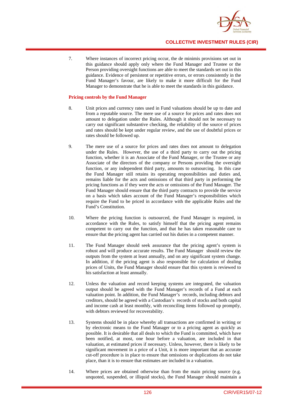

7. Where instances of incorrect pricing occur, the de minimis provisions set out in this guidance should apply only where the Fund Manager and Trustee or the Person providing oversight functions are able to meet the standards set out in this guidance. Evidence of persistent or repetitive errors, or errors consistently in the Fund Manager's favour, are likely to make it more difficult for the Fund Manager to demonstrate that he is able to meet the standards in this guidance.

#### **Pricing controls by the Fund Manager**

- 8. Unit prices and currency rates used in Fund valuations should be up to date and from a reputable source. The mere use of a source for prices and rates does not amount to delegation under the Rules. Although it should not be necessary to carry out significant substantive checking, the reliability of the source of prices and rates should be kept under regular review, and the use of doubtful prices or rates should be followed up.
- 9. The mere use of a source for prices and rates does not amount to delegation under the Rules. However, the use of a third party to carry out the pricing function, whether it is an Associate of the Fund Manager, or the Trustee or any Associate of the directors of the company or Persons providing the oversight function, or any independent third party, amounts to outsourcing. In this case the Fund Manager still retains its operating responsibilities and duties and, remains liable for the acts and omissions of that third party in performing the pricing functions as if they were the acts or omissions of the Fund Manager. The Fund Manager should ensure that the third party contracts to provide the service on a basis which takes account of the Fund Manager's responsibilities which require the Fund to be priced in accordance with the applicable Rules and the Fund's Constitution.
- 10. Where the pricing function is outsourced, the Fund Manager is required, in accordance with the Rules, to satisfy himself that the pricing agent remains competent to carry out the function, and that he has taken reasonable care to ensure that the pricing agent has carried out his duties in a competent manner.
- 11. The Fund Manager should seek assurance that the pricing agent's system is robust and will produce accurate results. The Fund Manager should review the outputs from the system at least annually, and on any significant system change. In addition, if the pricing agent is also responsible for calculation of dealing prices of Units, the Fund Manager should ensure that this system is reviewed to his satisfaction at least annually.
- 12. Unless the valuation and record keeping systems are integrated, the valuation output should be agreed with the Fund Manager's records of a Fund at each valuation point. In addition, the Fund Manager's records, including debtors and creditors, should be agreed with a Custodian's records of stocks and both capital and income cash at least monthly, with reconciling items followed up promptly, with debtors reviewed for recoverability.
- 13. Systems should be in place whereby all transactions are confirmed in writing or by electronic means to the Fund Manager or to a pricing agent as quickly as possible. It is desirable that all deals to which the Fund is committed, which have been notified, at most, one hour before a valuation, are included in that valuation, at estimated prices if necessary. Unless, however, there is likely to be significant movement in a price of a Unit, it is more important that an accurate cut-off procedure is in place to ensure that omissions or duplications do not take place, than it is to ensure that estimates are included in a valuation.
- 14. Where prices are obtained otherwise than from the main pricing source (e.g. unquoted, suspended, or illiquid stocks), the Fund Manager should maintain a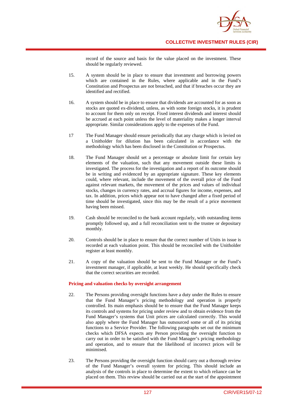

record of the source and basis for the value placed on the investment. These should be regularly reviewed.

- 15. A system should be in place to ensure that investment and borrowing powers which are contained in the Rules, where applicable and in the Fund's Constitution and Prospectus are not breached, and that if breaches occur they are identified and rectified.
- 16. A system should be in place to ensure that dividends are accounted for as soon as stocks are quoted ex-dividend, unless, as with some foreign stocks, it is prudent to account for them only on receipt. Fixed interest dividends and interest should be accrued at each point unless the level of materiality makes a longer interval appropriate. Similar considerations apply to the expenses of the Fund.
- 17 The Fund Manager should ensure periodically that any charge which is levied on a Unitholder for dilution has been calculated in accordance with the methodology which has been disclosed in the Constitution or Prospectus.
- 18. The Fund Manager should set a percentage or absolute limit for certain key elements of the valuation, such that any movement outside these limits is investigated. The process for the investigation and a report of its outcome should be in writing and evidenced by an appropriate signature. These key elements could, where relevant, include the movement of the overall price of the Fund against relevant markets, the movement of the prices and values of individual stocks, changes in currency rates, and accrual figures for income, expenses, and tax. In addition, prices which appear not to have changed after a fixed period of time should be investigated, since this may be the result of a price movement having been missed.
- 19. Cash should be reconciled to the bank account regularly, with outstanding items promptly followed up, and a full reconciliation sent to the trustee or depositary monthly.
- 20. Controls should be in place to ensure that the correct number of Units in issue is recorded at each valuation point. This should be reconciled with the Unitholder register at least monthly.
- 21. A copy of the valuation should be sent to the Fund Manager or the Fund's investment manager, if applicable, at least weekly. He should specifically check that the correct securities are recorded.

#### **Pricing and valuation checks by oversight arrangement**

- 22. The Persons providing oversight functions have a duty under the Rules to ensure that the Fund Manager's pricing methodology and operation is properly controlled. Its main emphasis should be to ensure that the Fund Manager keeps its controls and systems for pricing under review and to obtain evidence from the Fund Manager's systems that Unit prices are calculated correctly. This would also apply where the Fund Manager has outsourced some or all of its pricing functions to a Service Provider. The following paragraphs set out the minimum checks which DFSA expects any Person providing the oversight function to carry out in order to be satisfied with the Fund Manager's pricing methodology and operation, and to ensure that the likelihood of incorrect prices will be minimised.
- 23. The Persons providing the oversight function should carry out a thorough review of the Fund Manager's overall system for pricing. This should include an analysis of the controls in place to determine the extent to which reliance can be placed on them. This review should be carried out at the start of the appointment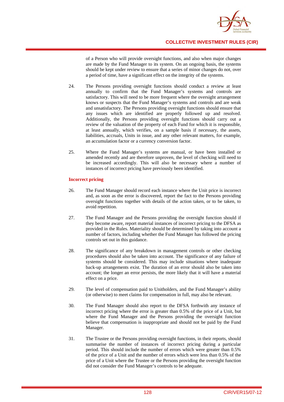

of a Person who will provide oversight functions, and also when major changes are made by the Fund Manager to its system. On an ongoing basis, the systems should be kept under review to ensure that a series of minor changes do not, over a period of time, have a significant effect on the integrity of the systems.

- 24. The Persons providing oversight functions should conduct a review at least annually to confirm that the Fund Manager's systems and controls are satisfactory. This will need to be more frequent where the oversight arrangement knows or suspects that the Fund Manager's systems and controls and are weak and unsatisfactory. The Persons providing oversight functions should ensure that any issues which are identified are properly followed up and resolved. Additionally, the Persons providing oversight functions should carry out a review of the valuation of the property of each Fund for which it is responsible, at least annually, which verifies, on a sample basis if necessary, the assets, liabilities, accruals, Units in issue, and any other relevant matters, for example, an accumulation factor or a currency conversion factor.
- 25. Where the Fund Manager's systems are manual, or have been installed or amended recently and are therefore unproven, the level of checking will need to be increased accordingly. This will also be necessary where a number of instances of incorrect pricing have previously been identified.

#### **Incorrect pricing**

- 26. The Fund Manager should record each instance where the Unit price is incorrect and, as soon as the error is discovered, report the fact to the Persons providing oversight functions together with details of the action taken, or to be taken, to avoid repetition.
- 27. The Fund Manager and the Persons providing the oversight function should if they become aware, report material instances of incorrect pricing to the DFSA as provided in the Rules. Materiality should be determined by taking into account a number of factors, including whether the Fund Manager has followed the pricing controls set out in this guidance.
- 28. The significance of any breakdown in management controls or other checking procedures should also be taken into account. The significance of any failure of systems should be considered. This may include situations where inadequate back-up arrangements exist. The duration of an error should also be taken into account; the longer an error persists, the more likely that it will have a material effect on a price.
- 29. The level of compensation paid to Unitholders, and the Fund Manager's ability (or otherwise) to meet claims for compensation in full, may also be relevant.
- 30. The Fund Manager should also report to the DFSA forthwith any instance of incorrect pricing where the error is greater than 0.5% of the price of a Unit, but where the Fund Manager and the Persons providing the oversight function believe that compensation is inappropriate and should not be paid by the Fund Manager.
- 31. The Trustee or the Persons providing oversight functions, in their reports, should summarise the number of instances of incorrect pricing during a particular period. This should include the number of errors which were greater than 0.5% of the price of a Unit and the number of errors which were less than 0.5% of the price of a Unit where the Trustee or the Persons providing the oversight function did not consider the Fund Manager's controls to be adequate.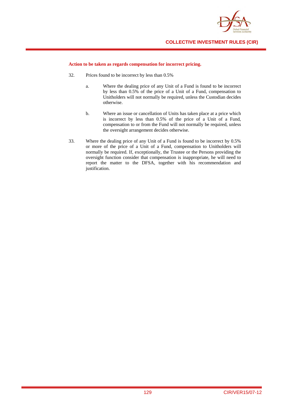

#### **Action to be taken as regards compensation for incorrect pricing.**

- 32. Prices found to be incorrect by less than 0.5%
	- a. Where the dealing price of any Unit of a Fund is found to be incorrect by less than 0.5% of the price of a Unit of a Fund, compensation to Unitholders will not normally be required, unless the Custodian decides otherwise.
	- b. Where an issue or cancellation of Units has taken place at a price which is incorrect by less than 0.5% of the price of a Unit of a Fund, compensation to or from the Fund will not normally be required, unless the oversight arrangement decides otherwise.
- 33. Where the dealing price of any Unit of a Fund is found to be incorrect by 0.5% or more of the price of a Unit of a Fund, compensation to Unitholders will normally be required. If, exceptionally, the Trustee or the Persons providing the oversight function consider that compensation is inappropriate, he will need to report the matter to the DFSA, together with his recommendation and justification.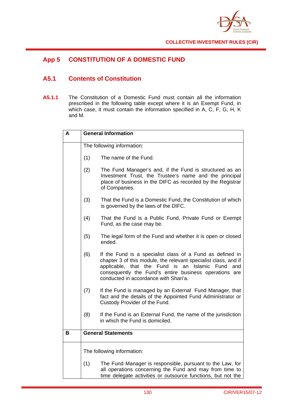

# **App 5 CONSTITUTION OF A DOMESTIC FUND**

# **A5.1 Contents of Constitution**

**A5.1.1** The Constitution of a Domestic Fund must contain all the information prescribed in the following table except where it is an Exempt Fund, in which case, it must contain the information specified in A, C, F, G, H, K and M.

| A | <b>General Information</b> |                                                                                                                                                                                                                                                                                           |  |  |
|---|----------------------------|-------------------------------------------------------------------------------------------------------------------------------------------------------------------------------------------------------------------------------------------------------------------------------------------|--|--|
|   | The following information: |                                                                                                                                                                                                                                                                                           |  |  |
|   | (1)                        | The name of the Fund.                                                                                                                                                                                                                                                                     |  |  |
|   | (2)                        | The Fund Manager's and, if the Fund is structured as an<br>Investment Trust, the Trustee's name and the principal<br>place of business in the DIFC as recorded by the Registrar<br>of Companies.                                                                                          |  |  |
|   | (3)                        | That the Fund is a Domestic Fund, the Constitution of which<br>is governed by the laws of the DIFC.                                                                                                                                                                                       |  |  |
|   | (4)                        | That the Fund is a Public Fund, Private Fund or Exempt<br>Fund, as the case may be.                                                                                                                                                                                                       |  |  |
|   | (5)                        | The legal form of the Fund and whether it is open or closed<br>ended.                                                                                                                                                                                                                     |  |  |
|   | (6)                        | If the Fund is a specialist class of a Fund as defined in<br>chapter 3 of this module, the relevant specialist class, and if<br>applicable, that the Fund is an Islamic<br>Fund<br>and<br>consequently the Fund's entire business operations are<br>conducted in accordance with Shari'a. |  |  |
|   | (7)                        | If the Fund is managed by an External Fund Manager, that<br>fact and the details of the Appointed Fund Administrator or<br>Custody Provider of the Fund.                                                                                                                                  |  |  |
|   | (8)                        | If the Fund is an External Fund, the name of the jurisdiction<br>in which the Fund is domiciled.                                                                                                                                                                                          |  |  |
| B | <b>General Statements</b>  |                                                                                                                                                                                                                                                                                           |  |  |
|   | The following information: |                                                                                                                                                                                                                                                                                           |  |  |
|   | (1)                        | The Fund Manager is responsible, pursuant to the Law, for<br>all operations concerning the Fund and may from time to<br>time delegate activities or outsource functions, but not the                                                                                                      |  |  |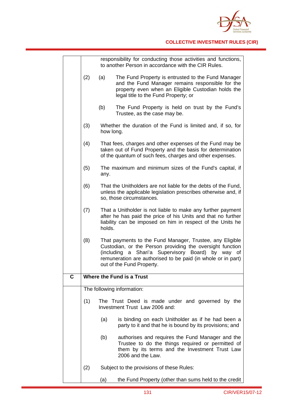

|             |                           | responsibility for conducting those activities and functions,<br>to another Person in accordance with the CIR Rules.                                                                                                                                                    |
|-------------|---------------------------|-------------------------------------------------------------------------------------------------------------------------------------------------------------------------------------------------------------------------------------------------------------------------|
|             | (2)                       | (a)<br>The Fund Property is entrusted to the Fund Manager<br>and the Fund Manager remains responsible for the<br>property even when an Eligible Custodian holds the<br>legal title to the Fund Property; or                                                             |
|             |                           | (b)<br>The Fund Property is held on trust by the Fund's<br>Trustee, as the case may be.                                                                                                                                                                                 |
|             | (3)                       | Whether the duration of the Fund is limited and, if so, for<br>how long.                                                                                                                                                                                                |
|             | (4)                       | That fees, charges and other expenses of the Fund may be<br>taken out of Fund Property and the basis for determination<br>of the quantum of such fees, charges and other expenses.                                                                                      |
|             | (5)                       | The maximum and minimum sizes of the Fund's capital, if<br>any.                                                                                                                                                                                                         |
|             | (6)                       | That the Unitholders are not liable for the debts of the Fund,<br>unless the applicable legislation prescribes otherwise and, if<br>so, those circumstances.                                                                                                            |
|             | (7)                       | That a Unitholder is not liable to make any further payment<br>after he has paid the price of his Units and that no further<br>liability can be imposed on him in respect of the Units he<br>holds.                                                                     |
|             | (8)                       | That payments to the Fund Manager, Trustee, any Eligible<br>Custodian, or the Person providing the oversight function<br>(including a Shari'a Supervisory Board) by way of<br>remuneration are authorised to be paid (in whole or in part)<br>out of the Fund Property. |
| $\mathbf c$ | Where the Fund is a Trust |                                                                                                                                                                                                                                                                         |
|             |                           | The following information:                                                                                                                                                                                                                                              |
|             | (1)                       | The Trust Deed is made under and governed by the<br>Investment Trust Law 2006 and:                                                                                                                                                                                      |
|             |                           | (a)<br>is binding on each Unitholder as if he had been a<br>party to it and that he is bound by its provisions; and                                                                                                                                                     |
|             |                           | authorises and requires the Fund Manager and the<br>(b)<br>Trustee to do the things required or permitted of<br>them by its terms and the Investment Trust Law<br>2006 and the Law.                                                                                     |
|             | (2)                       | Subject to the provisions of these Rules:                                                                                                                                                                                                                               |
|             |                           | the Fund Property (other than sums held to the credit<br>(a)                                                                                                                                                                                                            |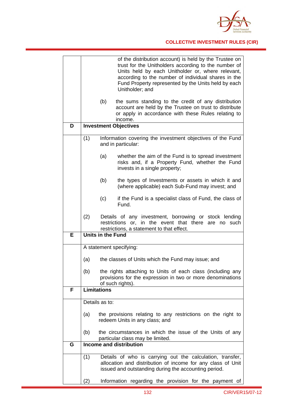

|   | of the distribution account) is held by the Trustee on<br>trust for the Unitholders according to the number of       |  |
|---|----------------------------------------------------------------------------------------------------------------------|--|
|   | Units held by each Unitholder or, where relevant,                                                                    |  |
|   | according to the number of individual shares in the<br>Fund Property represented by the Units held by each           |  |
|   | Unitholder; and                                                                                                      |  |
|   |                                                                                                                      |  |
|   | (b)<br>the sums standing to the credit of any distribution<br>account are held by the Trustee on trust to distribute |  |
|   | or apply in accordance with these Rules relating to                                                                  |  |
|   | income.                                                                                                              |  |
| D | <b>Investment Objectives</b>                                                                                         |  |
|   | (1)<br>Information covering the investment objectives of the Fund                                                    |  |
|   | and in particular:                                                                                                   |  |
|   | (a)<br>whether the aim of the Fund is to spread investment                                                           |  |
|   | risks and, if a Property Fund, whether the Fund                                                                      |  |
|   | invests in a single property;                                                                                        |  |
|   | (b)<br>the types of Investments or assets in which it and                                                            |  |
|   | (where applicable) each Sub-Fund may invest; and                                                                     |  |
|   | (c)<br>if the Fund is a specialist class of Fund, the class of                                                       |  |
|   | Fund.                                                                                                                |  |
|   | (2)<br>Details of any investment, borrowing or stock lending                                                         |  |
|   | restrictions or, in the event that there<br>are no such                                                              |  |
| Е | restrictions, a statement to that effect.<br>Units in the Fund                                                       |  |
|   |                                                                                                                      |  |
|   | A statement specifying:                                                                                              |  |
|   | (a)<br>the classes of Units which the Fund may issue; and                                                            |  |
|   |                                                                                                                      |  |
|   | the rights attaching to Units of each class (including any<br>(b)                                                    |  |
|   | provisions for the expression in two or more denominations<br>of such rights).                                       |  |
| F | <b>Limitations</b>                                                                                                   |  |
|   | Details as to:                                                                                                       |  |
|   |                                                                                                                      |  |
|   | the provisions relating to any restrictions on the right to<br>(a)<br>redeem Units in any class; and                 |  |
|   |                                                                                                                      |  |
|   | the circumstances in which the issue of the Units of any<br>(b)                                                      |  |
| G | particular class may be limited.<br>Income and distribution                                                          |  |
|   |                                                                                                                      |  |
|   | Details of who is carrying out the calculation, transfer,<br>(1)                                                     |  |
|   | allocation and distribution of income for any class of Unit<br>issued and outstanding during the accounting period.  |  |
|   |                                                                                                                      |  |
|   | Information regarding the provision for the payment of<br>(2)                                                        |  |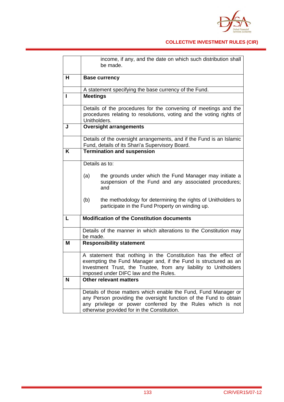

|   | income, if any, and the date on which such distribution shall<br>be made.                                                                                                                                                                         |  |  |
|---|---------------------------------------------------------------------------------------------------------------------------------------------------------------------------------------------------------------------------------------------------|--|--|
| н | <b>Base currency</b>                                                                                                                                                                                                                              |  |  |
|   | A statement specifying the base currency of the Fund.                                                                                                                                                                                             |  |  |
| H | <b>Meetings</b>                                                                                                                                                                                                                                   |  |  |
|   | Details of the procedures for the convening of meetings and the<br>procedures relating to resolutions, voting and the voting rights of<br>Unitholders.                                                                                            |  |  |
| J | <b>Oversight arrangements</b>                                                                                                                                                                                                                     |  |  |
|   | Details of the oversight arrangements, and if the Fund is an Islamic<br>Fund, details of its Shari'a Supervisory Board.                                                                                                                           |  |  |
| K | <b>Termination and suspension</b>                                                                                                                                                                                                                 |  |  |
|   | Details as to:                                                                                                                                                                                                                                    |  |  |
|   | the grounds under which the Fund Manager may initiate a<br>(a)<br>suspension of the Fund and any associated procedures;<br>and                                                                                                                    |  |  |
|   | the methodology for determining the rights of Unitholders to<br>(b)<br>participate in the Fund Property on winding up.                                                                                                                            |  |  |
| L | <b>Modification of the Constitution documents</b>                                                                                                                                                                                                 |  |  |
|   | Details of the manner in which alterations to the Constitution may<br>be made.                                                                                                                                                                    |  |  |
| M | <b>Responsibility statement</b>                                                                                                                                                                                                                   |  |  |
|   | A statement that nothing in the Constitution has the effect of<br>exempting the Fund Manager and, if the Fund is structured as an<br>Investment Trust, the Trustee, from any liability to Unitholders<br>imposed under DIFC law and the Rules.    |  |  |
| N | <b>Other relevant matters</b>                                                                                                                                                                                                                     |  |  |
|   | Details of those matters which enable the Fund, Fund Manager or<br>any Person providing the oversight function of the Fund to obtain<br>any privilege or power conferred by the Rules which is not<br>otherwise provided for in the Constitution. |  |  |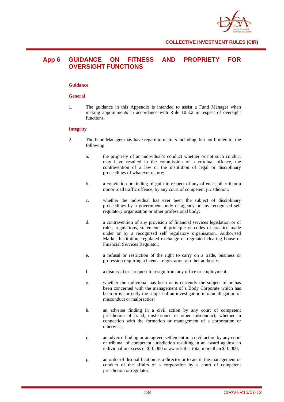

### **App 6 GUIDANCE ON FITNESS AND PROPRIETY FOR OVERSIGHT FUNCTIONS**

#### **Guidance**

#### **General**

1. The guidance in this Appendix is intended to assist a Fund Manager when making appointments in accordance with Rule 10.3.2 in respect of oversight functions.

#### **Integrity**

- 2. The Fund Manager may have regard to matters including, but not limited to, the following.
	- a. the propriety of an individual's conduct whether or not such conduct may have resulted in the commission of a criminal offence, the contravention of a law or the institution of legal or disciplinary proceedings of whatever nature;
	- b. a conviction or finding of guilt in respect of any offence, other than a minor road traffic offence, by any court of competent jurisdiction;
	- c. whether the individual has ever been the subject of disciplinary proceedings by a government body or agency or any recognised self regulatory organisation or other professional body;
	- d. a contravention of any provision of financial services legislation or of rules, regulations, statements of principle or codes of practice made under or by a recognised self regulatory organisation, Authorised Market Institution, regulated exchange or regulated clearing house or Financial Services Regulator;
	- e. a refusal or restriction of the right to carry on a trade, business or profession requiring a licence, registration or other authority;
	- f. a dismissal or a request to resign from any office or employment;
	- g. whether the individual has been or is currently the subject of or has been concerned with the management of a Body Corporate which has been or is currently the subject of an investigation into an allegation of misconduct or malpractice;
	- h. an adverse finding in a civil action by any court of competent jurisdiction of fraud, misfeasance or other misconduct, whether in connection with the formation or management of a corporation or otherwise;
	- i. an adverse finding or an agreed settlement in a civil action by any court or tribunal of competent jurisdiction resulting in an award against an individual in excess of \$10,000 or awards that total more than \$10,000;
	- j. an order of disqualification as a director or to act in the management or conduct of the affairs of a corporation by a court of competent jurisdiction or regulator;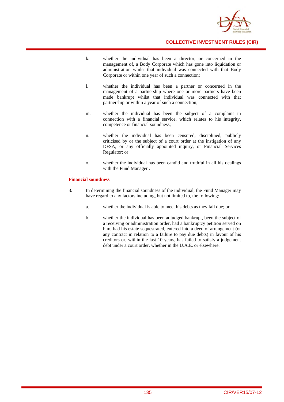

- k. whether the individual has been a director, or concerned in the management of, a Body Corporate which has gone into liquidation or administration whilst that individual was connected with that Body Corporate or within one year of such a connection;
- l. whether the individual has been a partner or concerned in the management of a partnership where one or more partners have been made bankrupt whilst that individual was connected with that partnership or within a year of such a connection;
- m. whether the individual has been the subject of a complaint in connection with a financial service, which relates to his integrity, competence or financial soundness;
- n. whether the individual has been censured, disciplined, publicly criticised by or the subject of a court order at the instigation of any DFSA, or any officially appointed inquiry, or Financial Services Regulator; or
- o. whether the individual has been candid and truthful in all his dealings with the Fund Manager .

#### **Financial soundness**

- 3. In determining the financial soundness of the individual, the Fund Manager may have regard to any factors including, but not limited to, the following:
	- a. whether the individual is able to meet his debts as they fall due; or
	- b. whether the individual has been adjudged bankrupt, been the subject of a receiving or administration order, had a bankruptcy petition served on him, had his estate sequestrated, entered into a deed of arrangement (or any contract in relation to a failure to pay due debts) in favour of his creditors or, within the last 10 years, has failed to satisfy a judgement debt under a court order, whether in the U.A.E. or elsewhere.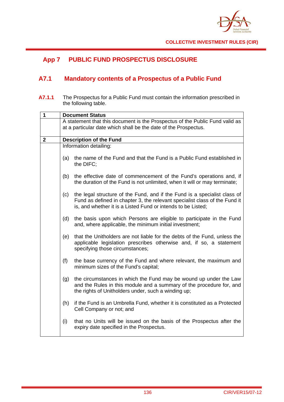

# **App 7 PUBLIC FUND PROSPECTUS DISCLOSURE**

# **A7.1 Mandatory contents of a Prospectus of a Public Fund**

**A7.1.1** The Prospectus for a Public Fund must contain the information prescribed in the following table.

| 1            | <b>Document Status</b>                                                                                                                          |                                                                                                                                                                                                                         |  |
|--------------|-------------------------------------------------------------------------------------------------------------------------------------------------|-------------------------------------------------------------------------------------------------------------------------------------------------------------------------------------------------------------------------|--|
|              | A statement that this document is the Prospectus of the Public Fund valid as<br>at a particular date which shall be the date of the Prospectus. |                                                                                                                                                                                                                         |  |
| $\mathbf{2}$ |                                                                                                                                                 | <b>Description of the Fund</b>                                                                                                                                                                                          |  |
|              |                                                                                                                                                 | Information detailing:                                                                                                                                                                                                  |  |
|              | (a)                                                                                                                                             | the name of the Fund and that the Fund is a Public Fund established in<br>the DIFC;                                                                                                                                     |  |
|              | (b)                                                                                                                                             | the effective date of commencement of the Fund's operations and, if<br>the duration of the Fund is not unlimited, when it will or may terminate;                                                                        |  |
|              | (c)                                                                                                                                             | the legal structure of the Fund, and if the Fund is a specialist class of<br>Fund as defined in chapter 3, the relevant specialist class of the Fund it<br>is, and whether it is a Listed Fund or intends to be Listed; |  |
|              | (d)                                                                                                                                             | the basis upon which Persons are eligible to participate in the Fund<br>and, where applicable, the minimum initial investment;                                                                                          |  |
|              | (e)                                                                                                                                             | that the Unitholders are not liable for the debts of the Fund, unless the<br>applicable legislation prescribes otherwise and, if so, a statement<br>specifying those circumstances;                                     |  |
|              | (f)                                                                                                                                             | the base currency of the Fund and where relevant, the maximum and<br>minimum sizes of the Fund's capital;                                                                                                               |  |
|              | (g)                                                                                                                                             | the circumstances in which the Fund may be wound up under the Law<br>and the Rules in this module and a summary of the procedure for, and<br>the rights of Unitholders under, such a winding up;                        |  |
|              | (h)                                                                                                                                             | if the Fund is an Umbrella Fund, whether it is constituted as a Protected<br>Cell Company or not; and                                                                                                                   |  |
|              | (i)                                                                                                                                             | that no Units will be issued on the basis of the Prospectus after the<br>expiry date specified in the Prospectus.                                                                                                       |  |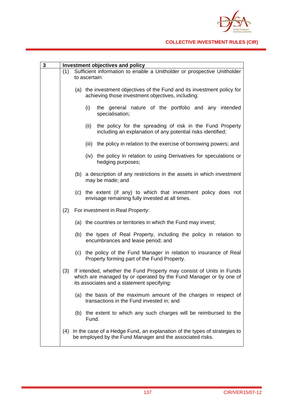

| $\mathbf{3}$ |     | Investment objectives and policy                                        |                                                                                                                                                                                         |  |
|--------------|-----|-------------------------------------------------------------------------|-----------------------------------------------------------------------------------------------------------------------------------------------------------------------------------------|--|
|              | (1) | Sufficient information to enable a Unitholder or prospective Unitholder |                                                                                                                                                                                         |  |
|              |     |                                                                         | to ascertain:                                                                                                                                                                           |  |
|              |     |                                                                         | (a) the investment objectives of the Fund and its investment policy for<br>achieving those investment objectives, including:                                                            |  |
|              |     |                                                                         | (i)<br>the general nature of the portfolio and any intended<br>specialisation;                                                                                                          |  |
|              |     |                                                                         | the policy for the spreading of risk in the Fund Property<br>(ii)<br>including an explanation of any potential risks identified;                                                        |  |
|              |     |                                                                         | (iii) the policy in relation to the exercise of borrowing powers; and                                                                                                                   |  |
|              |     |                                                                         | (iv) the policy in relation to using Derivatives for speculations or<br>hedging purposes;                                                                                               |  |
|              |     |                                                                         | (b) a description of any restrictions in the assets in which investment<br>may be made; and                                                                                             |  |
|              |     |                                                                         | (c) the extent (if any) to which that investment policy does not<br>envisage remaining fully invested at all times.                                                                     |  |
|              | (2) |                                                                         | For investment in Real Property:                                                                                                                                                        |  |
|              |     |                                                                         | (a) the countries or territories in which the Fund may invest;                                                                                                                          |  |
|              |     |                                                                         | (b) the types of Real Property, including the policy in relation to<br>encumbrances and lease period; and                                                                               |  |
|              |     |                                                                         | (c) the policy of the Fund Manager in relation to insurance of Real<br>Property forming part of the Fund Property.                                                                      |  |
|              | (3) |                                                                         | If intended, whether the Fund Property may consist of Units in Funds<br>which are managed by or operated by the Fund Manager or by one of<br>its associates and a statement specifying: |  |
|              |     |                                                                         | (a) the basis of the maximum amount of the charges in respect of<br>transactions in the Fund invested in; and                                                                           |  |
|              |     |                                                                         | (b) the extent to which any such charges will be reimbursed to the<br>Fund.                                                                                                             |  |
|              | (4) |                                                                         | In the case of a Hedge Fund, an explanation of the types of strategies to<br>be employed by the Fund Manager and the associated risks.                                                  |  |
|              |     |                                                                         |                                                                                                                                                                                         |  |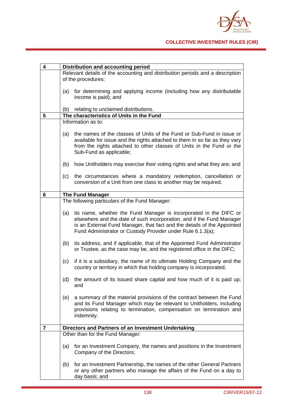

| 4 | Distribution and accounting period                  |                                                                                                                                                                                                                                                                                      |
|---|-----------------------------------------------------|--------------------------------------------------------------------------------------------------------------------------------------------------------------------------------------------------------------------------------------------------------------------------------------|
|   | of the procedures:                                  | Relevant details of the accounting and distribution periods and a description                                                                                                                                                                                                        |
|   | (a)                                                 | for determining and applying income (including how any distributable<br>income is paid); and                                                                                                                                                                                         |
|   | (b)                                                 | relating to unclaimed distributions.                                                                                                                                                                                                                                                 |
| 5 |                                                     | The characteristics of Units in the Fund                                                                                                                                                                                                                                             |
|   | Information as to:                                  |                                                                                                                                                                                                                                                                                      |
|   | (a)                                                 | the names of the classes of Units of the Fund or Sub-Fund in issue or<br>available for issue and the rights attached to them in so far as they vary<br>from the rights attached to other classes of Units in the Fund or the<br>Sub-Fund as applicable;                              |
|   | (b)                                                 | how Unitholders may exercise their voting rights and what they are; and                                                                                                                                                                                                              |
|   | (c)                                                 | the circumstances where a mandatory redemption, cancellation or<br>conversion of a Unit from one class to another may be required.                                                                                                                                                   |
| 6 | <b>The Fund Manager</b>                             |                                                                                                                                                                                                                                                                                      |
|   |                                                     | The following particulars of the Fund Manager:                                                                                                                                                                                                                                       |
|   | (a)                                                 | its name, whether the Fund Manager is incorporated in the DIFC or<br>elsewhere and the date of such incorporation, and if the Fund Manager<br>is an External Fund Manager, that fact and the details of the Appointed<br>Fund Administrator or Custody Provider under Rule 6.1.3(a); |
|   | (b)                                                 | its address, and if applicable, that of the Appointed Fund Administrator<br>or Trustee, as the case may be, and the registered office in the DIFC;                                                                                                                                   |
|   | (c)                                                 | if it is a subsidiary, the name of its ultimate Holding Company and the<br>country or territory in which that holding company is incorporated;                                                                                                                                       |
|   | (d)<br>and                                          | the amount of its issued share capital and how much of it is paid up;                                                                                                                                                                                                                |
|   | (e)                                                 | a summary of the material provisions of the contract between the Fund<br>and its Fund Manager which may be relevant to Unitholders, including<br>provisions relating to termination, compensation on termination and<br>indemnity.                                                   |
| 7 | Directors and Partners of an Investment Undertaking |                                                                                                                                                                                                                                                                                      |
|   |                                                     | Other than for the Fund Manager:                                                                                                                                                                                                                                                     |
|   | (a)                                                 | for an Investment Company, the names and positions in the Investment<br>Company of the Directors;                                                                                                                                                                                    |
|   | (b)                                                 | for an Investment Partnership, the names of the other General Partners<br>or any other partners who manage the affairs of the Fund on a day to<br>day basis; and                                                                                                                     |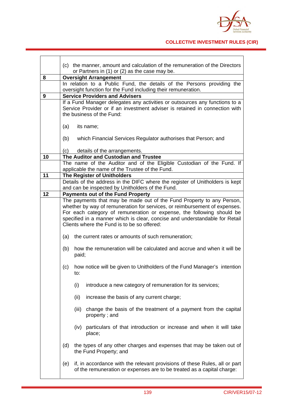

|                                                                                                          | (c) the manner, amount and calculation of the remuneration of the Directors<br>or Partners in (1) or (2) as the case may be.                        |  |
|----------------------------------------------------------------------------------------------------------|-----------------------------------------------------------------------------------------------------------------------------------------------------|--|
| <b>Oversight Arrangement</b>                                                                             |                                                                                                                                                     |  |
|                                                                                                          | In relation to a Public Fund, the details of the Persons providing the                                                                              |  |
|                                                                                                          | oversight function for the Fund including their remuneration.                                                                                       |  |
|                                                                                                          | <b>Service Providers and Advisers</b>                                                                                                               |  |
|                                                                                                          | If a Fund Manager delegates any activities or outsources any functions to a                                                                         |  |
|                                                                                                          | Service Provider or if an investment adviser is retained in connection with                                                                         |  |
| the business of the Fund:                                                                                |                                                                                                                                                     |  |
|                                                                                                          | its name;                                                                                                                                           |  |
|                                                                                                          |                                                                                                                                                     |  |
| (b)                                                                                                      | which Financial Services Regulator authorises that Person; and                                                                                      |  |
|                                                                                                          |                                                                                                                                                     |  |
|                                                                                                          | details of the arrangements.<br>The Auditor and Custodian and Trustee                                                                               |  |
|                                                                                                          | The name of the Auditor and of the Eligible Custodian of the Fund. If                                                                               |  |
|                                                                                                          | applicable the name of the Trustee of the Fund.                                                                                                     |  |
|                                                                                                          | <b>The Register of Unitholders</b>                                                                                                                  |  |
|                                                                                                          | Details of the address in the DIFC where the register of Unitholders is kept                                                                        |  |
|                                                                                                          | and can be inspected by Unitholders of the Fund.                                                                                                    |  |
|                                                                                                          | <b>Payments out of the Fund Property</b>                                                                                                            |  |
|                                                                                                          | The payments that may be made out of the Fund Property to any Person,<br>whether by way of remuneration for services, or reimbursement of expenses. |  |
|                                                                                                          | For each category of remuneration or expense, the following should be                                                                               |  |
|                                                                                                          | specified in a manner which is clear, concise and understandable for Retail                                                                         |  |
| Clients where the Fund is to be so offered:<br>the current rates or amounts of such remuneration;<br>(a) |                                                                                                                                                     |  |
|                                                                                                          |                                                                                                                                                     |  |
| (c)                                                                                                      | how notice will be given to Unitholders of the Fund Manager's intention<br>to:                                                                      |  |
|                                                                                                          | introduce a new category of remuneration for its services;<br>(i)                                                                                   |  |
|                                                                                                          | (ii)<br>increase the basis of any current charge;                                                                                                   |  |
|                                                                                                          | change the basis of the treatment of a payment from the capital<br>(iii)<br>property; and                                                           |  |
|                                                                                                          | particulars of that introduction or increase and when it will take<br>(iv)<br>place;                                                                |  |
| (d)                                                                                                      | the types of any other charges and expenses that may be taken out of<br>the Fund Property; and                                                      |  |
|                                                                                                          |                                                                                                                                                     |  |
|                                                                                                          | (a)<br>(C)                                                                                                                                          |  |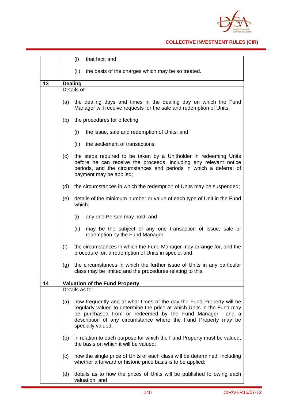

## **COLLECTIVE INVESTMENT RULES (CIR)**

|    |                                       | (i)<br>that fact; and                                                                                                                                                                                                                                                                                |  |
|----|---------------------------------------|------------------------------------------------------------------------------------------------------------------------------------------------------------------------------------------------------------------------------------------------------------------------------------------------------|--|
|    |                                       | (ii)<br>the basis of the charges which may be so treated.                                                                                                                                                                                                                                            |  |
| 13 | <b>Dealing</b>                        |                                                                                                                                                                                                                                                                                                      |  |
|    | Details of:                           |                                                                                                                                                                                                                                                                                                      |  |
|    | (a)                                   | the dealing days and times in the dealing day on which the Fund<br>Manager will receive requests for the sale and redemption of Units;                                                                                                                                                               |  |
|    | (b)                                   | the procedures for effecting:                                                                                                                                                                                                                                                                        |  |
|    |                                       | (i)<br>the issue, sale and redemption of Units; and                                                                                                                                                                                                                                                  |  |
|    |                                       | the settlement of transactions;<br>(ii)                                                                                                                                                                                                                                                              |  |
|    | (c)                                   | the steps required to be taken by a Unitholder in redeeming Units<br>before he can receive the proceeds, including any relevant notice<br>periods, and the circumstances and periods in which a deferral of<br>payment may be applied;                                                               |  |
|    | (d)                                   | the circumstances in which the redemption of Units may be suspended;                                                                                                                                                                                                                                 |  |
|    | (e)                                   | details of the minimum number or value of each type of Unit in the Fund<br>which:                                                                                                                                                                                                                    |  |
|    |                                       | (i)<br>any one Person may hold; and                                                                                                                                                                                                                                                                  |  |
|    |                                       | (ii)<br>may be the subject of any one transaction of issue, sale or<br>redemption by the Fund Manager;                                                                                                                                                                                               |  |
|    | (f)                                   | the circumstances in which the Fund Manager may arrange for, and the<br>procedure for, a redemption of Units in specie; and                                                                                                                                                                          |  |
|    | (g)                                   | the circumstances in which the further issue of Units in any particular<br>class may be limited and the procedures relating to this.                                                                                                                                                                 |  |
| 14 | <b>Valuation of the Fund Property</b> |                                                                                                                                                                                                                                                                                                      |  |
|    | Details as to:                        |                                                                                                                                                                                                                                                                                                      |  |
|    | (a)                                   | how frequently and at what times of the day the Fund Property will be<br>regularly valued to determine the price at which Units in the Fund may<br>be purchased from or redeemed by the Fund Manager<br>and a<br>description of any circumstance where the Fund Property may be<br>specially valued; |  |
|    | (b)                                   | in relation to each purpose for which the Fund Property must be valued,<br>the basis on which it will be valued;                                                                                                                                                                                     |  |
|    | (c)                                   | how the single price of Units of each class will be determined, including<br>whether a forward or historic price basis is to be applied;                                                                                                                                                             |  |
|    | (d)                                   | details as to how the prices of Units will be published following each<br>valuation; and                                                                                                                                                                                                             |  |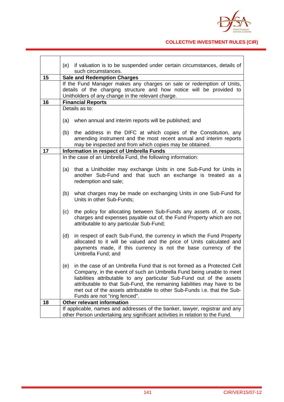

## **COLLECTIVE INVESTMENT RULES (CIR)**

|    | if valuation is to be suspended under certain circumstances, details of<br>(e)<br>such circumstances. |  |
|----|-------------------------------------------------------------------------------------------------------|--|
|    |                                                                                                       |  |
| 15 | <b>Sale and Redemption Charges</b>                                                                    |  |
|    | If the Fund Manager makes any charges on sale or redemption of Units,                                 |  |
|    | details of the charging structure and how notice will be provided to                                  |  |
|    | Unitholders of any change in the relevant charge.                                                     |  |
| 16 | <b>Financial Reports</b>                                                                              |  |
|    | Details as to:                                                                                        |  |
|    |                                                                                                       |  |
|    | when annual and interim reports will be published; and<br>(a)                                         |  |
|    |                                                                                                       |  |
|    | the address in the DIFC at which copies of the Constitution, any<br>(b)                               |  |
|    | amending instrument and the most recent annual and interim reports                                    |  |
|    | may be inspected and from which copies may be obtained.                                               |  |
| 17 | Information in respect of Umbrella Funds                                                              |  |
|    | In the case of an Umbrella Fund, the following information:                                           |  |
|    |                                                                                                       |  |
|    | that a Unitholder may exchange Units in one Sub-Fund for Units in<br>(a)                              |  |
|    | another Sub-Fund and that such an exchange is treated as a                                            |  |
|    | redemption and sale;                                                                                  |  |
|    |                                                                                                       |  |
|    | what charges may be made on exchanging Units in one Sub-Fund for<br>(b)                               |  |
|    | Units in other Sub-Funds;                                                                             |  |
|    |                                                                                                       |  |
|    | the policy for allocating between Sub-Funds any assets of, or costs,<br>(c)                           |  |
|    | charges and expenses payable out of, the Fund Property which are not                                  |  |
|    | attributable to any particular Sub-Fund;                                                              |  |
|    |                                                                                                       |  |
|    | (d)<br>in respect of each Sub-Fund, the currency in which the Fund Property                           |  |
|    | allocated to it will be valued and the price of Units calculated and                                  |  |
|    | payments made, if this currency is not the base currency of the                                       |  |
|    | Umbrella Fund; and                                                                                    |  |
|    |                                                                                                       |  |
|    | (e)<br>in the case of an Umbrella Fund that is not formed as a Protected Cell                         |  |
|    | Company, in the event of such an Umbrella Fund being unable to meet                                   |  |
|    | liabilities attributable to any particular Sub-Fund out of the assets                                 |  |
|    | attributable to that Sub-Fund, the remaining liabilities may have to be                               |  |
|    | met out of the assets attributable to other Sub-Funds i.e. that the Sub-                              |  |
|    | Funds are not "ring fenced".                                                                          |  |
| 18 | Other relevant information                                                                            |  |
|    | If applicable, names and addresses of the banker, lawyer, registrar and any                           |  |
|    |                                                                                                       |  |
|    | other Person undertaking any significant activities in relation to the Fund.                          |  |